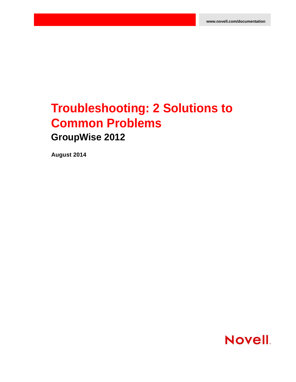# **Troubleshooting: 2 Solutions to Common Problems GroupWise 2012**

**August 2014**

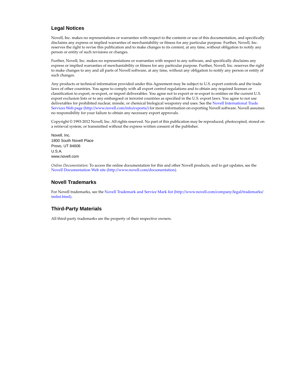#### **Legal Notices**

Novell, Inc. makes no representations or warranties with respect to the contents or use of this documentation, and specifically disclaims any express or implied warranties of merchantability or fitness for any particular purpose. Further, Novell, Inc. reserves the right to revise this publication and to make changes to its content, at any time, without obligation to notify any person or entity of such revisions or changes.

Further, Novell, Inc. makes no representations or warranties with respect to any software, and specifically disclaims any express or implied warranties of merchantability or fitness for any particular purpose. Further, Novell, Inc. reserves the right to make changes to any and all parts of Novell software, at any time, without any obligation to notify any person or entity of such changes.

Any products or technical information provided under this Agreement may be subject to U.S. export controls and the trade laws of other countries. You agree to comply with all export control regulations and to obtain any required licenses or classification to export, re-export, or import deliverables. You agree not to export or re-export to entities on the current U.S. export exclusion lists or to any embargoed or terrorist countries as specified in the U.S. export laws. You agree to not use deliverables for prohibited nuclear, missile, or chemical biological weaponry end uses. See the [Novell International Trade](http://www.novell.com/info/exports/)  [Services Web page](http://www.novell.com/info/exports/) (http://www.novell.com/info/exports/) for more information on exporting Novell software. Novell assumes no responsibility for your failure to obtain any necessary export approvals.

Copyright © 1993-2012 Novell, Inc. All rights reserved. No part of this publication may be reproduced, photocopied, stored on a retrieval system, or transmitted without the express written consent of the publisher.

Novell, Inc. 1800 South Novell Place Provo, UT 84606 U.S.A. www.novell.com

*Online Documentation:* To access the online documentation for this and other Novell products, and to get updates, see the [Novell Documentation Web site](http://www.novell.com/documentation) (http://www.novell.com/documentation).

#### **Novell Trademarks**

For Novell trademarks, see the [Novell Trademark and Service Mark list](http://www.novell.com/company/legal/trademarks/tmlist.html) (http://www.novell.com/company/legal/trademarks/ tmlist.html).

#### **Third-Party Materials**

All third-party trademarks are the property of their respective owners.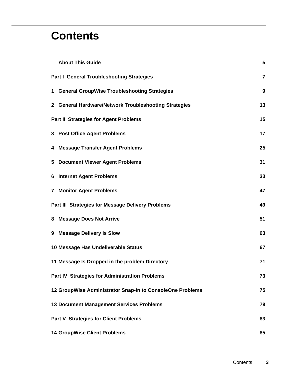# **Contents**

|                                                   | <b>About This Guide</b>                                   | 5              |
|---------------------------------------------------|-----------------------------------------------------------|----------------|
|                                                   | <b>Part I General Troubleshooting Strategies</b>          | $\overline{7}$ |
|                                                   | 1 General GroupWise Troubleshooting Strategies            | 9              |
|                                                   | 2 General Hardware/Network Troubleshooting Strategies     | 13             |
|                                                   | <b>Part II Strategies for Agent Problems</b>              | 15             |
|                                                   | 3 Post Office Agent Problems                              | 17             |
|                                                   | 4 Message Transfer Agent Problems                         | 25             |
|                                                   | 5 Document Viewer Agent Problems                          | 31             |
| 6                                                 | <b>Internet Agent Problems</b>                            | 33             |
|                                                   | <b>7 Monitor Agent Problems</b>                           | 47             |
| Part III Strategies for Message Delivery Problems |                                                           |                |
|                                                   | 8 Message Does Not Arrive                                 | 51             |
| 9                                                 | <b>Message Delivery Is Slow</b>                           | 63             |
|                                                   | 10 Message Has Undeliverable Status                       | 67             |
|                                                   | 11 Message Is Dropped in the problem Directory            | 71             |
|                                                   | Part IV Strategies for Administration Problems            | 73             |
|                                                   | 12 GroupWise Administrator Snap-In to ConsoleOne Problems | 75             |
|                                                   | <b>13 Document Management Services Problems</b>           | 79             |
|                                                   | <b>Part V Strategies for Client Problems</b>              | 83             |
|                                                   | <b>14 GroupWise Client Problems</b>                       | 85             |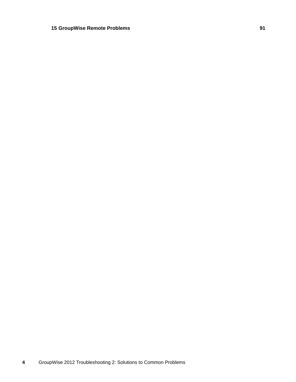# **GroupWise Remote Problems 91**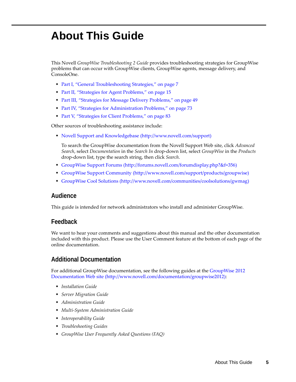# <span id="page-4-0"></span>**About This Guide**

This Novell *GroupWise Troubleshooting 2 Guide* provides troubleshooting strategies for GroupWise problems that can occur with GroupWise clients, GroupWise agents, message delivery, and ConsoleOne.

- [Part I, "General Troubleshooting Strategies," on page 7](#page-6-1)
- [Part II, "Strategies for Agent Problems," on page 15](#page-14-1)
- [Part III, "Strategies for Message Delivery Problems," on page 49](#page-48-1)
- [Part IV, "Strategies for Administration Problems," on page 73](#page-72-1)
- [Part V, "Strategies for Client Problems," on page 83](#page-82-1)

Other sources of troubleshooting assistance include:

[Novell Support and Knowledgebase](http://www.novell.com/support) (http://www.novell.com/support)

To search the GroupWise documentation from the Novell Support Web site, click *Advanced Search*, select *Documentation* in the *Search In* drop-down list, select *GroupWise* in the *Products* drop-down list, type the search string, then click *Search*.

- [GroupWise Support Forums](http://forums.novell.com/forumdisplay.php?&f=356) (http://forums.novell.com/forumdisplay.php?&f=356)
- [GroupWise Support Community](http://www.novell.com/support/products/groupwise) (http://www.novell.com/support/products/groupwise)
- [GroupWise Cool Solutions](http://www.novell.com/communities/coolsolutions/gwmag) (http://www.novell.com/communities/coolsolutions/gwmag)

# **Audience**

This guide is intended for network administrators who install and administer GroupWise.

# **Feedback**

We want to hear your comments and suggestions about this manual and the other documentation included with this product. Please use the User Comment feature at the bottom of each page of the online documentation.

# **Additional Documentation**

For additional GroupWise documentation, see the following guides at the [GroupWise 2012](http://www.novell.com/documentation/groupwise2012)  [Documentation Web site](http://www.novell.com/documentation/groupwise2012) (http://www.novell.com/documentation/groupwise2012):

- *Installation Guide*
- *Server Migration Guide*
- *Administration Guide*
- *Multi-System Administration Guide*
- *Interoperability Guide*
- *Troubleshooting Guides*
- *GroupWise User Frequently Asked Questions (FAQ)*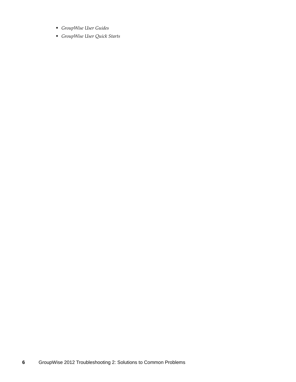- *GroupWise User Guides*
- *GroupWise User Quick Starts*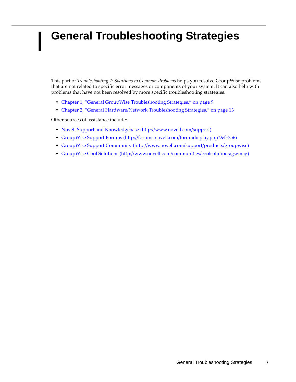# <span id="page-6-1"></span><span id="page-6-0"></span>**General Troubleshooting Strategies**

This part of *Troubleshooting 2: Solutions to Common Problems* helps you resolve GroupWise problems that are not related to specific error messages or components of your system. It can also help with problems that have not been resolved by more specific troubleshooting strategies.

- [Chapter 1, "General GroupWise Troubleshooting Strategies," on page 9](#page-8-1)
- [Chapter 2, "General Hardware/Network Troubleshooting Strategies," on page 13](#page-12-1)

Other sources of assistance include:

I

- [Novell Support and Knowledgebase](http://www.novell.com/support) (http://www.novell.com/support)
- [GroupWise Support Forums](http://forums.novell.com/forumdisplay.php?&f=356) (http://forums.novell.com/forumdisplay.php?&f=356)
- [GroupWise Support Community](http://www.novell.com/support/products/groupwise) (http://www.novell.com/support/products/groupwise)
- [GroupWise Cool Solutions](http://www.novell.com/communities/coolsolutions/gwmag) (http://www.novell.com/communities/coolsolutions/gwmag)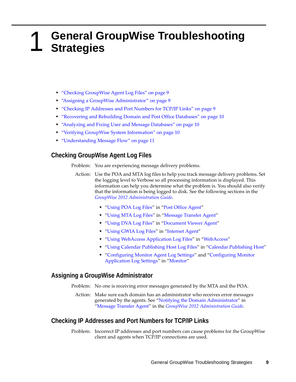# <span id="page-8-1"></span><span id="page-8-0"></span>1 <sup>1</sup>**General GroupWise Troubleshooting Strategies**

- ["Checking GroupWise Agent Log Files" on page 9](#page-8-2)
- ["Assigning a GroupWise Administrator" on page 9](#page-8-3)
- ["Checking IP Addresses and Port Numbers for TCP/IP Links" on page 9](#page-8-4)
- ["Recovering and Rebuilding Domain and Post Office Databases" on page 10](#page-9-0)
- ["Analyzing and Fixing User and Message Databases" on page 10](#page-9-1)
- ["Verifying GroupWise System Information" on page 10](#page-9-2)
- ["Understanding Message Flow" on page 11](#page-10-0)

# <span id="page-8-2"></span>**Checking GroupWise Agent Log Files**

Problem: You are experiencing message delivery problems.

- Action: Use the POA and MTA log files to help you track message delivery problems. Set the logging level to Verbose so all processing information is displayed. This information can help you determine what the problem is. You should also verify that the information is being logged to disk. See the following sections in the *[GroupWise 2012 Administration Guide](http://www.novell.com/documentation/groupwise2012/pdfdoc/gw2012_guide_admin/gw2012_guide_admin.pdf#A2zvyc4)*.
	- ["Using POA Log Files"](http://www.novell.com/documentation/groupwise2012/pdfdoc/gw2012_guide_admin/gw2012_guide_admin.pdf#a7u9jel) in "[Post Office Agent](http://www.novell.com/documentation/groupwise2012/pdfdoc/gw2012_guide_admin/gw2012_guide_admin.pdf#a84jmbe)"
	- "[Using MTA Log Files](http://www.novell.com/documentation/groupwise2012/pdfdoc/gw2012_guide_admin/gw2012_guide_admin.pdf#a7xzvus)" in "[Message Transfer Agent](http://www.novell.com/documentation/groupwise2012/pdfdoc/gw2012_guide_admin/gw2012_guide_admin.pdf#a7q4zpk)"
	- "[Using DVA Log Files](http://www.novell.com/documentation/groupwise2012/pdfdoc/gw2012_guide_admin/gw2012_guide_admin.pdf#bujawkn)" in "[Document Viewer Agent"](http://www.novell.com/documentation/groupwise2012/pdfdoc/gw2012_guide_admin/gw2012_guide_admin.pdf#bujatq4)
	- "[Using GWIA Log Files](http://www.novell.com/documentation/groupwise2012/pdfdoc/gw2012_guide_admin/gw2012_guide_admin.pdf#ak8u8jp)" in "[Internet Agent"](http://www.novell.com/documentation/groupwise2012/pdfdoc/gw2012_guide_admin/gw2012_guide_admin.pdf#a7q50pq)
	- "[Using WebAccess Application Log Files"](http://www.novell.com/documentation/groupwise2012/pdfdoc/gw2012_guide_admin/gw2012_guide_admin.pdf#bw83bv6) in "[WebAccess](http://www.novell.com/documentation/groupwise2012/pdfdoc/gw2012_guide_admin/gw2012_guide_admin.pdf#a7q514o)"
	- "[Using Calendar Publishing Host Log Files"](http://www.novell.com/documentation/groupwise2012/pdfdoc/gw2012_guide_admin/gw2012_guide_admin.pdf#bc4sgs2) in ["Calendar Publishing Host"](http://www.novell.com/documentation/groupwise2012/pdfdoc/gw2012_guide_admin/gw2012_guide_admin.pdf#bc17e7q)
	- "[Configuring Monitor Agent Log Settings](http://www.novell.com/documentation/groupwise2012/pdfdoc/gw2012_guide_admin/gw2012_guide_admin.pdf#aki4jeo)" and "[Configuring Monitor](http://www.novell.com/documentation/groupwise2012/pdfdoc/gw2012_guide_admin/gw2012_guide_admin.pdf#Ab1jlfv)  [Application Log Settings"](http://www.novell.com/documentation/groupwise2012/pdfdoc/gw2012_guide_admin/gw2012_guide_admin.pdf#Ab1jlfv) in ["Monitor"](http://www.novell.com/documentation/groupwise2012/pdfdoc/gw2012_guide_admin/gw2012_guide_admin.pdf#a7q51ga)

#### <span id="page-8-3"></span>**Assigning a GroupWise Administrator**

- Problem: No one is receiving error messages generated by the MTA and the POA.
- Action: Make sure each domain has an administrator who receives error messages generated by the agents. See ["Notifying the Domain Administrator](http://www.novell.com/documentation/groupwise2012/pdfdoc/gw2012_guide_admin/gw2012_guide_admin.pdf#a81nb7t)" in "[Message Transfer Agent"](http://www.novell.com/documentation/groupwise2012/pdfdoc/gw2012_guide_admin/gw2012_guide_admin.pdf#a7q4zpk) in the *[GroupWise 2012 Administration Guide](http://www.novell.com/documentation/groupwise2012/pdfdoc/gw2012_guide_admin/gw2012_guide_admin.pdf#A2zvyc4)*.

# <span id="page-8-4"></span>**Checking IP Addresses and Port Numbers for TCP/IP Links**

Problem: Incorrect IP addresses and port numbers can cause problems for the GroupWise client and agents when TCP/IP connections are used.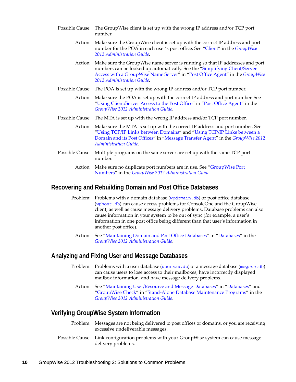- Possible Cause: The GroupWise client is set up with the wrong IP address and/or TCP port number.
	- Action: Make sure the GroupWise client is set up with the correct IP address and port number for the POA in each user's post office. See ["Client](http://www.novell.com/documentation/groupwise2012/pdfdoc/gw2012_guide_admin/gw2012_guide_admin.pdf#a7q51s6)" in the *[GroupWise](http://www.novell.com/documentation/groupwise2012/pdfdoc/gw2012_guide_admin/gw2012_guide_admin.pdf#A2zvyc4)  [2012 Administration Guide](http://www.novell.com/documentation/groupwise2012/pdfdoc/gw2012_guide_admin/gw2012_guide_admin.pdf#A2zvyc4)*.
	- Action: Make sure the GroupWise name server is running so that IP addresses and port numbers can be looked up automatically. See the "[Simplifying Client/Server](http://www.novell.com/documentation/groupwise2012/pdfdoc/gw2012_guide_admin/gw2012_guide_admin.pdf#hmlkfq3d)  [Access with a GroupWise Name Server](http://www.novell.com/documentation/groupwise2012/pdfdoc/gw2012_guide_admin/gw2012_guide_admin.pdf#hmlkfq3d)" in "[Post Office Agent"](http://www.novell.com/documentation/groupwise2012/pdfdoc/gw2012_guide_admin/gw2012_guide_admin.pdf#a84jmbe) in the *[GroupWise](http://www.novell.com/documentation/groupwise2012/pdfdoc/gw2012_guide_admin/gw2012_guide_admin.pdf#A2zvyc4)  [2012 Administration Guide](http://www.novell.com/documentation/groupwise2012/pdfdoc/gw2012_guide_admin/gw2012_guide_admin.pdf#A2zvyc4)*.
- Possible Cause: The POA is set up with the wrong IP address and/or TCP port number.
	- Action: Make sure the POA is set up with the correct IP address and port number. See "[Using Client/Server Access to the Post Office](http://www.novell.com/documentation/groupwise2012/pdfdoc/gw2012_guide_admin/gw2012_guide_admin.pdf#hwmqoxfk)" in "[Post Office Agent"](http://www.novell.com/documentation/groupwise2012/pdfdoc/gw2012_guide_admin/gw2012_guide_admin.pdf#a84jmbe) in the *[GroupWise 2012 Administration Guide](http://www.novell.com/documentation/groupwise2012/pdfdoc/gw2012_guide_admin/gw2012_guide_admin.pdf#A2zvyc4)*.
- Possible Cause: The MTA is set up with the wrong IP address and/or TCP port number.
	- Action: Make sure the MTA is set up with the correct IP address and port number. See "[Using TCP/IP Links between Domains"](http://www.novell.com/documentation/groupwise2012/pdfdoc/gw2012_guide_admin/gw2012_guide_admin.pdf#hi4xilif) and "[Using TCP/IP Links between a](http://www.novell.com/documentation/groupwise2012/pdfdoc/gw2012_guide_admin/gw2012_guide_admin.pdf#h1qbmv4r)  [Domain and its Post Offices](http://www.novell.com/documentation/groupwise2012/pdfdoc/gw2012_guide_admin/gw2012_guide_admin.pdf#h1qbmv4r)" in "[Message Transfer Agent"](http://www.novell.com/documentation/groupwise2012/pdfdoc/gw2012_guide_admin/gw2012_guide_admin.pdf#a7q4zpk) in the *[GroupWise 2012](http://www.novell.com/documentation/groupwise2012/pdfdoc/gw2012_guide_admin/gw2012_guide_admin.pdf#A2zvyc4)  [Administration Guide](http://www.novell.com/documentation/groupwise2012/pdfdoc/gw2012_guide_admin/gw2012_guide_admin.pdf#A2zvyc4)*.
- Possible Cause: Multiple programs on the same server are set up with the same TCP port number.
	- Action: Make sure no duplicate port numbers are in use. See "GroupWise Port Numbers" in the *[GroupWise 2012 Administration Guide](http://www.novell.com/documentation/groupwise2012/pdfdoc/gw2012_guide_admin/gw2012_guide_admin.pdf#A2zvyc4)*.

#### <span id="page-9-0"></span>**Recovering and Rebuilding Domain and Post Office Databases**

- Problem: Problems with a domain database ([wpdomain.db](http://www.novell.com/documentation/groupwise2012/pdfdoc/gw2012_guide_tsh3/gw2012_guide_tsh3.pdf#a3ec28k)) or post office database ([wphost.db](http://www.novell.com/documentation/groupwise2012/pdfdoc/gw2012_guide_tsh3/gw2012_guide_tsh3.pdf#a3edzdk)) can cause access problems for ConsoleOne and the GroupWise client, as well as cause message delivery problems. Database problems can also cause information in your system to be out of sync (for example, a user's information in one post office being different than that user's information in another post office).
	- Action: See ["Maintaining Domain and Post Office Databases"](http://www.novell.com/documentation/groupwise2012/pdfdoc/gw2012_guide_admin/gw2012_guide_admin.pdf#abbtdrb) in "[Databases](http://www.novell.com/documentation/groupwise2012/pdfdoc/gw2012_guide_admin/gw2012_guide_admin.pdf#a8n802e)" in the *[GroupWise 2012 Administration Guide](http://www.novell.com/documentation/groupwise2012/pdfdoc/gw2012_guide_admin/gw2012_guide_admin.pdf#A2zvyc4)*.

#### <span id="page-9-1"></span>**Analyzing and Fixing User and Message Databases**

- Problem: Problems with a user database (user*xxx*[.db](http://www.novell.com/documentation/groupwise2012/pdfdoc/gw2012_guide_tsh3/gw2012_guide_tsh3.pdf#a3edsq6)) or a message database (msg*nnn*[.db](http://www.novell.com/documentation/groupwise2012/pdfdoc/gw2012_guide_tsh3/gw2012_guide_tsh3.pdf#a3edsq2)) can cause users to lose access to their mailboxes, have incorrectly displayed mailbox information, and have message delivery problems.
- Action: See ["Maintaining User/Resource and Message Databases"](http://www.novell.com/documentation/groupwise2012/pdfdoc/gw2012_guide_admin/gw2012_guide_admin.pdf#abbtgc3) in "[Databases](http://www.novell.com/documentation/groupwise2012/pdfdoc/gw2012_guide_admin/gw2012_guide_admin.pdf#a8n802e)" and ["GroupWise Check"](http://www.novell.com/documentation/groupwise2012/pdfdoc/gw2012_guide_admin/gw2012_guide_admin.pdf#a3n60l6) in "[Stand-Alone Database Maintenance Programs](http://www.novell.com/documentation/groupwise2012/pdfdoc/gw2012_guide_admin/gw2012_guide_admin.pdf#abbx8e1)" in the *[GroupWise 2012 Administration Guide](http://www.novell.com/documentation/groupwise2012/pdfdoc/gw2012_guide_admin/gw2012_guide_admin.pdf#A2zvyc4)*.

# <span id="page-9-2"></span>**Verifying GroupWise System Information**

- Problem: Messages are not being delivered to post offices or domains, or you are receiving excessive undeliverable messages.
- Possible Cause: Link configuration problems with your GroupWise system can cause message delivery problems.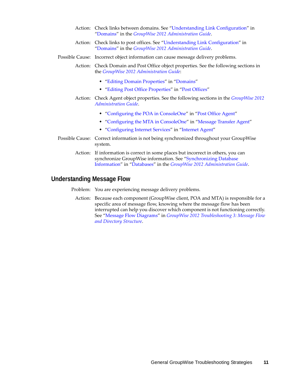- Action: Check links between domains. See ["Understanding Link Configuration](http://www.novell.com/documentation/groupwise2012/pdfdoc/gw2012_guide_admin/gw2012_guide_admin.pdf#a3a8aiv)" in ["Domains"](http://www.novell.com/documentation/groupwise2012/pdfdoc/gw2012_guide_admin/gw2012_guide_admin.pdf#a7q4vpv) in the *[GroupWise 2012 Administration Guide](http://www.novell.com/documentation/groupwise2012/pdfdoc/gw2012_guide_admin/gw2012_guide_admin.pdf#A2zvyc4)*.
- Action: Check links to post offices. See "[Understanding Link Configuration"](http://www.novell.com/documentation/groupwise2012/pdfdoc/gw2012_guide_admin/gw2012_guide_admin.pdf#a3a8aiv) in ["Domains"](http://www.novell.com/documentation/groupwise2012/pdfdoc/gw2012_guide_admin/gw2012_guide_admin.pdf#a7q4vpv) in the *[GroupWise 2012 Administration Guide](http://www.novell.com/documentation/groupwise2012/pdfdoc/gw2012_guide_admin/gw2012_guide_admin.pdf#A2zvyc4)*.
- Possible Cause: Incorrect object information can cause message delivery problems.
	- Action: Check Domain and Post Office object properties. See the following sections in the *[GroupWise 2012 Administration Guide](http://www.novell.com/documentation/groupwise2012/pdfdoc/gw2012_guide_admin/gw2012_guide_admin.pdf#A2zvyc4)*:
		- ["Editing Domain Properties"](http://www.novell.com/documentation/groupwise2012/pdfdoc/gw2012_guide_admin/gw2012_guide_admin.pdf#a4q5cwf) in ["Domains](http://www.novell.com/documentation/groupwise2012/pdfdoc/gw2012_guide_admin/gw2012_guide_admin.pdf#a7q4vpv)"
		- "[Editing Post Office Properties"](http://www.novell.com/documentation/groupwise2012/pdfdoc/gw2012_guide_admin/gw2012_guide_admin.pdf#a4q5ago) in "[Post Offices"](http://www.novell.com/documentation/groupwise2012/pdfdoc/gw2012_guide_admin/gw2012_guide_admin.pdf#a7q4wsn)
	- Action: Check Agent object properties. See the following sections in the *[GroupWise 2012](http://www.novell.com/documentation/groupwise2012/pdfdoc/gw2012_guide_admin/gw2012_guide_admin.pdf#A2zvyc4)  [Administration Guide](http://www.novell.com/documentation/groupwise2012/pdfdoc/gw2012_guide_admin/gw2012_guide_admin.pdf#A2zvyc4)*.
		- "[Configuring the POA in ConsoleOne"](http://www.novell.com/documentation/groupwise2012/pdfdoc/gw2012_guide_admin/gw2012_guide_admin.pdf#h0113uc3) in "[Post Office Agent](http://www.novell.com/documentation/groupwise2012/pdfdoc/gw2012_guide_admin/gw2012_guide_admin.pdf#a84jmbe)"
		- "[Configuring the MTA in ConsoleOne"](http://www.novell.com/documentation/groupwise2012/pdfdoc/gw2012_guide_admin/gw2012_guide_admin.pdf#hwg0p6ct) in "[Message Transfer Agent](http://www.novell.com/documentation/groupwise2012/pdfdoc/gw2012_guide_admin/gw2012_guide_admin.pdf#a7q4zpk)"
		- "[Configuring Internet Services](http://www.novell.com/documentation/groupwise2012/pdfdoc/gw2012_guide_admin/gw2012_guide_admin.pdf#br7deib)" in ["Internet Agent"](http://www.novell.com/documentation/groupwise2012/pdfdoc/gw2012_guide_admin/gw2012_guide_admin.pdf#a7q50pq)
- Possible Cause: Correct information is not being synchronized throughout your GroupWise system.
	- Action: If information is correct in some places but incorrect in others, you can synchronize GroupWise information. See "[Synchronizing Database](http://www.novell.com/documentation/groupwise2012/pdfdoc/gw2012_guide_admin/gw2012_guide_admin.pdf#abbtntx)  [Information](http://www.novell.com/documentation/groupwise2012/pdfdoc/gw2012_guide_admin/gw2012_guide_admin.pdf#abbtntx)" in "[Databases"](http://www.novell.com/documentation/groupwise2012/pdfdoc/gw2012_guide_admin/gw2012_guide_admin.pdf#a8n802e) in the *[GroupWise 2012 Administration Guide](http://www.novell.com/documentation/groupwise2012/pdfdoc/gw2012_guide_admin/gw2012_guide_admin.pdf#A2zvyc4)*.

### <span id="page-10-0"></span>**Understanding Message Flow**

Problem: You are experiencing message delivery problems.

Action: Because each component (GroupWise client, POA and MTA) is responsible for a specific area of message flow, knowing where the message flow has been interrupted can help you discover which component is not functioning correctly. See ["Message Flow Diagrams](http://www.novell.com/documentation/groupwise2012/pdfdoc/gw2012_guide_tsh3/gw2012_guide_tsh3.pdf#a3vx6ne)" in *[GroupWise 2012 Troubleshooting 3: Message Flow](http://www.novell.com/documentation/groupwise2012/pdfdoc/gw2012_guide_tsh3/gw2012_guide_tsh3.pdf#A4ehibh)  [and Directory Structure](http://www.novell.com/documentation/groupwise2012/pdfdoc/gw2012_guide_tsh3/gw2012_guide_tsh3.pdf#A4ehibh)*.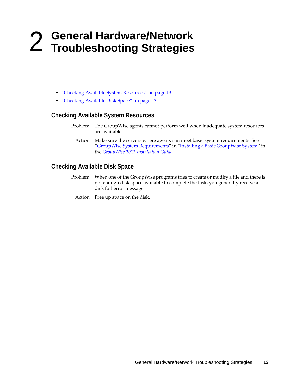# <span id="page-12-1"></span><span id="page-12-0"></span>2 <sup>2</sup>**General Hardware/Network Troubleshooting Strategies**

- ["Checking Available System Resources" on page 13](#page-12-2)
- ["Checking Available Disk Space" on page 13](#page-12-3)

# <span id="page-12-2"></span>**Checking Available System Resources**

- Problem: The GroupWise agents cannot perform well when inadequate system resources are available.
	- Action: Make sure the servers where agents run meet basic system requirements. See "[GroupWise System Requirements"](http://www.novell.com/documentation/groupwise2012/pdfdoc/gw2012_guide_install/gw2012_guide_install.pdf#bp8vh01) in ["Installing a Basic GroupWise System](http://www.novell.com/documentation/groupwise2012/pdfdoc/gw2012_guide_install/gw2012_guide_install.pdf#a8sdu5l)" in the *[GroupWise 2012 Installation Guide](http://www.novell.com/documentation/groupwise2012/pdfdoc/gw2012_guide_install/gw2012_guide_install.pdf#gw2012guideinst)*.

# <span id="page-12-3"></span>**Checking Available Disk Space**

- Problem: When one of the GroupWise programs tries to create or modify a file and there is not enough disk space available to complete the task, you generally receive a disk full error message.
	- Action: Free up space on the disk.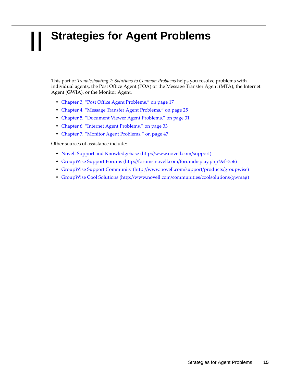# <span id="page-14-0"></span>II **Strategies for Agent Problems**

<span id="page-14-1"></span>This part of *Troubleshooting 2: Solutions to Common Problems* helps you resolve problems with individual agents, the Post Office Agent (POA) or the Message Transfer Agent (MTA), the Internet Agent (GWIA), or the Monitor Agent.

- [Chapter 3, "Post Office Agent Problems," on page 17](#page-16-1)
- [Chapter 4, "Message Transfer Agent Problems," on page 25](#page-24-1)
- [Chapter 5, "Document Viewer Agent Problems," on page 31](#page-30-1)
- [Chapter 6, "Internet Agent Problems," on page 33](#page-32-1)
- [Chapter 7, "Monitor Agent Problems," on page 47](#page-46-1)

Other sources of assistance include:

- [Novell Support and Knowledgebase](http://www.novell.com/support) (http://www.novell.com/support)
- [GroupWise Support Forums](http://forums.novell.com/forumdisplay.php?&f=356) (http://forums.novell.com/forumdisplay.php?&f=356)
- [GroupWise Support Community](http://www.novell.com/support/products/groupwise) (http://www.novell.com/support/products/groupwise)
- [GroupWise Cool Solutions](http://www.novell.com/communities/coolsolutions/gwmag) (http://www.novell.com/communities/coolsolutions/gwmag)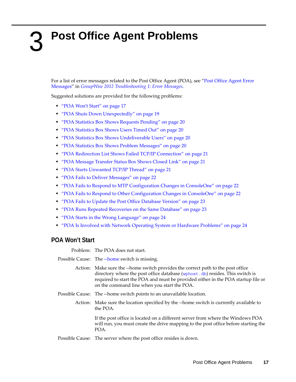# <span id="page-16-1"></span><span id="page-16-0"></span>3 <sup>3</sup>**Post Office Agent Problems**

For a list of error messages related to the Post Office Agent (POA), see ["Post Office Agent Error](http://www.novell.com/documentation/groupwise2012/pdfdoc/gw2012_guide_tsh1/gw2012_guide_tsh1.pdf#h02xldbe)  [Messages](http://www.novell.com/documentation/groupwise2012/pdfdoc/gw2012_guide_tsh1/gw2012_guide_tsh1.pdf#h02xldbe)" in *[GroupWise 2012 Troubleshooting 1: Error Messages](http://www.novell.com/documentation/groupwise2012/pdfdoc/gw2012_guide_tsh1/gw2012_guide_tsh1.pdf#A4ehiyt)*.

Suggested solutions are provided for the following problems:

- ["POA Won't Start" on page 17](#page-16-2)
- ["POA Shuts Down Unexpectedly" on page 19](#page-18-0)
- ["POA Statistics Box Shows Requests Pending" on page 20](#page-19-0)
- ["POA Statistics Box Shows Users Timed Out" on page 20](#page-19-1)
- ["POA Statistics Box Shows Undeliverable Users" on page 20](#page-19-2)
- ["POA Statistics Box Shows Problem Messages" on page 20](#page-19-3)
- ["POA Redirection List Shows Failed TCP/IP Connection" on page 21](#page-20-0)
- ["POA Message Transfer Status Box Shows Closed Link" on page 21](#page-20-1)
- ["POA Starts Unwanted TCP/IP Thread" on page 21](#page-20-2)
- ["POA Fails to Deliver Messages" on page 22](#page-21-0)
- ["POA Fails to Respond to MTP Configuration Changes in ConsoleOne" on page 22](#page-21-1)
- ["POA Fails to Respond to Other Configuration Changes in ConsoleOne" on page 22](#page-21-2)
- ["POA Fails to Update the Post Office Database Version" on page 23](#page-22-0)
- ["POA Runs Repeated Recoveries on the Same Database" on page 23](#page-22-1)
- ["POA Starts in the Wrong Language" on page 24](#page-23-0)
- ["POA Is Involved with Network Operating System or Hardware Problems" on page 24](#page-23-1)

### <span id="page-16-2"></span>**POA Won't Start**

Problem: The POA does not start.

Possible Cause: The [--home](http://www.novell.com/documentation/groupwise2012/pdfdoc/gw2012_guide_admin/gw2012_guide_admin.pdf#hctg5sgk) switch is missing.

- Action: Make sure the --home switch provides the correct path to the post office directory where the post office database ([wphost.db](http://www.novell.com/documentation/groupwise2012/pdfdoc/gw2012_guide_tsh3/gw2012_guide_tsh3.pdf#a3edzdk)) resides. This switch is required to start the POA and must be provided either in the POA startup file or on the command line when you start the POA.
- Possible Cause: The --home switch points to an unavailable location.
	- Action: Make sure the location specified by the --home switch is currently available to the POA.

If the post office is located on a different server from where the Windows POA will run, you must create the drive mapping to the post office before starting the POA.

Possible Cause: The server where the post office resides is down.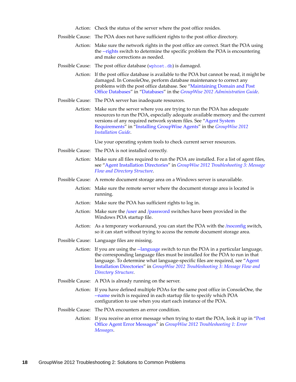| Action: Check the status of the server where the post office resides. |
|-----------------------------------------------------------------------|
|-----------------------------------------------------------------------|

- Possible Cause: The POA does not have sufficient rights to the post office directory.
	- Action: Make sure the network rights in the post office are correct. Start the POA using the [--rights](http://www.novell.com/documentation/groupwise2012/pdfdoc/gw2012_guide_admin/gw2012_guide_admin.pdf#hbd217f8) switch to determine the specific problem the POA is encountering and make corrections as needed.
- Possible Cause: The post office database ([wphost.db](http://www.novell.com/documentation/groupwise2012/pdfdoc/gw2012_guide_tsh3/gw2012_guide_tsh3.pdf#a3edzdk)) is damaged.
	- Action: If the post office database is available to the POA but cannot be read, it might be damaged. In ConsoleOne, perform database maintenance to correct any problems with the post office database. See "[Maintaining Domain and Post](http://www.novell.com/documentation/groupwise2012/pdfdoc/gw2012_guide_admin/gw2012_guide_admin.pdf#abbtdrb)  [Office Databases"](http://www.novell.com/documentation/groupwise2012/pdfdoc/gw2012_guide_admin/gw2012_guide_admin.pdf#abbtdrb) in "[Databases](http://www.novell.com/documentation/groupwise2012/pdfdoc/gw2012_guide_admin/gw2012_guide_admin.pdf#a8n802e)" in the *[GroupWise 2012 Administration Guide](http://www.novell.com/documentation/groupwise2012/pdfdoc/gw2012_guide_admin/gw2012_guide_admin.pdf#A2zvyc4)*.
- Possible Cause: The POA server has inadequate resources.
	- Action: Make sure the server where you are trying to run the POA has adequate resources to run the POA, especially adequate available memory and the current versions of any required network system files. See ["Agent System](http://www.novell.com/documentation/groupwise2012/pdfdoc/gw2012_guide_install/gw2012_guide_install.pdf#bpcgnfq)  [Requirements"](http://www.novell.com/documentation/groupwise2012/pdfdoc/gw2012_guide_install/gw2012_guide_install.pdf#bpcgnfq) in ["Installing GroupWise Agents](http://www.novell.com/documentation/groupwise2012/pdfdoc/gw2012_guide_install/gw2012_guide_install.pdf#a8pam03)" in the *[GroupWise 2012](http://www.novell.com/documentation/groupwise2012/pdfdoc/gw2012_guide_install/gw2012_guide_install.pdf#gw2012guideinst)  [Installation Guide](http://www.novell.com/documentation/groupwise2012/pdfdoc/gw2012_guide_install/gw2012_guide_install.pdf#gw2012guideinst)*.

Use your operating system tools to check current server resources.

- Possible Cause: The POA is not installed correctly.
	- Action: Make sure all files required to run the POA are installed. For a list of agent files, see ["Agent Installation Directories"](http://www.novell.com/documentation/groupwise2012/pdfdoc/gw2012_guide_tsh3/gw2012_guide_tsh3.pdf#h20ibbf0) in *[GroupWise 2012 Troubleshooting 3: Message](http://www.novell.com/documentation/groupwise2012/pdfdoc/gw2012_guide_tsh3/gw2012_guide_tsh3.pdf#A4ehibh)  [Flow and Directory Structure](http://www.novell.com/documentation/groupwise2012/pdfdoc/gw2012_guide_tsh3/gw2012_guide_tsh3.pdf#A4ehibh)*.
- Possible Cause: A remote document storage area on a Windows server is unavailable.
	- Action: Make sure the remote server where the document storage area is located is running.
	- Action: Make sure the POA has sufficient rights to log in.
	- Action: Make sure the [/user](http://www.novell.com/documentation/groupwise2012/pdfdoc/gw2012_guide_admin/gw2012_guide_admin.pdf#hmjuoyrc) and [/password](http://www.novell.com/documentation/groupwise2012/pdfdoc/gw2012_guide_admin/gw2012_guide_admin.pdf#hkhhjmya) switches have been provided in the Windows POA startup file.
	- Action: As a temporary workaround, you can start the POA with the [/noconfig](http://www.novell.com/documentation/groupwise2012/pdfdoc/gw2012_guide_admin/gw2012_guide_admin.pdf#hh40zgbu) switch, so it can start without trying to access the remote document storage area.
- Possible Cause: Language files are missing.

Action: If you are using the [--language](http://www.novell.com/documentation/groupwise2012/pdfdoc/gw2012_guide_admin/gw2012_guide_admin.pdf#hg4rhbzq) switch to run the POA in a particular language, the corresponding language files must be installed for the POA to run in that language. To determine what language-specific files are required, see ["Agent](http://www.novell.com/documentation/groupwise2012/pdfdoc/gw2012_guide_tsh3/gw2012_guide_tsh3.pdf#h20ibbf0)  [Installation Directories"](http://www.novell.com/documentation/groupwise2012/pdfdoc/gw2012_guide_tsh3/gw2012_guide_tsh3.pdf#h20ibbf0) in *[GroupWise 2012 Troubleshooting 3: Message Flow and](http://www.novell.com/documentation/groupwise2012/pdfdoc/gw2012_guide_tsh3/gw2012_guide_tsh3.pdf#A4ehibh)  [Directory Structure](http://www.novell.com/documentation/groupwise2012/pdfdoc/gw2012_guide_tsh3/gw2012_guide_tsh3.pdf#A4ehibh)*.

- Possible Cause: A POA is already running on the server.
	- Action: If you have defined multiple POAs for the same post office in ConsoleOne, the [--name](http://www.novell.com/documentation/groupwise2012/pdfdoc/gw2012_guide_admin/gw2012_guide_admin.pdf#hqu2pg7a) switch is required in each startup file to specify which POA configuration to use when you start each instance of the POA.
- Possible Cause: The POA encounters an error condition.
	- Action: If you receive an error message when trying to start the POA, look it up in "[Post](http://www.novell.com/documentation/groupwise2012/pdfdoc/gw2012_guide_tsh1/gw2012_guide_tsh1.pdf#h02xldbe)  [Office Agent Error Messages](http://www.novell.com/documentation/groupwise2012/pdfdoc/gw2012_guide_tsh1/gw2012_guide_tsh1.pdf#h02xldbe)" in *[GroupWise 2012 Troubleshooting 1: Error](http://www.novell.com/documentation/groupwise2012/pdfdoc/gw2012_guide_tsh1/gw2012_guide_tsh1.pdf#A4ehiyt)  [Messages](http://www.novell.com/documentation/groupwise2012/pdfdoc/gw2012_guide_tsh1/gw2012_guide_tsh1.pdf#A4ehiyt)*.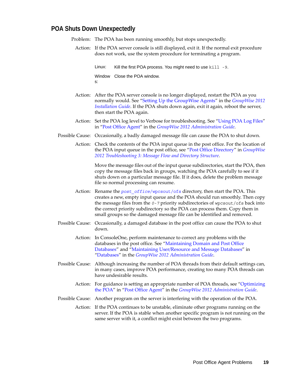### <span id="page-18-0"></span>**POA Shuts Down Unexpectedly**

Problem: The POA has been running smoothly, but stops unexpectedly.

Action: If the POA server console is still displayed, exit it. If the normal exit procedure does not work, use the system procedure for terminating a program.

> Linux: Kill the first POA process. You might need to use kill -9. Window Close the POA window.s:

- Action: After the POA server console is no longer displayed, restart the POA as you normally would. See "[Setting Up the GroupWise Agents](http://www.novell.com/documentation/groupwise2012/pdfdoc/gw2012_guide_install/gw2012_guide_install.pdf#bpcgnt9)" in the *[GroupWise 2012](http://www.novell.com/documentation/groupwise2012/pdfdoc/gw2012_guide_install/gw2012_guide_install.pdf#gw2012guideinst)  [Installation Guide](http://www.novell.com/documentation/groupwise2012/pdfdoc/gw2012_guide_install/gw2012_guide_install.pdf#gw2012guideinst)*. If the POA shuts down again, exit it again, reboot the server, then start the POA again.
- Action: Set the POA log level to Verbose for troubleshooting. See "[Using POA Log Files"](http://www.novell.com/documentation/groupwise2012/pdfdoc/gw2012_guide_admin/gw2012_guide_admin.pdf#a7u9jel) in ["Post Office Agent"](http://www.novell.com/documentation/groupwise2012/pdfdoc/gw2012_guide_admin/gw2012_guide_admin.pdf#a84jmbe) in the *[GroupWise 2012 Administration Guide](http://www.novell.com/documentation/groupwise2012/pdfdoc/gw2012_guide_admin/gw2012_guide_admin.pdf#A2zvyc4)*.
- Possible Cause: Occasionally, a badly damaged message file can cause the POA to shut down.
	- Action: Check the contents of the POA input queue in the post office. For the location of the POA input queue in the post office, see "[Post Office Directory](http://www.novell.com/documentation/groupwise2012/pdfdoc/gw2012_guide_tsh3/gw2012_guide_tsh3.pdf#h6rf9mws)" in *[GroupWise](http://www.novell.com/documentation/groupwise2012/pdfdoc/gw2012_guide_tsh3/gw2012_guide_tsh3.pdf#A4ehibh)  [2012 Troubleshooting 3: Message Flow and Directory Structure](http://www.novell.com/documentation/groupwise2012/pdfdoc/gw2012_guide_tsh3/gw2012_guide_tsh3.pdf#A4ehibh)*.

Move the message files out of the input queue subdirectories, start the POA, then copy the message files back in groups, watching the POA carefully to see if it shuts down on a particular message file. If it does, delete the problem message file so normal processing can resume.

- Action: Rename the *post\_office*[/wpcsout/ofs](http://www.novell.com/documentation/groupwise2012/pdfdoc/gw2012_guide_tsh3/gw2012_guide_tsh3.pdf#a3edx6o) directory, then start the POA. This creates a new, empty input queue and the POA should run smoothly. Then copy the message files from the *0-7* priority subdirectories of wpcsout/ofs back into the correct priority subdirectory so the POA can process them. Copy them in small groups so the damaged message file can be identified and removed.
- Possible Cause: Occasionally, a damaged database in the post office can cause the POA to shut down.
	- Action: In ConsoleOne, perform maintenance to correct any problems with the databases in the post office. See ["Maintaining Domain and Post Office](http://www.novell.com/documentation/groupwise2012/pdfdoc/gw2012_guide_admin/gw2012_guide_admin.pdf#abbtdrb)  [Databases"](http://www.novell.com/documentation/groupwise2012/pdfdoc/gw2012_guide_admin/gw2012_guide_admin.pdf#abbtdrb) and "[Maintaining User/Resource and Message Databases](http://www.novell.com/documentation/groupwise2012/pdfdoc/gw2012_guide_admin/gw2012_guide_admin.pdf#abbtgc3)" in ["Databases"](http://www.novell.com/documentation/groupwise2012/pdfdoc/gw2012_guide_admin/gw2012_guide_admin.pdf#a8n802e) in the *[GroupWise 2012 Administration Guide](http://www.novell.com/documentation/groupwise2012/pdfdoc/gw2012_guide_admin/gw2012_guide_admin.pdf#A2zvyc4)*.
- Possible Cause: Although increasing the number of POA threads from their default settings can, in many cases, improve POA performance, creating too many POA threads can have undesirable results.
	- Action: For guidance is setting an appropriate number of POA threads, see "[Optimizing](http://www.novell.com/documentation/groupwise2012/pdfdoc/gw2012_guide_admin/gw2012_guide_admin.pdf#hx0rwd73)  [the POA](http://www.novell.com/documentation/groupwise2012/pdfdoc/gw2012_guide_admin/gw2012_guide_admin.pdf#hx0rwd73)" in "[Post Office Agent](http://www.novell.com/documentation/groupwise2012/pdfdoc/gw2012_guide_admin/gw2012_guide_admin.pdf#a84jmbe)" in the *[GroupWise 2012 Administration Guide](http://www.novell.com/documentation/groupwise2012/pdfdoc/gw2012_guide_admin/gw2012_guide_admin.pdf#A2zvyc4)*.
- Possible Cause: Another program on the server is interfering with the operation of the POA.

Action: If the POA continues to be unstable, eliminate other programs running on the server. If the POA is stable when another specific program is not running on the same server with it, a conflict might exist between the two programs.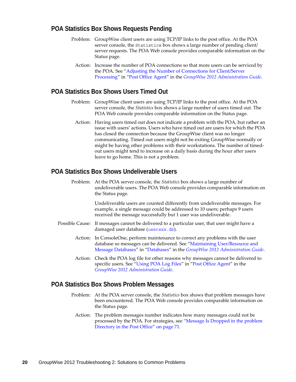# <span id="page-19-0"></span>**POA Statistics Box Shows Requests Pending**

- Problem: GroupWise client users are using TCP/IP links to the post office. At the POA server console, the Statistics box shows a large number of pending client/ server requests. The POA Web console provides comparable information on the Status page.
	- Action: Increase the number of POA connections so that more users can be serviced by the POA. See ["Adjusting the Number of Connections for Client/Server](http://www.novell.com/documentation/groupwise2012/pdfdoc/gw2012_guide_admin/gw2012_guide_admin.pdf#h5zfe0iy)  [Processing](http://www.novell.com/documentation/groupwise2012/pdfdoc/gw2012_guide_admin/gw2012_guide_admin.pdf#h5zfe0iy)" in ["Post Office Agent"](http://www.novell.com/documentation/groupwise2012/pdfdoc/gw2012_guide_admin/gw2012_guide_admin.pdf#a84jmbe) in the *[GroupWise 2012 Administration Guide](http://www.novell.com/documentation/groupwise2012/pdfdoc/gw2012_guide_admin/gw2012_guide_admin.pdf#A2zvyc4)*.

# <span id="page-19-1"></span>**POA Statistics Box Shows Users Timed Out**

- Problem: GroupWise client users are using TCP/IP links to the post office. At the POA server console, the *Statistics* box shows a large number of users timed out. The POA Web console provides comparable information on the Status page.
	- Action: Having users timed out does not indicate a problem with the POA, but rather an issue with users' actions. Users who have timed out are users for which the POA has closed the connection because the GroupWise client was no longer communicating. Timed out users might not be exiting GroupWise normally or might be having other problems with their workstations. The number of timedout users might tend to increase on a daily basis during the hour after users leave to go home. This is not a problem.

# <span id="page-19-2"></span>**POA Statistics Box Shows Undeliverable Users**

Problem: At the POA server console, the *Statistics* box shows a large number of undeliverable users. The POA Web console provides comparable information on the Status page.

> Undeliverable users are counted differently from undeliverable messages. For example, a single message could be addressed to 10 users; perhaps 9 users received the message successfully but 1 user was undeliverable.

- Possible Cause: If messages cannot be delivered to a particular user, that user might have a damaged user database (user*xxx*[.db](http://www.novell.com/documentation/groupwise2012/pdfdoc/gw2012_guide_tsh3/gw2012_guide_tsh3.pdf#a3edsq6)).
	- Action: In ConsoleOne, perform maintenance to correct any problems with the user database so messages can be delivered. See ["Maintaining User/Resource and](http://www.novell.com/documentation/groupwise2012/pdfdoc/gw2012_guide_admin/gw2012_guide_admin.pdf#abbtgc3)  [Message Databases](http://www.novell.com/documentation/groupwise2012/pdfdoc/gw2012_guide_admin/gw2012_guide_admin.pdf#abbtgc3)" in ["Databases"](http://www.novell.com/documentation/groupwise2012/pdfdoc/gw2012_guide_admin/gw2012_guide_admin.pdf#a8n802e) in the *[GroupWise 2012 Administration Guide](http://www.novell.com/documentation/groupwise2012/pdfdoc/gw2012_guide_admin/gw2012_guide_admin.pdf#A2zvyc4)*.
	- Action: Check the POA log file for other reasons why messages cannot be delivered to specific users. See ["Using POA Log Files](http://www.novell.com/documentation/groupwise2012/pdfdoc/gw2012_guide_admin/gw2012_guide_admin.pdf#a7u9jel)" in "[Post Office Agent](http://www.novell.com/documentation/groupwise2012/pdfdoc/gw2012_guide_admin/gw2012_guide_admin.pdf#a84jmbe)" in the *[GroupWise 2012 Administration Guide](http://www.novell.com/documentation/groupwise2012/pdfdoc/gw2012_guide_admin/gw2012_guide_admin.pdf#A2zvyc4)*.

#### <span id="page-19-3"></span>**POA Statistics Box Shows Problem Messages**

- Problem: At the POA server console, the *Statistics* box shows that problem messages have been encountered. The POA Web console provides comparable information on the Status page.
	- Action: The problem messages number indicates how many messages could not be processed by the POA. For strategies, see ["Message Is Dropped in the problem](#page-70-1)  [Directory in the Post Office" on page 71](#page-70-1).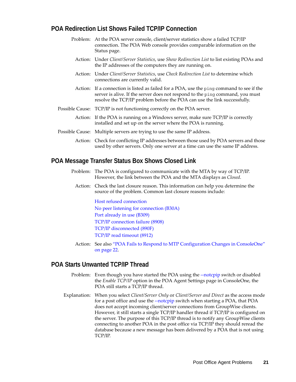# <span id="page-20-0"></span>**POA Redirection List Shows Failed TCP/IP Connection**

- Problem: At the POA server console, client/server statistics show a failed TCP/IP connection. The POA Web console provides comparable information on the Status page.
	- Action: Under *Client/Server Statistics*, use *Show Redirection List* to list existing POAs and the IP addresses of the computers they are running on.
	- Action: Under *Client/Server Statistics*, use *Check Redirection List* to determine which connections are currently valid.
	- Action: If a connection is listed as failed for a POA, use the ping command to see if the server is alive. If the server does not respond to the ping command, you must resolve the TCP/IP problem before the POA can use the link successfully.
- Possible Cause: TCP/IP is not functioning correctly on the POA server.
	- Action: If the POA is running on a Windows server, make sure TCP/IP is correctly installed and set up on the server where the POA is running.
- Possible Cause: Multiple servers are trying to use the same IP address.
	- Action: Check for conflicting IP addresses between those used by POA servers and those used by other servers. Only one server at a time can use the same IP address.

### <span id="page-20-1"></span>**POA Message Transfer Status Box Shows Closed Link**

- Problem: The POA is configured to communicate with the MTA by way of TCP/IP. However, the link between the POA and the MTA displays as *Closed*.
	- Action: Check the last closure reason. This information can help you determine the source of the problem. Common last closure reasons include:

[Host refused connection](http://www.novell.com/documentation/groupwise2012/pdfdoc/gw2012_guide_tsh1/gw2012_guide_tsh1.pdf#hxx2n5v5) [No peer listening for connection \(B30A\)](http://www.novell.com/documentation/groupwise2012/pdfdoc/gw2012_guide_tsh1/gw2012_guide_tsh1.pdf#he36vj65) [Port already in use \(B309\)](http://www.novell.com/documentation/groupwise2012/pdfdoc/gw2012_guide_tsh1/gw2012_guide_tsh1.pdf#hr2c0ltu) [TCP/IP connection failure \(8908\)](http://www.novell.com/documentation/groupwise2012/pdfdoc/gw2012_guide_tsh1/gw2012_guide_tsh1.pdf#babbgedf) [TCP/IP disconnected \(890F\)](http://www.novell.com/documentation/groupwise2012/pdfdoc/gw2012_guide_tsh1/gw2012_guide_tsh1.pdf#hk15eh72) [TCP/IP read timeout \(8912\)](http://www.novell.com/documentation/groupwise2012/pdfdoc/gw2012_guide_tsh1/gw2012_guide_tsh1.pdf#hn0cg5km)

Action: See also ["POA Fails to Respond to MTP Configuration Changes in ConsoleOne"](#page-21-1)  [on page 22.](#page-21-1)

# <span id="page-20-2"></span>**POA Starts Unwanted TCP/IP Thread**

- Problem: Even though you have started the POA using the [--notcpip](http://www.novell.com/documentation/groupwise2012/pdfdoc/gw2012_guide_admin/gw2012_guide_admin.pdf#Ho6sltd5) switch or disabled the *Enable TCP/IP* option in the POA Agent Settings page in ConsoleOne, the POA still starts a TCP/IP thread.
- Explanation: When you select *Client/Server Only* or *Client/Server and Direct* as the access mode for a post office and use the [--notcpip](http://www.novell.com/documentation/groupwise2012/pdfdoc/gw2012_guide_admin/gw2012_guide_admin.pdf#ho6sltd5) switch when starting a POA, that POA does not accept incoming client/server connections from GroupWise clients. However, it still starts a single TCP/IP handler thread if TCP/IP is configured on the server. The purpose of this TCP/IP thread is to notify any GroupWise clients connecting to another POA in the post office via TCP/IP they should reread the database because a new message has been delivered by a POA that is not using TCP/IP.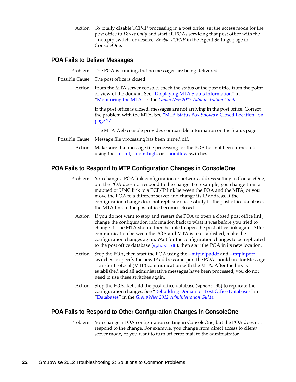Action: To totally disable TCP/IP processing in a post office, set the access mode for the post office to *Direct Only* and start all POAs servicing that post office with the --notcpip switch, or deselect *Enable TCP/IP* in the Agent Settings page in ConsoleOne.

### <span id="page-21-0"></span>**POA Fails to Deliver Messages**

Problem: The POA is running, but no messages are being delivered.

- Possible Cause: The post office is closed.
	- Action: From the MTA server console, check the status of the post office from the point of view of the domain. See "[Displaying MTA Status Information"](http://www.novell.com/documentation/groupwise2012/pdfdoc/gw2012_guide_admin/gw2012_guide_admin.pdf#hfzdfja8) in ["Monitoring the MTA](http://www.novell.com/documentation/groupwise2012/pdfdoc/gw2012_guide_admin/gw2012_guide_admin.pdf#a530rmt)" in the *[GroupWise 2012 Administration Guide](http://www.novell.com/documentation/groupwise2012/pdfdoc/gw2012_guide_admin/gw2012_guide_admin.pdf#A2zvyc4)*.

If the post office is closed, messages are not arriving in the post office. Correct the problem with the MTA. See ["MTA Status Box Shows a Closed Location" on](#page-26-0)  [page 27.](#page-26-0)

The MTA Web console provides comparable information on the Status page.

- Possible Cause: Message file processing has been turned off.
	- Action: Make sure that message file processing for the POA has not been turned off using the [--nomf](http://www.novell.com/documentation/groupwise2012/pdfdoc/gw2012_guide_admin/gw2012_guide_admin.pdf#hdolgx29), [--nomfhigh,](http://www.novell.com/documentation/groupwise2012/pdfdoc/gw2012_guide_admin/gw2012_guide_admin.pdf#hky2n08x) or [--nomflow](http://www.novell.com/documentation/groupwise2012/pdfdoc/gw2012_guide_admin/gw2012_guide_admin.pdf#hfsuvetl) switches.

# <span id="page-21-1"></span>**POA Fails to Respond to MTP Configuration Changes in ConsoleOne**

- Problem: You change a POA link configuration or network address setting in ConsoleOne, but the POA does not respond to the change. For example, you change from a mapped or UNC link to a TCP/IP link between the POA and the MTA, or you move the POA to a different server and change its IP address. If the configuration change does not replicate successfully to the post office database, the MTA link to the post office becomes closed.
	- Action: If you do not want to stop and restart the POA to open a closed post office link, change the configuration information back to what it was before you tried to change it. The MTA should then be able to open the post office link again. After communication between the POA and MTA is re-established, make the configuration changes again. Wait for the configuration changes to be replicated to the post office database ([wphost.db](http://www.novell.com/documentation/groupwise2012/pdfdoc/gw2012_guide_tsh3/gw2012_guide_tsh3.pdf#a3edzdk)), then start the POA in its new location.
	- Action: Stop the POA, then start the POA using the [--mtpinipaddr](http://www.novell.com/documentation/groupwise2012/pdfdoc/gw2012_guide_admin/gw2012_guide_admin.pdf#aasstks) and [--mtpinport](http://www.novell.com/documentation/groupwise2012/pdfdoc/gw2012_guide_admin/gw2012_guide_admin.pdf#Aasstn3) switches to specify the new IP address and port the POA should use for Message Transfer Protocol (MTP) communication with the MTA. After the link is established and all administrative messages have been processed, you do not need to use these switches again.
	- Action: Stop the POA. Rebuild the post office database (wphost.db) to replicate the configuration changes. See ["Rebuilding Domain or Post Office Databases](http://www.novell.com/documentation/groupwise2012/pdfdoc/gw2012_guide_admin/gw2012_guide_admin.pdf#a3n5dhl)" in "[Databases"](http://www.novell.com/documentation/groupwise2012/pdfdoc/gw2012_guide_admin/gw2012_guide_admin.pdf#a8n802e) in the *[GroupWise 2012 Administration Guide](http://www.novell.com/documentation/groupwise2012/pdfdoc/gw2012_guide_admin/gw2012_guide_admin.pdf#A2zvyc4)*.

# <span id="page-21-2"></span>**POA Fails to Respond to Other Configuration Changes in ConsoleOne**

Problem: You change a POA configuration setting in ConsoleOne, but the POA does not respond to the change. For example, you change from direct access to client/ server mode, or you want to turn off error mail to the administrator.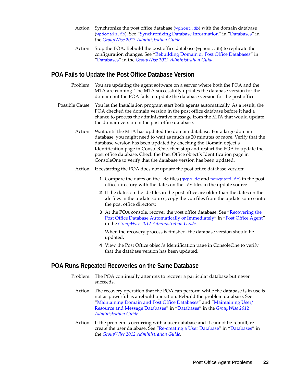- Action: Synchronize the post office database ([wphost.db](http://www.novell.com/documentation/groupwise2012/pdfdoc/gw2012_guide_tsh3/gw2012_guide_tsh3.pdf#a3edzdk)) with the domain database ([wpdomain.db](http://www.novell.com/documentation/groupwise2012/pdfdoc/gw2012_guide_tsh3/gw2012_guide_tsh3.pdf#a3ec28k)). See ["Synchronizing Database Information](http://www.novell.com/documentation/groupwise2012/pdfdoc/gw2012_guide_admin/gw2012_guide_admin.pdf#abbtntx)" in ["Databases"](http://www.novell.com/documentation/groupwise2012/pdfdoc/gw2012_guide_admin/gw2012_guide_admin.pdf#a8n802e) in the *[GroupWise 2012 Administration Guide](http://www.novell.com/documentation/groupwise2012/pdfdoc/gw2012_guide_admin/gw2012_guide_admin.pdf#A2zvyc4)*.
- Action: Stop the POA. Rebuild the post office database (wphost.db) to replicate the configuration changes. See ["Rebuilding Domain or Post Office Databases](http://www.novell.com/documentation/groupwise2012/pdfdoc/gw2012_guide_admin/gw2012_guide_admin.pdf#a3n5dhl)" in "[Databases"](http://www.novell.com/documentation/groupwise2012/pdfdoc/gw2012_guide_admin/gw2012_guide_admin.pdf#a8n802e) in the *[GroupWise 2012 Administration Guide](http://www.novell.com/documentation/groupwise2012/pdfdoc/gw2012_guide_admin/gw2012_guide_admin.pdf#A2zvyc4)*.

# <span id="page-22-0"></span>**POA Fails to Update the Post Office Database Version**

- Problem: You are updating the agent software on a server where both the POA and the MTA are running. The MTA successfully updates the database version for the domain but the POA fails to update the database version for the post office.
- Possible Cause: You let the Installation program start both agents automatically. As a result, the POA checked the domain version in the post office database before it had a chance to process the administrative message from the MTA that would update the domain version in the post office database.
	- Action: Wait until the MTA has updated the domain database. For a large domain database, you might need to wait as much as 20 minutes or more. Verify that the database version has been updated by checking the Domain object's Identification page in ConsoleOne, then stop and restart the POA to update the post office database. Check the Post Office object's Identification page in ConsoleOne to verify that the database version has been updated.
	- Action: If restarting the POA does not update the post office database version:
		- **1** Compare the dates on the .dc files ([gwpo.dc](http://www.novell.com/documentation/groupwise2012/pdfdoc/gw2012_guide_tsh3/gw2012_guide_tsh3.pdf#a3edzdk) and [ngwguard.dc](http://www.novell.com/documentation/groupwise2012/pdfdoc/gw2012_guide_tsh3/gw2012_guide_tsh3.pdf#a3edzdk)) in the post office directory with the dates on the .dc files in the update source .
		- **2** If the dates on the .dc files in the post office are older than the dates on the .dc files in the update source, copy the .dc files from the update source into the post office directory.
		- **3** At the POA console, recover the post office database. See ["Recovering the](http://www.novell.com/documentation/groupwise2012/pdfdoc/gw2012_guide_admin/gw2012_guide_admin.pdf#heri4f0q)  [Post Office Database Automatically or Immediately](http://www.novell.com/documentation/groupwise2012/pdfdoc/gw2012_guide_admin/gw2012_guide_admin.pdf#heri4f0q)" in "[Post Office Agent"](http://www.novell.com/documentation/groupwise2012/pdfdoc/gw2012_guide_admin/gw2012_guide_admin.pdf#a84jmbe) in the *[GroupWise 2012 Administration Guide](http://www.novell.com/documentation/groupwise2012/pdfdoc/gw2012_guide_admin/gw2012_guide_admin.pdf#A2zvyc4)*.

When the recovery process is finished, the database version should be updated.

**4** View the Post Office object's Identification page in ConsoleOne to verify that the database version has been updated.

# <span id="page-22-1"></span>**POA Runs Repeated Recoveries on the Same Database**

- Problem: The POA continually attempts to recover a particular database but never succeeds.
	- Action: The recovery operation that the POA can perform while the database is in use is not as powerful as a rebuild operation. Rebuild the problem database. See "[Maintaining Domain and Post Office Databases"](http://www.novell.com/documentation/groupwise2012/pdfdoc/gw2012_guide_admin/gw2012_guide_admin.pdf#abbtdrb) and "[Maintaining User/](http://www.novell.com/documentation/groupwise2012/pdfdoc/gw2012_guide_admin/gw2012_guide_admin.pdf#abbtgc3) [Resource and Message Databases"](http://www.novell.com/documentation/groupwise2012/pdfdoc/gw2012_guide_admin/gw2012_guide_admin.pdf#abbtgc3) in ["Databases](http://www.novell.com/documentation/groupwise2012/pdfdoc/gw2012_guide_admin/gw2012_guide_admin.pdf#a8n802e)" in the *[GroupWise 2012](http://www.novell.com/documentation/groupwise2012/pdfdoc/gw2012_guide_admin/gw2012_guide_admin.pdf#A2zvyc4)  [Administration Guide](http://www.novell.com/documentation/groupwise2012/pdfdoc/gw2012_guide_admin/gw2012_guide_admin.pdf#A2zvyc4)*.
	- Action: If the problem is occurring with a user database and it cannot be rebuilt, recreate the user database. See "[Re-creating a User Database](http://www.novell.com/documentation/groupwise2012/pdfdoc/gw2012_guide_admin/gw2012_guide_admin.pdf#a3n5l5n)" in "[Databases"](http://www.novell.com/documentation/groupwise2012/pdfdoc/gw2012_guide_admin/gw2012_guide_admin.pdf#a8n802e) in the *[GroupWise 2012 Administration Guide](http://www.novell.com/documentation/groupwise2012/pdfdoc/gw2012_guide_admin/gw2012_guide_admin.pdf#A2zvyc4)*.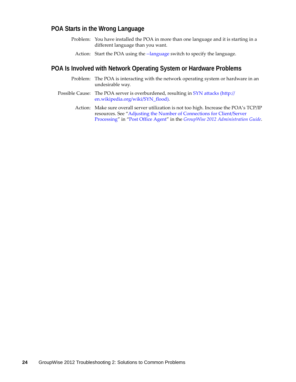# <span id="page-23-0"></span>**POA Starts in the Wrong Language**

- Problem: You have installed the POA in more than one language and it is starting in a different language than you want.
	- Action: Start the POA using the [--language](http://www.novell.com/documentation/groupwise2012/pdfdoc/gw2012_guide_admin/gw2012_guide_admin.pdf#hg4rhbzq) switch to specify the language.

# <span id="page-23-1"></span>**POA Is Involved with Network Operating System or Hardware Problems**

- Problem: The POA is interacting with the network operating system or hardware in an undesirable way.
- Possible Cause: The POA server is overburdened, resulting in [SYN attacks](http://en.wikipedia.org/wiki/SYN_flood) (http:// en.wikipedia.org/wiki/SYN\_flood).
	- Action: Make sure overall server utilization is not too high. Increase the POA's TCP/IP resources. See ["Adjusting the Number of Connections for Client/Server](http://www.novell.com/documentation/groupwise2012/pdfdoc/gw2012_guide_admin/gw2012_guide_admin.pdf#h5zfe0iy)  [Processing](http://www.novell.com/documentation/groupwise2012/pdfdoc/gw2012_guide_admin/gw2012_guide_admin.pdf#h5zfe0iy)" in ["Post Office Agent"](http://www.novell.com/documentation/groupwise2012/pdfdoc/gw2012_guide_admin/gw2012_guide_admin.pdf#a84jmbe) in the *[GroupWise 2012 Administration Guide](http://www.novell.com/documentation/groupwise2012/pdfdoc/gw2012_guide_admin/gw2012_guide_admin.pdf#A2zvyc4)*.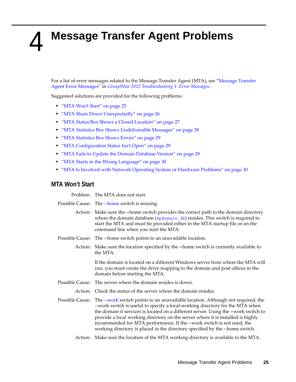# <span id="page-24-1"></span><span id="page-24-0"></span>4 <sup>4</sup>**Message Transfer Agent Problems**

For a list of error messages related to the Message Transfer Agent (MTA), see "[Message Transfer](http://www.novell.com/documentation/groupwise2012/pdfdoc/gw2012_guide_tsh1/gw2012_guide_tsh1.pdf#hiaa80ba)  [Agent Error Messages"](http://www.novell.com/documentation/groupwise2012/pdfdoc/gw2012_guide_tsh1/gw2012_guide_tsh1.pdf#hiaa80ba) in *[GroupWise 2012 Troubleshooting 1: Error Messages](http://www.novell.com/documentation/groupwise2012/pdfdoc/gw2012_guide_tsh1/gw2012_guide_tsh1.pdf#A4ehiyt)*.

Suggested solutions are provided for the following problems:

- ["MTA Won't Start" on page 25](#page-24-2)
- ["MTA Shuts Down Unexpectedly" on page 26](#page-25-0)
- ["MTA Status Box Shows a Closed Location" on page 27](#page-26-0)
- ["MTA Statistics Box Shows Undeliverable Messages" on page 28](#page-27-0)
- ["MTA Statistics Box Shows Errors" on page 29](#page-28-0)
- ["MTA Configuration Status Isn't Open" on page 29](#page-28-1)
- ["MTA Fails to Update the Domain Database Version" on page 29](#page-28-2)
- ["MTA Starts in the Wrong Language" on page 30](#page-29-0)
- ["MTA Is Involved with Network Operating System or Hardware Problems" on page 30](#page-29-1)

#### <span id="page-24-2"></span>**MTA Won't Start**

Problem: The MTA does not start.

| Possible Cause: The --home switch is missing.                                                                                                                                                                                                                                                                                                                                                                                                                                                                        |  |  |  |
|----------------------------------------------------------------------------------------------------------------------------------------------------------------------------------------------------------------------------------------------------------------------------------------------------------------------------------------------------------------------------------------------------------------------------------------------------------------------------------------------------------------------|--|--|--|
| Action: Make sure the --home switch provides the correct path to the domain directory<br>where the domain database (wpdomain.db) resides. This switch is required to<br>start the MTA and must be provided either in the MTA startup file or on the<br>command line when you start the MTA.                                                                                                                                                                                                                          |  |  |  |
| Possible Cause: The --home switch points to an unavailable location.                                                                                                                                                                                                                                                                                                                                                                                                                                                 |  |  |  |
| Action: Make sure the location specified by the --home switch is currently available to<br>the MTA.                                                                                                                                                                                                                                                                                                                                                                                                                  |  |  |  |
| If the domain is located on a different Windows server from where the MTA will<br>run, you must create the drive mapping to the domain and post offices in the<br>domain before starting the MTA.                                                                                                                                                                                                                                                                                                                    |  |  |  |
| Possible Cause: The server where the domain resides is down.                                                                                                                                                                                                                                                                                                                                                                                                                                                         |  |  |  |
| Action: Check the status of the server where the domain resides.                                                                                                                                                                                                                                                                                                                                                                                                                                                     |  |  |  |
| Possible Cause: The --work switch points to an unavailable location. Although not required, the<br>--work switch is useful to specify a local working directory for the MTA when<br>the domain it services is located on a different server. Using the --work switch to<br>provide a local working directory on the server where it is installed is highly<br>recommended for MTA performance. If the --work switch is not used, the<br>working directory is placed in the directory specified by the --home switch. |  |  |  |
| Action: Make sure the location of the MTA working directory is available to the MTA.                                                                                                                                                                                                                                                                                                                                                                                                                                 |  |  |  |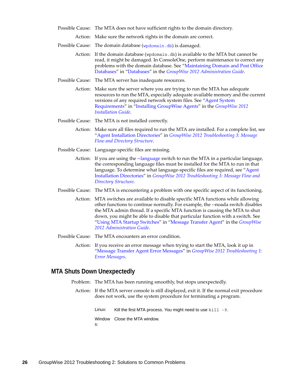Possible Cause: The MTA does not have sufficient rights to the domain directory.

Action: Make sure the network rights in the domain are correct.

- Possible Cause: The domain database ([wpdomain.db](http://www.novell.com/documentation/groupwise2012/pdfdoc/gw2012_guide_tsh3/gw2012_guide_tsh3.pdf#a3ec28k)) is damaged.
	- Action: If the domain database (wpdomain.db) is available to the MTA but cannot be read, it might be damaged. In ConsoleOne, perform maintenance to correct any problems with the domain database. See ["Maintaining Domain and Post Office](http://www.novell.com/documentation/groupwise2012/pdfdoc/gw2012_guide_admin/gw2012_guide_admin.pdf#abbtdrb)  [Databases"](http://www.novell.com/documentation/groupwise2012/pdfdoc/gw2012_guide_admin/gw2012_guide_admin.pdf#abbtdrb) in ["Databases](http://www.novell.com/documentation/groupwise2012/pdfdoc/gw2012_guide_admin/gw2012_guide_admin.pdf#a8n802e)" in the *[GroupWise 2012 Administration Guide](http://www.novell.com/documentation/groupwise2012/pdfdoc/gw2012_guide_admin/gw2012_guide_admin.pdf#A2zvyc4)*.
- Possible Cause: The MTA server has inadequate resources.
	- Action: Make sure the server where you are trying to run the MTA has adequate resources to run the MTA, especially adequate available memory and the current versions of any required network system files. See ["Agent System](http://www.novell.com/documentation/groupwise2012/pdfdoc/gw2012_guide_install/gw2012_guide_install.pdf#bpcgnfq)  [Requirements"](http://www.novell.com/documentation/groupwise2012/pdfdoc/gw2012_guide_install/gw2012_guide_install.pdf#bpcgnfq) in ["Installing GroupWise Agents](http://www.novell.com/documentation/groupwise2012/pdfdoc/gw2012_guide_install/gw2012_guide_install.pdf#a8pam03)" in the *[GroupWise 2012](http://www.novell.com/documentation/groupwise2012/pdfdoc/gw2012_guide_install/gw2012_guide_install.pdf#gw2012guideinst)  [Installation Guide](http://www.novell.com/documentation/groupwise2012/pdfdoc/gw2012_guide_install/gw2012_guide_install.pdf#gw2012guideinst)*.
- Possible Cause: The MTA is not installed correctly.
	- Action: Make sure all files required to run the MTA are installed. For a complete list, see "[Agent Installation Directories"](http://www.novell.com/documentation/groupwise2012/pdfdoc/gw2012_guide_tsh3/gw2012_guide_tsh3.pdf#h20ibbf0) in *[GroupWise 2012 Troubleshooting 3: Message](http://www.novell.com/documentation/groupwise2012/pdfdoc/gw2012_guide_tsh3/gw2012_guide_tsh3.pdf#A4ehibh)  [Flow and Directory Structure](http://www.novell.com/documentation/groupwise2012/pdfdoc/gw2012_guide_tsh3/gw2012_guide_tsh3.pdf#A4ehibh)*.
- Possible Cause: Language-specific files are missing.
	- Action: If you are using the [--language](http://www.novell.com/documentation/groupwise2012/pdfdoc/gw2012_guide_admin/gw2012_guide_admin.pdf#a5322fh) switch to run the MTA in a particular language, the corresponding language files must be installed for the MTA to run in that language. To determine what language-specific files are required, see "Agent [Installation Directories"](http://www.novell.com/documentation/groupwise2012/pdfdoc/gw2012_guide_tsh3/gw2012_guide_tsh3.pdf#h20ibbf0) in *[GroupWise 2012 Troubleshooting 3: Message Flow and](http://www.novell.com/documentation/groupwise2012/pdfdoc/gw2012_guide_tsh3/gw2012_guide_tsh3.pdf#A4ehibh)  [Directory Structure](http://www.novell.com/documentation/groupwise2012/pdfdoc/gw2012_guide_tsh3/gw2012_guide_tsh3.pdf#A4ehibh)*.
- Possible Cause: The MTA is encountering a problem with one specific aspect of its functioning.
	- Action: MTA switches are available to disable specific MTA functions while allowing other functions to continue normally. For example, the --noada switch disables the MTA admin thread. If a specific MTA function is causing the MTA to shut down, you might be able to disable that particular function with a switch. See "[Using MTA Startup Switches](http://www.novell.com/documentation/groupwise2012/pdfdoc/gw2012_guide_admin/gw2012_guide_admin.pdf#a3a7e94)" in "[Message Transfer Agent"](http://www.novell.com/documentation/groupwise2012/pdfdoc/gw2012_guide_admin/gw2012_guide_admin.pdf#a7q4zpk) in the *[GroupWise](http://www.novell.com/documentation/groupwise2012/pdfdoc/gw2012_guide_admin/gw2012_guide_admin.pdf#A2zvyc4)  [2012 Administration Guide](http://www.novell.com/documentation/groupwise2012/pdfdoc/gw2012_guide_admin/gw2012_guide_admin.pdf#A2zvyc4)*.
- Possible Cause: The MTA encounters an error condition.
	- Action: If you receive an error message when trying to start the MTA, look it up in "[Message Transfer Agent Error Messages](http://www.novell.com/documentation/groupwise2012/pdfdoc/gw2012_guide_tsh1/gw2012_guide_tsh1.pdf#hiaa80ba)" in *[GroupWise 2012 Troubleshooting 1:](http://www.novell.com/documentation/groupwise2012/pdfdoc/gw2012_guide_tsh1/gw2012_guide_tsh1.pdf#A4ehiyt)  [Error Messages](http://www.novell.com/documentation/groupwise2012/pdfdoc/gw2012_guide_tsh1/gw2012_guide_tsh1.pdf#A4ehiyt)*.

#### <span id="page-25-0"></span>**MTA Shuts Down Unexpectedly**

- Problem: The MTA has been running smoothly, but stops unexpectedly.
	- Action: If the MTA server console is still displayed, exit it. If the normal exit procedure does not work, use the system procedure for terminating a program.

Linux: Kill the first MTA process. You might need to use kill -9.

Window Close the MTA window.

s: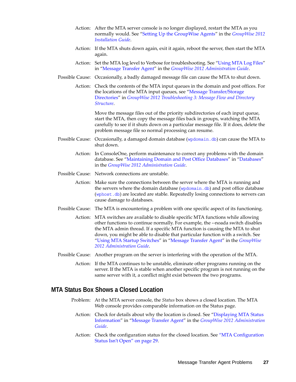- Action: After the MTA server console is no longer displayed, restart the MTA as you normally would. See "[Setting Up the GroupWise Agents](http://www.novell.com/documentation/groupwise2012/pdfdoc/gw2012_guide_install/gw2012_guide_install.pdf#bpcgnt9)" in the *[GroupWise 2012](http://www.novell.com/documentation/groupwise2012/pdfdoc/gw2012_guide_install/gw2012_guide_install.pdf#gw2012guideinst)  [Installation Guide](http://www.novell.com/documentation/groupwise2012/pdfdoc/gw2012_guide_install/gw2012_guide_install.pdf#gw2012guideinst)*.
- Action: If the MTA shuts down again, exit it again, reboot the server, then start the MTA again.
- Action: Set the MTA log level to Verbose for troubleshooting. See ["Using MTA Log Files"](http://www.novell.com/documentation/groupwise2012/pdfdoc/gw2012_guide_admin/gw2012_guide_admin.pdf#a7xzvus) in ["Message Transfer Agent"](http://www.novell.com/documentation/groupwise2012/pdfdoc/gw2012_guide_admin/gw2012_guide_admin.pdf#a7q4zpk) in the *[GroupWise 2012 Administration Guide](http://www.novell.com/documentation/groupwise2012/pdfdoc/gw2012_guide_admin/gw2012_guide_admin.pdf#A2zvyc4)*.
- Possible Cause: Occasionally, a badly damaged message file can cause the MTA to shut down.
	- Action: Check the contents of the MTA input queues in the domain and post offices. For the locations of the MTA input queues, see "[Message Transfer/Storage](http://www.novell.com/documentation/groupwise2012/pdfdoc/gw2012_guide_tsh3/gw2012_guide_tsh3.pdf#huj343fv)  [Directories](http://www.novell.com/documentation/groupwise2012/pdfdoc/gw2012_guide_tsh3/gw2012_guide_tsh3.pdf#huj343fv)" in *[GroupWise 2012 Troubleshooting 3: Message Flow and Directory](http://www.novell.com/documentation/groupwise2012/pdfdoc/gw2012_guide_tsh3/gw2012_guide_tsh3.pdf#A4ehibh)  [Structure](http://www.novell.com/documentation/groupwise2012/pdfdoc/gw2012_guide_tsh3/gw2012_guide_tsh3.pdf#A4ehibh)*.

Move the message files out of the priority subdirectories of each input queue, start the MTA, then copy the message files back in groups, watching the MTA carefully to see if it shuts down on a particular message file. If it does, delete the problem message file so normal processing can resume.

- Possible Cause: Occasionally, a damaged domain database ([wpdomain.db](http://www.novell.com/documentation/groupwise2012/pdfdoc/gw2012_guide_tsh3/gw2012_guide_tsh3.pdf#a3ec28k)) can cause the MTA to shut down.
	- Action: In ConsoleOne, perform maintenance to correct any problems with the domain database. See ["Maintaining Domain and Post Office Databases"](http://www.novell.com/documentation/groupwise2012/pdfdoc/gw2012_guide_admin/gw2012_guide_admin.pdf#abbtdrb) in "[Databases](http://www.novell.com/documentation/groupwise2012/pdfdoc/gw2012_guide_admin/gw2012_guide_admin.pdf#a8n802e)" in the *[GroupWise 2012 Administration Guide](http://www.novell.com/documentation/groupwise2012/pdfdoc/gw2012_guide_admin/gw2012_guide_admin.pdf#A2zvyc4)*.
- Possible Cause: Network connections are unstable.
	- Action: Make sure the connections between the server where the MTA is running and the servers where the domain database ([wpdomain.db](http://www.novell.com/documentation/groupwise2012/pdfdoc/gw2012_guide_tsh3/gw2012_guide_tsh3.pdf#a3ec28k)) and post office database ([wphost.db](http://www.novell.com/documentation/groupwise2012/pdfdoc/gw2012_guide_tsh3/gw2012_guide_tsh3.pdf#a3edzdk)) are located are stable. Repeatedly losing connections to servers can cause damage to databases.
- Possible Cause: The MTA is encountering a problem with one specific aspect of its functioning.
	- Action: MTA switches are available to disable specific MTA functions while allowing other functions to continue normally. For example, the --noada switch disables the MTA admin thread. If a specific MTA function is causing the MTA to shut down, you might be able to disable that particular function with a switch. See "[Using MTA Startup Switches](http://www.novell.com/documentation/groupwise2012/pdfdoc/gw2012_guide_admin/gw2012_guide_admin.pdf#a3a7e94)" in "[Message Transfer Agent"](http://www.novell.com/documentation/groupwise2012/pdfdoc/gw2012_guide_admin/gw2012_guide_admin.pdf#a7q4zpk) in the *[GroupWise](http://www.novell.com/documentation/groupwise2012/pdfdoc/gw2012_guide_admin/gw2012_guide_admin.pdf#A2zvyc4)  [2012 Administration Guide](http://www.novell.com/documentation/groupwise2012/pdfdoc/gw2012_guide_admin/gw2012_guide_admin.pdf#A2zvyc4)*.
- Possible Cause: Another program on the server is interfering with the operation of the MTA.
	- Action: If the MTA continues to be unstable, eliminate other programs running on the server. If the MTA is stable when another specific program is not running on the same server with it, a conflict might exist between the two programs.

# <span id="page-26-0"></span>**MTA Status Box Shows a Closed Location**

- Problem: At the MTA server console, the *Status* box shows a closed location. The MTA Web console provides comparable information on the Status page.
	- Action: Check for details about why the location is closed. See ["Displaying MTA Status](http://www.novell.com/documentation/groupwise2012/pdfdoc/gw2012_guide_admin/gw2012_guide_admin.pdf#hfzdfja8)  [Information](http://www.novell.com/documentation/groupwise2012/pdfdoc/gw2012_guide_admin/gw2012_guide_admin.pdf#hfzdfja8)" in "[Message Transfer Agent"](http://www.novell.com/documentation/groupwise2012/pdfdoc/gw2012_guide_admin/gw2012_guide_admin.pdf#a7q4zpk) in the *[GroupWise 2012 Administration](http://www.novell.com/documentation/groupwise2012/pdfdoc/gw2012_guide_admin/gw2012_guide_admin.pdf#A2zvyc4)  [Guide](http://www.novell.com/documentation/groupwise2012/pdfdoc/gw2012_guide_admin/gw2012_guide_admin.pdf#A2zvyc4)*.
	- Action: Check the configuration status for the closed location. See ["MTA Configuration](#page-28-1)  [Status Isn't Open" on page 29](#page-28-1).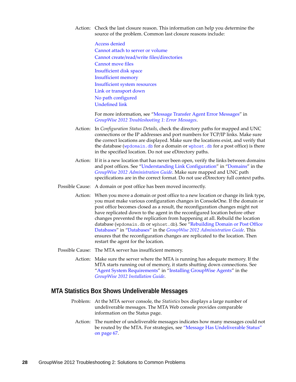- Action: Check the last closure reason. This information can help you determine the source of the problem. Common last closure reasons include:
	- [Access denied](http://www.novell.com/documentation/groupwise2012/pdfdoc/gw2012_guide_tsh1/gw2012_guide_tsh1.pdf#hyfmjsp0) [Cannot attach to server or volume](http://www.novell.com/documentation/groupwise2012/pdfdoc/gw2012_guide_tsh1/gw2012_guide_tsh1.pdf#hsjnr08z) [Cannot create/read/write files/directories](http://www.novell.com/documentation/groupwise2012/pdfdoc/gw2012_guide_tsh1/gw2012_guide_tsh1.pdf#h1d8nafv) [Cannot move files](http://www.novell.com/documentation/groupwise2012/pdfdoc/gw2012_guide_tsh1/gw2012_guide_tsh1.pdf#hcdt8n2j) [Insufficient disk space](http://www.novell.com/documentation/groupwise2012/pdfdoc/gw2012_guide_tsh1/gw2012_guide_tsh1.pdf#hzqmbqmw) [Insufficient memory](http://www.novell.com/documentation/groupwise2012/pdfdoc/gw2012_guide_tsh1/gw2012_guide_tsh1.pdf#hphd4o4q) [Insufficient system resources](http://www.novell.com/documentation/groupwise2012/pdfdoc/gw2012_guide_tsh1/gw2012_guide_tsh1.pdf#hf63yj3f) [Link or transport down](http://www.novell.com/documentation/groupwise2012/pdfdoc/gw2012_guide_tsh1/gw2012_guide_tsh1.pdf#hkm3c3i4) [No path configured](http://www.novell.com/documentation/groupwise2012/pdfdoc/gw2012_guide_tsh1/gw2012_guide_tsh1.pdf#hulmlknz) [Undefined link](http://www.novell.com/documentation/groupwise2012/pdfdoc/gw2012_guide_tsh1/gw2012_guide_tsh1.pdf#hepr9ely)

For more information, see ["Message Transfer Agent Error Messages](http://www.novell.com/documentation/groupwise2012/pdfdoc/gw2012_guide_tsh1/gw2012_guide_tsh1.pdf#hiaa80ba)" in *[GroupWise 2012 Troubleshooting 1: Error Messages](http://www.novell.com/documentation/groupwise2012/pdfdoc/gw2012_guide_tsh1/gw2012_guide_tsh1.pdf#A4ehiyt)*.

- Action: In *Configuration Status Details*, check the directory paths for mapped and UNC connections or the IP addresses and port numbers for TCP/IP links. Make sure the correct locations are displayed. Make sure the locations exist, and verify that the database ([wpdomain.db](http://www.novell.com/documentation/groupwise2012/pdfdoc/gw2012_guide_tsh3/gw2012_guide_tsh3.pdf#a3ec28k) for a domain or [wphost.db](http://www.novell.com/documentation/groupwise2012/pdfdoc/gw2012_guide_tsh3/gw2012_guide_tsh3.pdf#a3edzdk) for a post office) is there in the specified location. Do not use eDirectory paths.
- Action: If it is a new location that has never been open, verify the links between domains and post offices. See "[Understanding Link Configuration"](http://www.novell.com/documentation/groupwise2012/pdfdoc/gw2012_guide_admin/gw2012_guide_admin.pdf#a3a8aiv) in ["Domains](http://www.novell.com/documentation/groupwise2012/pdfdoc/gw2012_guide_admin/gw2012_guide_admin.pdf#a7q4vpv)" in the *[GroupWise 2012 Administration Guide](http://www.novell.com/documentation/groupwise2012/pdfdoc/gw2012_guide_admin/gw2012_guide_admin.pdf#A2zvyc4)*. Make sure mapped and UNC path specifications are in the correct format. Do not use eDirectory full context paths.
- Possible Cause: A domain or post office has been moved incorrectly.
	- Action: When you move a domain or post office to a new location or change its link type, you must make various configuration changes in ConsoleOne. If the domain or post office becomes closed as a result, the reconfiguration changes might not have replicated down to the agent in the reconfigured location before other changes prevented the replication from happening at all. Rebuild the location database (wpdomain.db or wphost.db). See "[Rebuilding Domain or Post Office](http://www.novell.com/documentation/groupwise2012/pdfdoc/gw2012_guide_admin/gw2012_guide_admin.pdf#a3n5dhl)  [Databases"](http://www.novell.com/documentation/groupwise2012/pdfdoc/gw2012_guide_admin/gw2012_guide_admin.pdf#a3n5dhl) in ["Databases](http://www.novell.com/documentation/groupwise2012/pdfdoc/gw2012_guide_admin/gw2012_guide_admin.pdf#a8n802e)" in the *[GroupWise 2012 Administration Guide](http://www.novell.com/documentation/groupwise2012/pdfdoc/gw2012_guide_admin/gw2012_guide_admin.pdf#A2zvyc4)*. This ensures that the reconfiguration changes are replicated to the location. Then restart the agent for the location.
- Possible Cause: The MTA server has insufficient memory.
	- Action: Make sure the server where the MTA is running has adequate memory. If the MTA starts running out of memory, it starts shutting down connections. See ["Agent System Requirements"](http://www.novell.com/documentation/groupwise2012/pdfdoc/gw2012_guide_install/gw2012_guide_install.pdf#bpcgnfq) in ["Installing GroupWise Agents](http://www.novell.com/documentation/groupwise2012/pdfdoc/gw2012_guide_install/gw2012_guide_install.pdf#a8pam03)" in the *[GroupWise 2012 Installation Guide](http://www.novell.com/documentation/groupwise2012/pdfdoc/gw2012_guide_install/gw2012_guide_install.pdf#gw2012guideinst)*.

#### <span id="page-27-0"></span>**MTA Statistics Box Shows Undeliverable Messages**

- Problem: At the MTA server console, the *Statistics* box displays a large number of undeliverable messages. The MTA Web console provides comparable information on the Status page.
	- Action: The number of undeliverable messages indicates how many messages could not be routed by the MTA. For strategies, see "Message Has Undeliverable Status" [on page 67.](#page-66-1)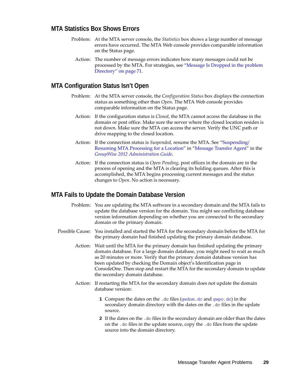# <span id="page-28-0"></span>**MTA Statistics Box Shows Errors**

- Problem: At the MTA server console, the *Statistics* box shows a large number of message errors have occurred. The MTA Web console provides comparable information on the Status page.
	- Action: The number of message errors indicates how many messages could not be processed by the MTA. For strategies, see ["Message Is Dropped in the problem](#page-70-2)  [Directory" on page 71](#page-70-2).

# <span id="page-28-1"></span>**MTA Configuration Status Isn't Open**

- Problem: At the MTA server console, the *Configuration Status* box displays the connection status as something other than *Open*. The MTA Web console provides comparable information on the Status page.
	- Action: If the configuration status is *Closed*, the MTA cannot access the database in the domain or post office. Make sure the server where the closed location resides is not down. Make sure the MTA can access the server. Verify the UNC path or drive mapping to the closed location.
	- Action: If the connection status is *Suspended*, resume the MTA. See ["Suspending/](http://www.novell.com/documentation/groupwise2012/pdfdoc/gw2012_guide_admin/gw2012_guide_admin.pdf#h1r2cpxp) [Resuming MTA Processing for a Location"](http://www.novell.com/documentation/groupwise2012/pdfdoc/gw2012_guide_admin/gw2012_guide_admin.pdf#h1r2cpxp) in ["Message Transfer Agent](http://www.novell.com/documentation/groupwise2012/pdfdoc/gw2012_guide_admin/gw2012_guide_admin.pdf#a7q4zpk)" in the *[GroupWise 2012 Administration Guide](http://www.novell.com/documentation/groupwise2012/pdfdoc/gw2012_guide_admin/gw2012_guide_admin.pdf#A2zvyc4)*.
	- Action: If the connection status is *Open Pending*, post offices in the domain are in the process of opening and the MTA is clearing its holding queues. After this is accomplished, the MTA begins processing current messages and the status changes to *Open*. No action is necessary.

# <span id="page-28-2"></span>**MTA Fails to Update the Domain Database Version**

- Problem: You are updating the MTA software in a secondary domain and the MTA fails to update the database version for the domain. You might see conflicting database version information depending on whether you are connected to the secondary domain or the primary domain.
- Possible Cause: You installed and started the MTA for the secondary domain before the MTA for the primary domain had finished updating the primary domain database.
	- Action: Wait until the MTA for the primary domain has finished updating the primary domain database. For a large domain database, you might need to wait as much as 20 minutes or more. Verify that the primary domain database version has been updated by checking the Domain object's Identification page in ConsoleOne. Then stop and restart the MTA for the secondary domain to update the secondary domain database.
	- Action: If restarting the MTA for the secondary domain does not update the domain database version:
		- **1** Compare the dates on the .dc files ([gwdom.dc](http://www.novell.com/documentation/groupwise2012/pdfdoc/gw2012_guide_tsh3/gw2012_guide_tsh3.pdf#a3ec28k) and [gwpo.dc](http://www.novell.com/documentation/groupwise2012/pdfdoc/gw2012_guide_tsh3/gw2012_guide_tsh3.pdf#a3ec28k)) in the secondary domain directory with the dates on the .dc files in the update source.
		- **2** If the dates on the .dc files in the secondary domain are older than the dates on the .dc files in the update source, copy the .dc files from the update source into the domain directory.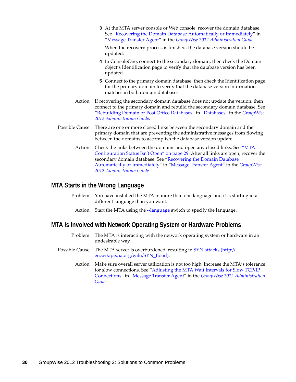**3** At the MTA server console or Web console, recover the domain database. See ["Recovering the Domain Database Automatically or Immediately](http://www.novell.com/documentation/groupwise2012/pdfdoc/gw2012_guide_admin/gw2012_guide_admin.pdf#hel6lrqr)" in "[Message Transfer Agent"](http://www.novell.com/documentation/groupwise2012/pdfdoc/gw2012_guide_admin/gw2012_guide_admin.pdf#a7q4zpk) in the *[GroupWise 2012 Administration Guide](http://www.novell.com/documentation/groupwise2012/pdfdoc/gw2012_guide_admin/gw2012_guide_admin.pdf#A2zvyc4)*.

When the recovery process is finished, the database version should be updated.

- **4** In ConsoleOne, connect to the secondary domain, then check the Domain object's Identification page to verify that the database version has been updated.
- **5** Connect to the primary domain database, then check the Identification page for the primary domain to verify that the database version information matches in both domain databases.
- Action: If recovering the secondary domain database does not update the version, then connect to the primary domain and rebuild the secondary domain database. See "[Rebuilding Domain or Post Office Databases"](http://www.novell.com/documentation/groupwise2012/pdfdoc/gw2012_guide_admin/gw2012_guide_admin.pdf#a3n5dhl) in "[Databases](http://www.novell.com/documentation/groupwise2012/pdfdoc/gw2012_guide_admin/gw2012_guide_admin.pdf#a8n802e)" in the *[GroupWise](http://www.novell.com/documentation/groupwise2012/pdfdoc/gw2012_guide_admin/gw2012_guide_admin.pdf#A2zvyc4)  [2012 Administration Guide](http://www.novell.com/documentation/groupwise2012/pdfdoc/gw2012_guide_admin/gw2012_guide_admin.pdf#A2zvyc4)*.
- Possible Cause: There are one or more closed links between the secondary domain and the primary domain that are preventing the administrative messages from flowing between the domains to accomplish the database version update.
	- Action: Check the links between the domains and open any closed links. See ["MTA](#page-28-1)  [Configuration Status Isn't Open" on page 29](#page-28-1). After all links are open, recover the secondary domain database. See "[Recovering the Domain Database](http://www.novell.com/documentation/groupwise2012/pdfdoc/gw2012_guide_admin/gw2012_guide_admin.pdf#hel6lrqr)  [Automatically or Immediately](http://www.novell.com/documentation/groupwise2012/pdfdoc/gw2012_guide_admin/gw2012_guide_admin.pdf#hel6lrqr)" in "[Message Transfer Agent](http://www.novell.com/documentation/groupwise2012/pdfdoc/gw2012_guide_admin/gw2012_guide_admin.pdf#a7q4zpk)" in the *[GroupWise](http://www.novell.com/documentation/groupwise2012/pdfdoc/gw2012_guide_admin/gw2012_guide_admin.pdf#A2zvyc4)  [2012 Administration Guide](http://www.novell.com/documentation/groupwise2012/pdfdoc/gw2012_guide_admin/gw2012_guide_admin.pdf#A2zvyc4)*.

### <span id="page-29-0"></span>**MTA Starts in the Wrong Language**

- Problem: You have installed the MTA in more than one language and it is starting in a different language than you want.
	- Action: Start the MTA using the [--language](http://www.novell.com/documentation/groupwise2012/pdfdoc/gw2012_guide_admin/gw2012_guide_admin.pdf#a5322fh) switch to specify the language.

#### <span id="page-29-1"></span>**MTA Is Involved with Network Operating System or Hardware Problems**

- Problem: The MTA is interacting with the network operating system or hardware in an undesirable way.
- Possible Cause: The MTA server is overburdened, resulting in [SYN attacks](http://en.wikipedia.org/wiki/SYN_flood) (http:// en.wikipedia.org/wiki/SYN\_flood).
	- Action: Make sure overall server utilization is not too high. Increase the MTA's tolerance for slow connections. See ["Adjusting the MTA Wait Intervals for Slow TCP/IP](http://www.novell.com/documentation/groupwise2012/pdfdoc/gw2012_guide_admin/gw2012_guide_admin.pdf#h5hgld35)  [Connections](http://www.novell.com/documentation/groupwise2012/pdfdoc/gw2012_guide_admin/gw2012_guide_admin.pdf#h5hgld35)" in ["Message Transfer Agent"](http://www.novell.com/documentation/groupwise2012/pdfdoc/gw2012_guide_admin/gw2012_guide_admin.pdf#a7q4zpk) in the *[GroupWise 2012 Administration](http://www.novell.com/documentation/groupwise2012/pdfdoc/gw2012_guide_admin/gw2012_guide_admin.pdf#A2zvyc4)  [Guide](http://www.novell.com/documentation/groupwise2012/pdfdoc/gw2012_guide_admin/gw2012_guide_admin.pdf#A2zvyc4)*.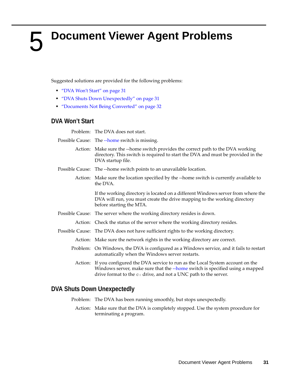# <span id="page-30-1"></span><span id="page-30-0"></span><sup>5</sup>**Document Viewer Agent Problems**

Suggested solutions are provided for the following problems:

- ["DVA Won't Start" on page 31](#page-30-2)
- ["DVA Shuts Down Unexpectedly" on page 31](#page-30-3)
- ["Documents Not Being Converted" on page 32](#page-31-0)

# <span id="page-30-2"></span>**DVA Won't Start**

Problem: The DVA does not start.

| Possible Cause: The --home switch is missing. |  |  |  |
|-----------------------------------------------|--|--|--|
|-----------------------------------------------|--|--|--|

- Action: Make sure the --home switch provides the correct path to the DVA working directory. This switch is required to start the DVA and must be provided in the DVA startup file.
- Possible Cause: The --home switch points to an unavailable location.
	- Action: Make sure the location specified by the --home switch is currently available to the DVA.

If the working directory is located on a different Windows server from where the DVA will run, you must create the drive mapping to the working directory before starting the MTA.

- Possible Cause: The server where the working directory resides is down.
	- Action: Check the status of the server where the working directory resides.
- Possible Cause: The DVA does not have sufficient rights to the working directory.
	- Action: Make sure the network rights in the working directory are correct.
	- Problem: On Windows, the DVA is configured as a Windows service, and it fails to restart automatically when the Windows server restarts.
		- Action: If you configured the DVA service to run as the Local System account on the Windows server, make sure that the [--home](http://www.novell.com/documentation/groupwise2012/pdfdoc/gw2012_guide_admin/gw2012_guide_admin.pdf#bug2v5z) switch is specified using a mapped drive format to the c: drive, and not a UNC path to the server.

# <span id="page-30-3"></span>**DVA Shuts Down Unexpectedly**

- Problem: The DVA has been running smoothly, but stops unexpectedly.
	- Action: Make sure that the DVA is completely stopped. Use the system procedure for terminating a program.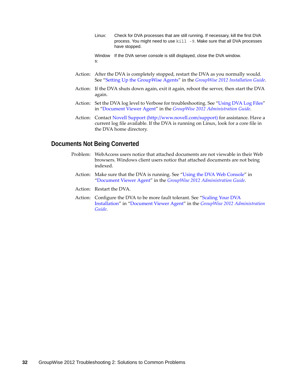- Linux: Check for DVA processes that are still running. If necessary, kill the first DVA process. You might need to use kill -9. Make sure that all DVA processes have stopped.
- Window If the DVA server console is still displayed, close the DVA window.s:
- Action: After the DVA is completely stopped, restart the DVA as you normally would. See ["Setting Up the GroupWise Agents](http://www.novell.com/documentation/groupwise2012/pdfdoc/gw2012_guide_install/gw2012_guide_install.pdf#bpcgnt9)" in the *[GroupWise 2012 Installation Guide](http://www.novell.com/documentation/groupwise2012/pdfdoc/gw2012_guide_install/gw2012_guide_install.pdf#gw2012guideinst)*.
- Action: If the DVA shuts down again, exit it again, reboot the server, then start the DVA again.
- Action: Set the DVA log level to Verbose for troubleshooting. See "[Using DVA Log Files"](http://www.novell.com/documentation/groupwise2012/pdfdoc/gw2012_guide_admin/gw2012_guide_admin.pdf#bujawkn) in ["Document Viewer Agent](http://www.novell.com/documentation/groupwise2012/pdfdoc/gw2012_guide_admin/gw2012_guide_admin.pdf#bujatq4)" in the *[GroupWise 2012 Administration Guide](http://www.novell.com/documentation/groupwise2012/pdfdoc/gw2012_guide_admin/gw2012_guide_admin.pdf#A2zvyc4)*.
- Action: Contact [Novell Support](http://www.novell.com/support) (http://www.novell.com/support) for assistance. Have a current log file available. If the DVA is running on Linux, look for a core file in the DVA home directory.

# <span id="page-31-0"></span>**Documents Not Being Converted**

- Problem: WebAccess users notice that attached documents are not viewable in their Web browsers. Windows client users notice that attached documents are not being indexed.
	- Action: Make sure that the DVA is running. See ["Using the DVA Web Console](http://www.novell.com/documentation/groupwise2012/pdfdoc/gw2012_guide_admin/gw2012_guide_admin.pdf#bxb123n)" in "[Document Viewer Agent](http://www.novell.com/documentation/groupwise2012/pdfdoc/gw2012_guide_admin/gw2012_guide_admin.pdf#bujatq4)" in the *[GroupWise 2012 Administration Guide](http://www.novell.com/documentation/groupwise2012/pdfdoc/gw2012_guide_admin/gw2012_guide_admin.pdf#A2zvyc4)*.
	- Action: Restart the DVA.
	- Action: Configure the DVA to be more fault tolerant. See "Scaling Your DVA [Installation"](http://www.novell.com/documentation/groupwise2012/pdfdoc/gw2012_guide_admin/gw2012_guide_admin.pdf#bujatti) in "[Document Viewer Agent"](http://www.novell.com/documentation/groupwise2012/pdfdoc/gw2012_guide_admin/gw2012_guide_admin.pdf#bujatq4) in the *[GroupWise 2012 Administration](http://www.novell.com/documentation/groupwise2012/pdfdoc/gw2012_guide_admin/gw2012_guide_admin.pdf#A2zvyc4)  [Guide](http://www.novell.com/documentation/groupwise2012/pdfdoc/gw2012_guide_admin/gw2012_guide_admin.pdf#A2zvyc4)*.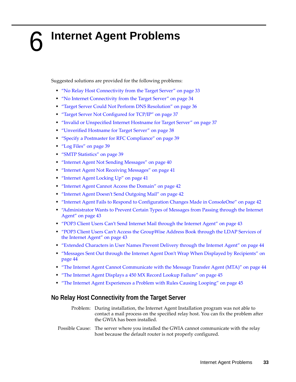# <span id="page-32-1"></span><span id="page-32-0"></span>6 <sup>6</sup> **Internet Agent Problems**

Suggested solutions are provided for the following problems:

- ["No Relay Host Connectivity from the Target Server" on page 33](#page-32-2)
- ["No Internet Connectivity from the Target Server" on page 34](#page-33-0)
- ["Target Server Could Not Perform DNS Resolution" on page 36](#page-35-0)
- ["Target Server Not Configured for TCP/IP" on page 37](#page-36-0)
- ["Invalid or Unspecified Internet Hostname for Target Server" on page 37](#page-36-1)
- ["Unverified Hostname for Target Server" on page 38](#page-37-0)
- ["Specify a Postmaster for RFC Compliance" on page 39](#page-38-0)
- ["Log Files" on page 39](#page-38-1)
- ["SMTP Statistics" on page 39](#page-38-2)
- ["Internet Agent Not Sending Messages" on page 40](#page-39-0)
- ["Internet Agent Not Receiving Messages" on page 41](#page-40-0)
- ["Internet Agent Locking Up" on page 41](#page-40-1)
- ["Internet Agent Cannot Access the Domain" on page 42](#page-41-0)
- ["Internet Agent Doesn't Send Outgoing Mail" on page 42](#page-41-1)
- ["Internet Agent Fails to Respond to Configuration Changes Made in ConsoleOne" on page 42](#page-41-2)
- ["Administrator Wants to Prevent Certain Types of Messages from Passing through the Internet](#page-42-0)  [Agent" on page 43](#page-42-0)
- ["POP3 Client Users Can't Send Internet Mail through the Internet Agent" on page 43](#page-42-1)
- ["POP3 Client Users Can't Access the GroupWise Address Book through the LDAP Services of](#page-42-2)  [the Internet Agent" on page 43](#page-42-2)
- ["Extended Characters in User Names Prevent Delivery through the Internet Agent" on page 44](#page-43-0)
- ["Messages Sent Out through the Internet Agent Don't Wrap When Displayed by Recipients" on](#page-43-1)  [page 44](#page-43-1)
- ["The Internet Agent Cannot Communicate with the Message Transfer Agent \(MTA\)" on page 44](#page-43-2)
- ["The Internet Agent Displays a 450 MX Record Lookup Failure" on page 45](#page-44-0)
- ["The Internet Agent Experiences a Problem with Rules Causing Looping" on page 45](#page-44-1)

# <span id="page-32-2"></span>**No Relay Host Connectivity from the Target Server**

- Problem: During installation, the Internet Agent Installation program was not able to contact a mail process on the specified relay host. You can fix the problem after the GWIA has been installed.
- Possible Cause: The server where you installed the GWIA cannot communicate with the relay host because the default router is not properly configured.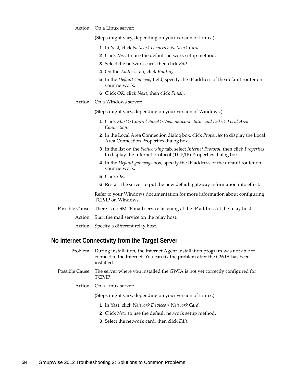Action: On a Linux server:

(Steps might vary, depending on your version of Linux.)

- **1** In Yast, click *Network Devices > Network Card*.
- **2** Click *Next* to use the default network setup method.
- **3** Select the network card, then click *Edit*.
- **4** On the *Address* tab, click *Routing*.
- **5** In the *Default Gateway* field, specify the IP address of the default router on your network.
- **6** Click *OK*, click *Next*, then click *Finish*.
- Action: On a Windows server:

(Steps might vary, depending on your version of Windows.)

- **1** Click *Start > Control Panel > View network status and tasks > Local Area Connection*.
- **2** In the Local Area Connection dialog box, click *Properties* to display the Local Area Connection Properties dialog box.
- **3** In the list on the *Networking* tab, select *Internet Protocol*, then click *Properties* to display the Internet Protocol (TCP/IP) Properties dialog box.
- **4** In the *Default gateways* box, specify the IP address of the default router on your network.
- **5** Click *OK*.
- **6** Restart the server to put the new default gateway information into effect.

Refer to your Windows documentation for more information about configuring TCP/IP on Windows.

- Possible Cause: There is no SMTP mail service listening at the IP address of the relay host.
	- Action: Start the mail service on the relay host.
	- Action: Specify a different relay host.

#### <span id="page-33-0"></span>**No Internet Connectivity from the Target Server**

Problem: During installation, the Internet Agent Installation program was not able to connect to the Internet. You can fix the problem after the GWIA has been installed.

- Possible Cause: The server where you installed the GWIA is not yet correctly configured for TCP/IP.
	- Action: On a Linux server:

(Steps might vary, depending on your version of Linux.)

- **1** In Yast, click *Network Devices > Network Card*.
- **2** Click *Next* to use the default network setup method.
- **3** Select the network card, then click *Edit*.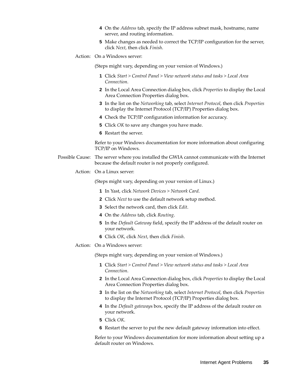- **4** On the *Address* tab, specify the IP address subnet mask, hostname, name server, and routing information.
- **5** Make changes as needed to correct the TCP/IP configuration for the server, click *Next*, then click *Finish*.
- Action: On a Windows server:

(Steps might vary, depending on your version of Windows.)

- **1** Click *Start > Control Panel > View network status and tasks > Local Area Connection*.
- **2** In the Local Area Connection dialog box, click *Properties* to display the Local Area Connection Properties dialog box.
- **3** In the list on the *Networking* tab, select *Internet Protocol*, then click *Properties* to display the Internet Protocol (TCP/IP) Properties dialog box.
- **4** Check the TCP/IP configuration information for accuracy.
- **5** Click *OK* to save any changes you have made.
- **6** Restart the server.

Refer to your Windows documentation for more information about configuring TCP/IP on Windows.

- Possible Cause: The server where you installed the GWIA cannot communicate with the Internet because the default router is not properly configured.
	- Action: On a Linux server:

(Steps might vary, depending on your version of Linux.)

- **1** In Yast, click *Network Devices > Network Card*.
- **2** Click *Next* to use the default network setup method.
- **3** Select the network card, then click *Edit*.
- **4** On the *Address* tab, click *Routing*.
- **5** In the *Default Gateway* field, specify the IP address of the default router on your network.
- **6** Click *OK*, click *Next*, then click *Finish*.
- Action: On a Windows server:

(Steps might vary, depending on your version of Windows.)

- **1** Click *Start > Control Panel > View network status and tasks > Local Area Connection*.
- **2** In the Local Area Connection dialog box, click *Properties* to display the Local Area Connection Properties dialog box.
- **3** In the list on the *Networking* tab, select *Internet Protocol*, then click *Properties* to display the Internet Protocol (TCP/IP) Properties dialog box.
- **4** In the *Default gateway*s box, specify the IP address of the default router on your network.
- **5** Click *OK*.
- **6** Restart the server to put the new default gateway information into effect.

Refer to your Windows documentation for more information about setting up a default router on Windows.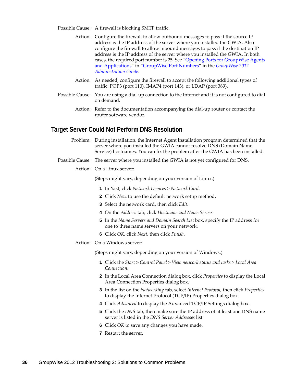Possible Cause: A firewall is blocking SMTP traffic.

- Action: Configure the firewall to allow outbound messages to pass if the source IP address is the IP address of the server where you installed the GWIA. Also configure the firewall to allow inbound messages to pass if the destination IP address is the IP address of the server where you installed the GWIA. In both cases, the required port number is 25. See "[Opening Ports for GroupWise Agents](http://www.novell.com/documentation/groupwise2012/pdfdoc/gw2012_guide_admin/gw2012_guide_admin.pdf#bw1wp27)  [and Applications](http://www.novell.com/documentation/groupwise2012/pdfdoc/gw2012_guide_admin/gw2012_guide_admin.pdf#bw1wp27)" in "[GroupWise Port Numbers"](http://www.novell.com/documentation/groupwise2012/pdfdoc/gw2012_guide_admin/gw2012_guide_admin.pdf#bv5bw9l) in the *[GroupWise 2012](http://www.novell.com/documentation/groupwise2012/pdfdoc/gw2012_guide_admin/gw2012_guide_admin.pdf#A2zvyc4)  [Administration Guide](http://www.novell.com/documentation/groupwise2012/pdfdoc/gw2012_guide_admin/gw2012_guide_admin.pdf#A2zvyc4)*.
- Action: As needed, configure the firewall to accept the following additional types of traffic: POP3 (port 110), IMAP4 (port 143), or LDAP (port 389).
- Possible Cause: You are using a dial-up connection to the Internet and it is not configured to dial on demand.
	- Action: Refer to the documentation accompanying the dial-up router or contact the router software vendor.

#### <span id="page-35-0"></span>**Target Server Could Not Perform DNS Resolution**

- Problem: During installation, the Internet Agent Installation program determined that the server where you installed the GWIA cannot resolve DNS (Domain Name Service) hostnames. You can fix the problem after the GWIA has been installed.
- Possible Cause: The server where you installed the GWIA is not yet configured for DNS.
	- Action: On a Linux server:

(Steps might vary, depending on your version of Linux.)

- **1** In Yast, click *Network Devices > Network Card*.
- **2** Click *Next* to use the default network setup method.
- **3** Select the network card, then click *Edit*.
- **4** On the *Address* tab, click *Hostname and Name Server*.
- **5** In the *Name Servers and Domain Search List* box, specify the IP address for one to three name servers on your network.
- **6** Click *OK*, click *Next*, then click *Finish*.
- Action: On a Windows server:

(Steps might vary, depending on your version of Windows.)

- **1** Click the *Start > Control Panel > View network status and tasks > Local Area Connection*.
- **2** In the Local Area Connection dialog box, click *Properties* to display the Local Area Connection Properties dialog box.
- **3** In the list on the *Networking* tab, select *Internet Protocol*, then click *Properties* to display the Internet Protocol (TCP/IP) Properties dialog box.
- **4** Click *Advanced* to display the Advanced TCP/IP Settings dialog box.
- **5** Click the *DNS* tab, then make sure the IP address of at least one DNS name server is listed in the *DNS Server Addresses* list.
- **6** Click *OK* to save any changes you have made.
- **7** Restart the server.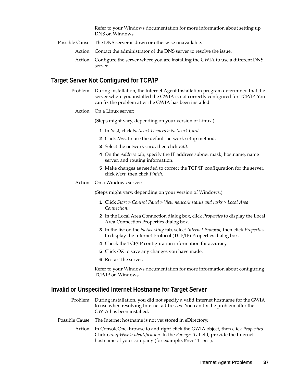Refer to your Windows documentation for more information about setting up DNS on Windows.

- Possible Cause: The DNS server is down or otherwise unavailable.
	- Action: Contact the administrator of the DNS server to resolve the issue.
	- Action: Configure the server where you are installing the GWIA to use a different DNS server.

# **Target Server Not Configured for TCP/IP**

- Problem: During installation, the Internet Agent Installation program determined that the server where you installed the GWIA is not correctly configured for TCP/IP. You can fix the problem after the GWIA has been installed.
	- Action: On a Linux server:

(Steps might vary, depending on your version of Linux.)

- **1** In Yast, click *Network Devices > Network Card*.
- **2** Click *Next* to use the default network setup method.
- **3** Select the network card, then click *Edit*.
- **4** On the *Address* tab, specify the IP address subnet mask, hostname, name server, and routing information.
- **5** Make changes as needed to correct the TCP/IP configuration for the server, click *Next*, then click *Finish*.
- Action: On a Windows server:

(Steps might vary, depending on your version of Windows.)

- **1** Click *Start > Control Panel > View network status and tasks > Local Area Connection*.
- **2** In the Local Area Connection dialog box, click *Properties* to display the Local Area Connection Properties dialog box.
- **3** In the list on the *Networking* tab, select *Internet Protocol*, then click *Properties* to display the Internet Protocol (TCP/IP) Properties dialog box.
- **4** Check the TCP/IP configuration information for accuracy.
- **5** Click *OK* to save any changes you have made.
- **6** Restart the server.

Refer to your Windows documentation for more information about configuring TCP/IP on Windows.

# **Invalid or Unspecified Internet Hostname for Target Server**

- Problem: During installation, you did not specify a valid Internet hostname for the GWIA to use when resolving Internet addresses. You can fix the problem after the GWIA has been installed.
- Possible Cause: The Internet hostname is not yet stored in eDirectory.
	- Action: In ConsoleOne, browse to and right-click the GWIA object, then click *Properties*. Click *GroupWise > Identification*. In the *Foreign ID* field, provide the Internet hostname of your company (for example, Novell.com).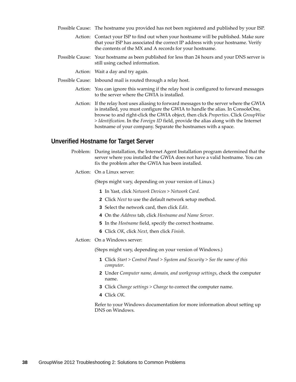- Possible Cause: The hostname you provided has not been registered and published by your ISP.
	- Action: Contact your ISP to find out when your hostname will be published. Make sure that your ISP has associated the correct IP address with your hostname. Verify the contents of the MX and A records for your hostname.
- Possible Cause: Your hostname as been published for less than 24 hours and your DNS server is still using cached information.
	- Action: Wait a day and try again.
- Possible Cause: Inbound mail is routed through a relay host.
	- Action: You can ignore this warning if the relay host is configured to forward messages to the server where the GWIA is installed.
	- Action: If the relay host uses aliasing to forward messages to the server where the GWIA is installed, you must configure the GWIA to handle the alias. In ConsoleOne, browse to and right-click the GWIA object, then click *Properties*. Click *GroupWise > Identification*. In the *Foreign ID* field, provide the alias along with the Internet hostname of your company. Separate the hostnames with a space.

# **Unverified Hostname for Target Server**

- Problem: During installation, the Internet Agent Installation program determined that the server where you installed the GWIA does not have a valid hostname. You can fix the problem after the GWIA has been installed.
	- Action: On a Linux server:

(Steps might vary, depending on your version of Linux.)

- **1** In Yast, click *Network Devices > Network Card*.
- **2** Click *Next* to use the default network setup method.
- **3** Select the network card, then click *Edit*.
- **4** On the *Address* tab, click *Hostname and Name Server*.
- **5** In the *Hostname* field, specify the correct hostname.
- **6** Click *OK*, click *Next*, then click *Finish*.
- Action: On a Windows server:

(Steps might vary, depending on your version of Windows.)

- **1** Click *Start > Control Panel > System and Security > See the name of this computer*.
- **2** Under *Computer name, domain, and workgroup settings*, check the computer name.
- **3** Click *Change settings > Change* to correct the computer name.
- **4** Click *OK*.

Refer to your Windows documentation for more information about setting up DNS on Windows.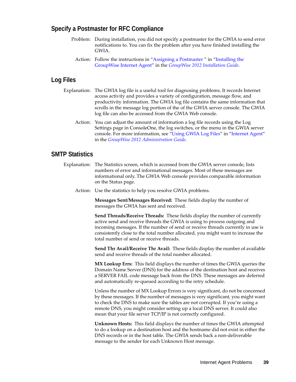## **Specify a Postmaster for RFC Compliance**

- Problem: During installation, you did not specify a postmaster for the GWIA to send error notifications to. You can fix the problem after you have finished installing the GWIA.
	- Action: Follow the instructions in ["Assigning a Postmaster "](http://www.novell.com/documentation/groupwise2012/pdfdoc/gw2012_guide_install/gw2012_guide_install.pdf#a2zgnxw) in ["Installing the](http://www.novell.com/documentation/groupwise2012/pdfdoc/gw2012_guide_install/gw2012_guide_install.pdf#a8sx8kq)  [GroupWise Internet Agent"](http://www.novell.com/documentation/groupwise2012/pdfdoc/gw2012_guide_install/gw2012_guide_install.pdf#a8sx8kq) in the *[GroupWise 2012 Installation Guide](http://www.novell.com/documentation/groupwise2012/pdfdoc/gw2012_guide_install/gw2012_guide_install.pdf#gw2012guideinst)*.

# **Log Files**

- Explanation: The GWIA log file is a useful tool for diagnosing problems. It records Internet access activity and provides a variety of configuration, message flow, and productivity information. The GWIA log file contains the same information that scrolls in the message log portion of the of the GWIA server console. The GWIA log file can also be accessed from the GWIA Web console.
	- Action: You can adjust the amount of information a log file records using the Log Settings page in ConsoleOne, the log switches, or the menu in the GWIA server console. For more information, see "[Using GWIA Log Files](http://www.novell.com/documentation/groupwise2012/pdfdoc/gw2012_guide_admin/gw2012_guide_admin.pdf#ak8u8jp)" in "[Internet Agent"](http://www.novell.com/documentation/groupwise2012/pdfdoc/gw2012_guide_admin/gw2012_guide_admin.pdf#a7q50pq) in the *[GroupWise 2012 Administration Guide](http://www.novell.com/documentation/groupwise2012/pdfdoc/gw2012_guide_admin/gw2012_guide_admin.pdf#A2zvyc4)*.

## <span id="page-38-0"></span>**SMTP Statistics**

- Explanation: The Statistics screen, which is accessed from the GWIA server console, lists numbers of error and informational messages. Most of these messages are informational only. The GWIA Web console provides comparable information on the Status page.
	- Action: Use the statistics to help you resolve GWIA problems.

**Messages Sent/Messages Received:** These fields display the number of messages the GWIA has sent and received.

**Send Threads/Receive Threads:** These fields display the number of currently active send and receive threads the GWIA is using to process outgoing and incoming messages. If the number of send or receive threads currently in use is consistently close to the total number allocated, you might want to increase the total number of send or receive threads.

**Send Thr Avail/Receive Thr Avail:** These fields display the number of available send and receive threads of the total number allocated.

**MX Lookup Errs:** This field displays the number of times the GWIA queries the Domain Name Server (DNS) for the address of the destination host and receives a SERVER FAIL code message back from the DNS. These messages are deferred and automatically re-queued according to the retry schedule.

Unless the number of MX Lookup Errors is very significant, do not be concerned by these messages. If the number of messages is very significant, you might want to check the DNS to make sure the tables are not corrupted. If you're using a remote DNS, you might consider setting up a local DNS server. It could also mean that your file server TCP/IP is not correctly configured.

**Unknown Hosts:** This field displays the number of times the GWIA attempted to do a lookup on a destination host and the hostname did not exist in either the DNS records or in the host table. The GWIA sends back a non-deliverable message to the sender for each Unknown Host message.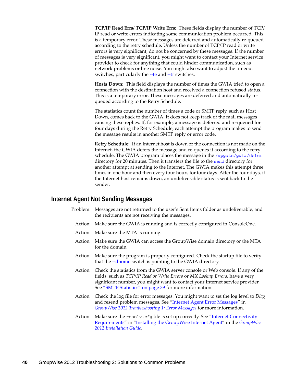**TCP/IP Read Errs/ TCP/IP Write Errs:** These fields display the number of TCP/ IP read or write errors indicating some communication problem occurred. This is a temporary error. These messages are deferred and automatically re-queued according to the retry schedule. Unless the number of TCP/IP read or write errors is very significant, do not be concerned by these messages. If the number of messages is very significant, you might want to contact your Internet service provider to check for anything that could hinder communication, such as network problems or line noise. You might also want to adjust the timeout switches, particularly the [--te](http://www.novell.com/documentation/groupwise2012/pdfdoc/gw2012_guide_admin/gw2012_guide_admin.pdf#a37lq0m) and [--tr](http://www.novell.com/documentation/groupwise2012/pdfdoc/gw2012_guide_admin/gw2012_guide_admin.pdf#a37lrhh) switches.

**Hosts Down:** This field displays the number of times the GWIA tried to open a connection with the destination host and received a connection refused status. This is a temporary error. These messages are deferred and automatically requeued according to the Retry Schedule.

The statistics count the number of times a code or SMTP reply, such as Host Down, comes back to the GWIA. It does not keep track of the mail messages causing these replies. If, for example, a message is deferred and re-queued for four days during the Retry Schedule, each attempt the program makes to send the message results in another SMTP reply or error code.

**Retry Schedule:** If an Internet host is down or the connection is not made on the Internet, the GWIA defers the message and re-queues it according to the retry schedule. The GWIA program places the message in the [/wpgate/gwia/defer](http://www.novell.com/documentation/groupwise2012/pdfdoc/gw2012_guide_tsh3/gw2012_guide_tsh3.pdf#bsfil9z) directory for 20 minutes. Then it transfers the file to the [send](http://www.novell.com/documentation/groupwise2012/pdfdoc/gw2012_guide_tsh3/gw2012_guide_tsh3.pdf#bsfil9z) directory for another attempt at sending to the Internet. The GWIA makes this attempt three times in one hour and then every four hours for four days. After the four days, if the Internet host remains down, an undeliverable status is sent back to the sender.

## **Internet Agent Not Sending Messages**

- Problem: Messages are not returned to the user's Sent Items folder as undeliverable, and the recipients are not receiving the messages.
	- Action: Make sure the GWIA is running and is correctly configured in ConsoleOne.
- Action: Make sure the MTA is running.
- Action: Make sure the GWIA can access the GroupWise domain directory or the MTA for the domain.
- Action: Make sure the program is properly configured. Check the startup file to verify that the [--dhome](http://www.novell.com/documentation/groupwise2012/pdfdoc/gw2012_guide_admin/gw2012_guide_admin.pdf#a377a8d) switch is pointing to the GWIA directory.
- Action: Check the statistics from the GWIA server console or Web console. If any of the fields, such as *TCP/IP Read or Write Errors* or *MX Lookup Errors*, have a very significant number, you might want to contact your Internet service provider. See ["SMTP Statistics" on page 39](#page-38-0) for more information.
- Action: Check the log file for error messages. You might want to set the log level to *Diag* and resend problem messages. See "[Internet Agent Error Messages"](http://www.novell.com/documentation/groupwise2012/pdfdoc/gw2012_guide_tsh1/gw2012_guide_tsh1.pdf#adlk8az) in *[GroupWise 2012 Troubleshooting 1: Error Messages](http://www.novell.com/documentation/groupwise2012/pdfdoc/gw2012_guide_tsh1/gw2012_guide_tsh1.pdf#A4ehiyt)* for more information.
- Action: Make sure the resolv.cfg file is set up correctly. See "Internet Connectivity" [Requirements"](http://www.novell.com/documentation/groupwise2012/pdfdoc/gw2012_guide_install/gw2012_guide_install.pdf#a2zdqyg) in ["Installing the GroupWise Internet Agent](http://www.novell.com/documentation/groupwise2012/pdfdoc/gw2012_guide_install/gw2012_guide_install.pdf#a8sx8kq)" in the *[GroupWise](http://www.novell.com/documentation/groupwise2012/pdfdoc/gw2012_guide_install/gw2012_guide_install.pdf#gw2012guideinst)  [2012 Installation Guide](http://www.novell.com/documentation/groupwise2012/pdfdoc/gw2012_guide_install/gw2012_guide_install.pdf#gw2012guideinst)*.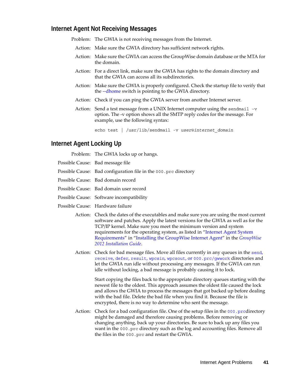## **Internet Agent Not Receiving Messages**

Problem: The GWIA is not receiving messages from the Internet.

- Action: Make sure the GWIA directory has sufficient network rights.
- Action: Make sure the GWIA can access the GroupWise domain database or the MTA for the domain.
- Action: For a direct link, make sure the GWIA has rights to the domain directory and that the GWIA can access all its subdirectories.
- Action: Make sure the GWIA is properly configured. Check the startup file to verify that the [--dhome](http://www.novell.com/documentation/groupwise2012/pdfdoc/gw2012_guide_admin/gw2012_guide_admin.pdf#a377a8d) switch is pointing to the GWIA directory.
- Action: Check if you can ping the GWIA server from another Internet server.
- Action: Send a test message from a UNIX Internet computer using the sendmail  $-v$ option. The -v option shows all the SMTP reply codes for the message. For example, use the following syntax:

echo test | /usr/lib/sendmail -v *user*@*internet\_domain*

## **Internet Agent Locking Up**

| Problem: The GWIA locks up or hangs.                            |
|-----------------------------------------------------------------|
| Possible Cause: Bad message file                                |
| Possible Cause: Bad configuration file in the 000 prc directory |
| Possible Cause: Bad domain record                               |
| Possible Cause: Bad domain user record                          |
| Possible Cause: Software incompatibility                        |
|                                                                 |

- Possible Cause: Hardware failure
	- Action: Check the dates of the executables and make sure you are using the most current software and patches. Apply the latest versions for the GWIA as well as for the TCP/IP kernel. Make sure you meet the minimum version and system requirements for the operating system, as listed in "[Internet Agent System](http://www.novell.com/documentation/groupwise2012/pdfdoc/gw2012_guide_install/gw2012_guide_install.pdf#A2zf2el)  [Requirements"](http://www.novell.com/documentation/groupwise2012/pdfdoc/gw2012_guide_install/gw2012_guide_install.pdf#A2zf2el) in ["Installing the GroupWise Internet Agent](http://www.novell.com/documentation/groupwise2012/pdfdoc/gw2012_guide_install/gw2012_guide_install.pdf#A8sx8kq)" in the *[GroupWise](http://www.novell.com/documentation/groupwise2012/pdfdoc/gw2012_guide_install/gw2012_guide_install.pdf#gw2012guideinst)  [2012 Installation Guide](http://www.novell.com/documentation/groupwise2012/pdfdoc/gw2012_guide_install/gw2012_guide_install.pdf#gw2012guideinst)*.
	- Action: Check for bad message files. Move all files currently in any queues in the [send](http://www.novell.com/documentation/groupwise2012/pdfdoc/gw2012_guide_tsh3/gw2012_guide_tsh3.pdf#adn5uzt), [receive](http://www.novell.com/documentation/groupwise2012/pdfdoc/gw2012_guide_tsh3/gw2012_guide_tsh3.pdf#adn5uzt), [defer](http://www.novell.com/documentation/groupwise2012/pdfdoc/gw2012_guide_tsh3/gw2012_guide_tsh3.pdf#adn5uzt), [result](http://www.novell.com/documentation/groupwise2012/pdfdoc/gw2012_guide_tsh3/gw2012_guide_tsh3.pdf#adn5uzt), [wpcsin](http://www.novell.com/documentation/groupwise2012/pdfdoc/gw2012_guide_tsh3/gw2012_guide_tsh3.pdf#adn5uzt), [wpcsout](http://www.novell.com/documentation/groupwise2012/pdfdoc/gw2012_guide_tsh3/gw2012_guide_tsh3.pdf#adn5uzt), or [000.prc/gwwork](http://www.novell.com/documentation/groupwise2012/pdfdoc/gw2012_guide_tsh3/gw2012_guide_tsh3.pdf#adn5uzt) directories and let the GWIA run idle without processing any messages. If the GWIA can run idle without locking, a bad message is probably causing it to lock.

Start copying the files back to the appropriate directory queues starting with the newest file to the oldest. This approach assumes the oldest file caused the lock and allows the GWIA to process the messages that got backed up before dealing with the bad file. Delete the bad file when you find it. Because the file is encrypted, there is no way to determine who sent the message.

Action: Check for a bad configuration file. One of the setup files in the  $000$ . prcdirectory might be damaged and therefore causing problems. Before removing or changing anything, back up your directories. Be sure to back up any files you want in the 000.prc directory such as the log and accounting files. Remove all the files in the 000.prc and restart the GWIA.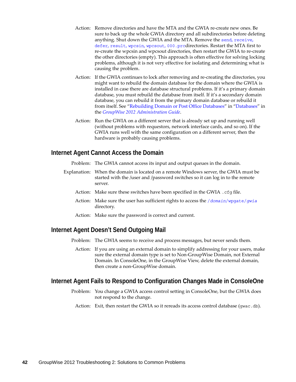- Action: Remove directories and have the MTA and the GWIA re-create new ones. Be sure to back up the whole GWIA directory and all subdirectories before deleting anything. Shut down the GWIA and the MTA. Remove the [send](http://www.novell.com/documentation/groupwise2012/pdfdoc/gw2012_guide_tsh3/gw2012_guide_tsh3.pdf#adn5uzt), [receive](http://www.novell.com/documentation/groupwise2012/pdfdoc/gw2012_guide_tsh3/gw2012_guide_tsh3.pdf#adn5uzt), [defer](http://www.novell.com/documentation/groupwise2012/pdfdoc/gw2012_guide_tsh3/gw2012_guide_tsh3.pdf#adn5uzt), [result](http://www.novell.com/documentation/groupwise2012/pdfdoc/gw2012_guide_tsh3/gw2012_guide_tsh3.pdf#adn5uzt), [wpcsin](http://www.novell.com/documentation/groupwise2012/pdfdoc/gw2012_guide_tsh3/gw2012_guide_tsh3.pdf#adn5uzt), [wpcsout](http://www.novell.com/documentation/groupwise2012/pdfdoc/gw2012_guide_tsh3/gw2012_guide_tsh3.pdf#adn5uzt), [000.prc](http://www.novell.com/documentation/groupwise2012/pdfdoc/gw2012_guide_tsh3/gw2012_guide_tsh3.pdf#adn5uzt)directories. Restart the MTA first to re-create the wpcsin and wpcsout directories, then restart the GWIA to re-create the other directories (empty). This approach is often effective for solving locking problems, although it is not very effective for isolating and determining what is causing the problem.
- Action: If the GWIA continues to lock after removing and re-creating the directories, you might want to rebuild the domain database for the domain where the GWIA is installed in case there are database structural problems. If it's a primary domain database, you must rebuild the database from itself. If it's a secondary domain database, you can rebuild it from the primary domain database or rebuild it from itself. See ["Rebuilding Domain or Post Office Databases](http://www.novell.com/documentation/groupwise2012/pdfdoc/gw2012_guide_admin/gw2012_guide_admin.pdf#a3n5dhl)" in "[Databases"](http://www.novell.com/documentation/groupwise2012/pdfdoc/gw2012_guide_admin/gw2012_guide_admin.pdf#a8n802e) in the *[GroupWise 2012 Administration Guide](http://www.novell.com/documentation/groupwise2012/pdfdoc/gw2012_guide_admin/gw2012_guide_admin.pdf#A2zvyc4)*.
- Action: Run the GWIA on a different server that is already set up and running well (without problems with requestors, network interface cards, and so on). If the GWIA runs well with the same configuration on a different server, then the hardware is probably causing problems.

## **Internet Agent Cannot Access the Domain**

Problem: The GWIA cannot access its input and output queues in the domain.

- Explanation: When the domain is located on a remote Windows server, the GWIA must be started with the /user and /password switches so it can log in to the remote server.
	- Action: Make sure these switches have been specified in the GWIA .cfg file.
	- Action: Make sure the user has sufficient rights to access the /*[domain](http://www.novell.com/documentation/groupwise2012/pdfdoc/gw2012_guide_tsh3/gw2012_guide_tsh3.pdf#a2iehes)*/wpgate/*gwia*  directory.
	- Action: Make sure the password is correct and current.

## **Internet Agent Doesn't Send Outgoing Mail**

Problem: The GWIA seems to receive and process messages, but never sends them.

Action: If you are using an external domain to simplify addressing for your users, make sure the external domain type is set to Non-GroupWise Domain, not External Domain. In ConsoleOne, in the GroupWise View, delete the external domain, then create a non-GroupWise domain.

## **Internet Agent Fails to Respond to Configuration Changes Made in ConsoleOne**

- Problem: You change a GWIA access control setting in ConsoleOne, but the GWIA does not respond to the change.
- Action: Exit, then restart the GWIA so it rereads its access control database (gwac.db).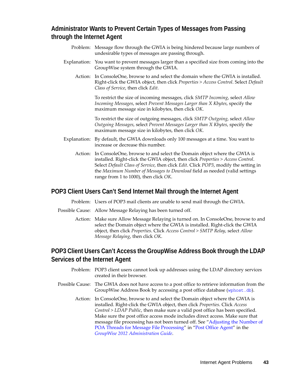# **Administrator Wants to Prevent Certain Types of Messages from Passing through the Internet Agent**

- Problem: Message flow through the GWIA is being hindered because large numbers of undesirable types of messages are passing through.
- Explanation: You want to prevent messages larger than a specified size from coming into the GroupWise system through the GWIA.
	- Action: In ConsoleOne, browse to and select the domain where the GWIA is installed. Right-click the GWIA object, then click *Properties > Access Control*. Select *Default Class of Service*, then click *Edit*.

To restrict the size of incoming messages, click *SMTP Incoming*, select *Allow Incoming Messages*, select *Prevent Messages Larger than X Kbytes*, specify the maximum message size in kilobytes, then click *OK*.

To restrict the size of outgoing messages, click *SMTP Outgoing*, select *Allow Outgoing Messages*, select *Prevent Messages Larger than X Kbytes*, specify the maximum message size in kilobytes, then click *OK*.

- Explanation: By default, the GWIA downloads only 100 messages at a time. You want to increase or decrease this number.
	- Action: In ConsoleOne, browse to and select the Domain object where the GWIA is installed. Right-click the GWIA object, then click *Properties > Access Control*. Select *Default Class of Service*, then click *Edit*. Click *POP3*, modify the setting in the *Maximum Number of Messages to Download* field as needed (valid settings range from 1 to 1000), then click *OK*.

# **POP3 Client Users Can't Send Internet Mail through the Internet Agent**

Problem: Users of POP3 mail clients are unable to send mail through the GWIA.

- Possible Cause: Allow Message Relaying has been turned off.
	- Action: Make sure Allow Message Relaying is turned on. In ConsoleOne, browse to and select the Domain object where the GWIA is installed. Right-click the GWIA object, then click *Properties*. Click *Access Control > SMTP Relay*, select *Allow Message Relaying*, then click *OK*.

# **POP3 Client Users Can't Access the GroupWise Address Book through the LDAP Services of the Internet Agent**

- Problem: POP3 client users cannot look up addresses using the LDAP directory services created in their browser.
- Possible Cause: The GWIA does not have access to a post office to retrieve information from the GroupWise Address Book by accessing a post office database ([wphost.db](http://www.novell.com/documentation/groupwise2012/pdfdoc/gw2012_guide_tsh3/gw2012_guide_tsh3.pdf#a3edzdk)).
	- Action: In ConsoleOne, browse to and select the Domain object where the GWIA is installed. Right-click the GWIA object, then click *Properties*. Click *Access Control > LDAP Public*, then make sure a valid post office has been specified. Make sure the post office access mode includes direct access. Make sure that message file processing has not been turned off. See ["Adjusting the Number of](http://www.novell.com/documentation/groupwise2012/pdfdoc/gw2012_guide_admin/gw2012_guide_admin.pdf#h9fcfb18)  [POA Threads for Message File Processing"](http://www.novell.com/documentation/groupwise2012/pdfdoc/gw2012_guide_admin/gw2012_guide_admin.pdf#h9fcfb18) in ["Post Office Agent"](http://www.novell.com/documentation/groupwise2012/pdfdoc/gw2012_guide_admin/gw2012_guide_admin.pdf#a84jmbe) in the *[GroupWise 2012 Administration Guide](http://www.novell.com/documentation/groupwise2012/pdfdoc/gw2012_guide_admin/gw2012_guide_admin.pdf#A2zvyc4)*.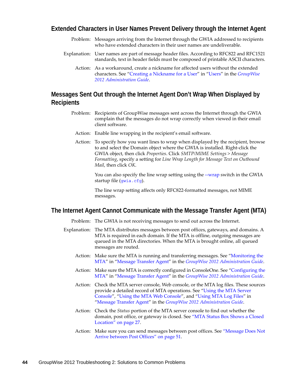## **Extended Characters in User Names Prevent Delivery through the Internet Agent**

- Problem: Messages arriving from the Internet through the GWIA addressed to recipients who have extended characters in their user names are undeliverable.
- Explanation: User names are part of message header files. According to RFC822 and RFC1521 standards, text in header fields must be composed of printable ASCII characters.
	- Action: As a workaround, create a nickname for affected users without the extended characters. See ["Creating a Nickname for a User](http://www.novell.com/documentation/groupwise2012/pdfdoc/gw2012_guide_admin/gw2012_guide_admin.pdf#abptcmq)" in "[Users"](http://www.novell.com/documentation/groupwise2012/pdfdoc/gw2012_guide_admin/gw2012_guide_admin.pdf#a7q4x8x) in the *[GroupWise](http://www.novell.com/documentation/groupwise2012/pdfdoc/gw2012_guide_admin/gw2012_guide_admin.pdf#A2zvyc4)  [2012 Administration Guide](http://www.novell.com/documentation/groupwise2012/pdfdoc/gw2012_guide_admin/gw2012_guide_admin.pdf#A2zvyc4)*.

# **Messages Sent Out through the Internet Agent Don't Wrap When Displayed by Recipients**

- Problem: Recipients of GroupWise messages sent across the Internet through the GWIA complain that the messages do not wrap correctly when viewed in their email client software.
	- Action: Enable line wrapping in the recipient's email software.
	- Action: To specify how you want lines to wrap when displayed by the recipient, browse to and select the Domain object where the GWIA is installed. Right-click the GWIA object, then click *Properties*. Click *SMTP/MIME Settings > Message Formatting*, specify a setting for *Line Wrap Length for Message Text on Outbound Mail*, then click *OK*.

You can also specify the line wrap setting using the [--wrap](http://www.novell.com/documentation/groupwise2012/pdfdoc/gw2012_guide_admin/gw2012_guide_admin.pdf#a37lhuy) switch in the GWIA startup file ([gwia.cfg](http://www.novell.com/documentation/groupwise2012/pdfdoc/gw2012_guide_tsh3/gw2012_guide_tsh3.pdf#a2xaj7o)).

The line wrap setting affects only RFC822-formatted messages, not MIME messages.

## **The Internet Agent Cannot Communicate with the Message Transfer Agent (MTA)**

Problem: The GWIA is not receiving messages to send out across the Internet.

- Explanation: The MTA distributes messages between post offices, gateways, and domains. A MTA is required in each domain. If the MTA is offline, outgoing messages are queued in the MTA directories. When the MTA is brought online, all queued messages are routed.
	- Action: Make sure the MTA is running and transferring messages. See "[Monitoring the](http://www.novell.com/documentation/groupwise2012/pdfdoc/gw2012_guide_admin/gw2012_guide_admin.pdf#a530rmt)  [MTA"](http://www.novell.com/documentation/groupwise2012/pdfdoc/gw2012_guide_admin/gw2012_guide_admin.pdf#a530rmt) in ["Message Transfer Agent](http://www.novell.com/documentation/groupwise2012/pdfdoc/gw2012_guide_admin/gw2012_guide_admin.pdf#a7q4zpk)" in the *[GroupWise 2012 Administration Guide](http://www.novell.com/documentation/groupwise2012/pdfdoc/gw2012_guide_admin/gw2012_guide_admin.pdf#A2zvyc4)*.
	- Action: Make sure the MTA is correctly configured in ConsoleOne. See ["Configuring the](http://www.novell.com/documentation/groupwise2012/pdfdoc/gw2012_guide_admin/gw2012_guide_admin.pdf#a4wyw1s)  [MTA"](http://www.novell.com/documentation/groupwise2012/pdfdoc/gw2012_guide_admin/gw2012_guide_admin.pdf#a4wyw1s) in ["Message Transfer Agent](http://www.novell.com/documentation/groupwise2012/pdfdoc/gw2012_guide_admin/gw2012_guide_admin.pdf#a7q4zpk)" in the *[GroupWise 2012 Administration Guide](http://www.novell.com/documentation/groupwise2012/pdfdoc/gw2012_guide_admin/gw2012_guide_admin.pdf#A2zvyc4)*.
	- Action: Check the MTA server console, Web console, or the MTA log files. These sources provide a detailed record of MTA operations. See ["Using the MTA Server](http://www.novell.com/documentation/groupwise2012/pdfdoc/gw2012_guide_admin/gw2012_guide_admin.pdf#a7xztsu)  [Console"](http://www.novell.com/documentation/groupwise2012/pdfdoc/gw2012_guide_admin/gw2012_guide_admin.pdf#a7xztsu), "[Using the MTA Web Console"](http://www.novell.com/documentation/groupwise2012/pdfdoc/gw2012_guide_admin/gw2012_guide_admin.pdf#A7xzvr1), and ["Using MTA Log Files](http://www.novell.com/documentation/groupwise2012/pdfdoc/gw2012_guide_admin/gw2012_guide_admin.pdf#a7xzvus)" in "[Message Transfer Agent"](http://www.novell.com/documentation/groupwise2012/pdfdoc/gw2012_guide_admin/gw2012_guide_admin.pdf#a7q4zpk) in the *[GroupWise 2012 Administration Guide](http://www.novell.com/documentation/groupwise2012/pdfdoc/gw2012_guide_admin/gw2012_guide_admin.pdf#A2zvyc4)*.
	- Action: Check the *Status* portion of the MTA server console to find out whether the domain, post office, or gateway is closed. See ["MTA Status Box Shows a Closed](#page-26-0)  [Location" on page 27.](#page-26-0)
	- Action: Make sure you can send messages between post offices. See ["Message Does Not](#page-50-0)  [Arrive between Post Offices" on page 51](#page-50-0).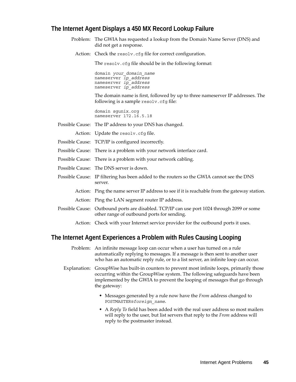# **The Internet Agent Displays a 450 MX Record Lookup Failure**

- Problem: The GWIA has requested a lookup from the Domain Name Server (DNS) and did not get a response.
	- Action: Check the resolv.cfg file for correct configuration.

The resolv.cfg file should be in the following format:

domain *your\_domain\_name* nameserver *ip\_address* nameserver *ip\_address* nameserver *ip\_address*

The domain name is first, followed by up to three nameserver IP addresses. The following is a sample resolv.cfg file:

domain sgunix.org nameserver 172.16.5.18

Possible Cause: The IP address to your DNS has changed.

- Action: Update the resolv.cfq file.
- Possible Cause: TCP/IP is configured incorrectly.
- Possible Cause: There is a problem with your network interface card.
- Possible Cause: There is a problem with your network cabling.
- Possible Cause: The DNS server is down.
- Possible Cause: IP filtering has been added to the routers so the GWIA cannot see the DNS server.
	- Action: Ping the name server IP address to see if it is reachable from the gateway station.
	- Action: Ping the LAN segment router IP address.
- Possible Cause: Outbound ports are disabled. TCP/IP can use port 1024 through 2099 or some other range of outbound ports for sending.
	- Action: Check with your Internet service provider for the outbound ports it uses.

# **The Internet Agent Experiences a Problem with Rules Causing Looping**

- Problem: An infinite message loop can occur when a user has turned on a rule automatically replying to messages. If a message is then sent to another user who has an automatic reply rule, or to a list server, an infinite loop can occur.
- Explanation: GroupWise has built-in counters to prevent most infinite loops, primarily those occurring within the GroupWise system. The following safeguards have been implemented by the GWIA to prevent the looping of messages that go through the gateway:
	- Messages generated by a rule now have the *From* address changed to POSTMASTER@*foreign\_name*.
	- A *Reply To* field has been added with the real user address so most mailers will reply to the user, but list servers that reply to the *From* address will reply to the postmaster instead.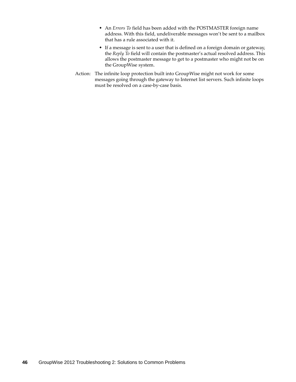- An *Errors To* field has been added with the POSTMASTER foreign name address. With this field, undeliverable messages won't be sent to a mailbox that has a rule associated with it.
- If a message is sent to a user that is defined on a foreign domain or gateway, the *Reply To* field will contain the postmaster's actual resolved address. This allows the postmaster message to get to a postmaster who might not be on the GroupWise system.
- Action: The infinite loop protection built into GroupWise might not work for some messages going through the gateway to Internet list servers. Such infinite loops must be resolved on a case-by-case basis.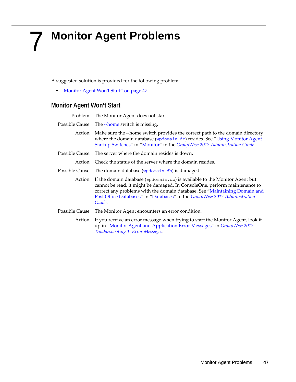# 7 <sup>7</sup>**Monitor Agent Problems**

A suggested solution is provided for the following problem:

["Monitor Agent Won't Start" on page 47](#page-46-0)

# <span id="page-46-0"></span>**Monitor Agent Won't Start**

Problem: The Monitor Agent does not start.

- Possible Cause: The [--home](http://www.novell.com/documentation/groupwise2012/pdfdoc/gw2012_guide_admin/gw2012_guide_admin.pdf#ab1jrp8) switch is missing.
	- Action: Make sure the --home switch provides the correct path to the domain directory where the domain database ([wpdomain.db](http://www.novell.com/documentation/groupwise2012/pdfdoc/gw2012_guide_tsh3/gw2012_guide_tsh3.pdf#a3ec28k)) resides. See "Using Monitor Agent [Startup Switches](http://www.novell.com/documentation/groupwise2012/pdfdoc/gw2012_guide_admin/gw2012_guide_admin.pdf#Ab1jrhh)" in "[Monitor](http://www.novell.com/documentation/groupwise2012/pdfdoc/gw2012_guide_admin/gw2012_guide_admin.pdf#a7q51ga)" in the *[GroupWise 2012 Administration Guide](http://www.novell.com/documentation/groupwise2012/pdfdoc/gw2012_guide_admin/gw2012_guide_admin.pdf#A2zvyc4)*.
- Possible Cause: The server where the domain resides is down.

Action: Check the status of the server where the domain resides.

- Possible Cause: The domain database ([wpdomain.db](http://www.novell.com/documentation/groupwise2012/pdfdoc/gw2012_guide_tsh3/gw2012_guide_tsh3.pdf#a3ec28k)) is damaged.
	- Action: If the domain database (wpdomain.db) is available to the Monitor Agent but cannot be read, it might be damaged. In ConsoleOne, perform maintenance to correct any problems with the domain database. See "[Maintaining Domain and](http://www.novell.com/documentation/groupwise2012/pdfdoc/gw2012_guide_admin/gw2012_guide_admin.pdf#abbtdrb)  [Post Office Databases](http://www.novell.com/documentation/groupwise2012/pdfdoc/gw2012_guide_admin/gw2012_guide_admin.pdf#abbtdrb)" in "[Databases"](http://www.novell.com/documentation/groupwise2012/pdfdoc/gw2012_guide_admin/gw2012_guide_admin.pdf#a8n802e) in the *[GroupWise 2012 Administration](http://www.novell.com/documentation/groupwise2012/pdfdoc/gw2012_guide_admin/gw2012_guide_admin.pdf#A2zvyc4)  [Guide](http://www.novell.com/documentation/groupwise2012/pdfdoc/gw2012_guide_admin/gw2012_guide_admin.pdf#A2zvyc4)*.
- Possible Cause: The Monitor Agent encounters an error condition.
	- Action: If you receive an error message when trying to start the Monitor Agent, look it up in "[Monitor Agent and Application Error Messages"](http://www.novell.com/documentation/groupwise2012/pdfdoc/gw2012_guide_tsh1/gw2012_guide_tsh1.pdf#adlk8la) in *[GroupWise 2012](http://www.novell.com/documentation/groupwise2012/pdfdoc/gw2012_guide_tsh1/gw2012_guide_tsh1.pdf#A4ehiyt)  [Troubleshooting 1: Error Messages](http://www.novell.com/documentation/groupwise2012/pdfdoc/gw2012_guide_tsh1/gw2012_guide_tsh1.pdf#A4ehiyt)*.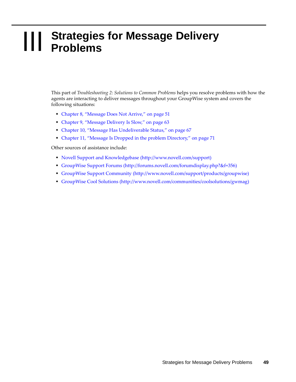# **III Strategies for Message Delivery<br>
III Problems Problems**

This part of *Troubleshooting 2: Solutions to Common Problems* helps you resolve problems with how the agents are interacting to deliver messages throughout your GroupWise system and covers the following situations:

- [Chapter 8, "Message Does Not Arrive," on page 51](#page-50-1)
- [Chapter 9, "Message Delivery Is Slow," on page 63](#page-62-0)
- [Chapter 10, "Message Has Undeliverable Status," on page 67](#page-66-0)
- [Chapter 11, "Message Is Dropped in the problem Directory," on page 71](#page-70-0)

Other sources of assistance include:

- [Novell Support and Knowledgebase](http://www.novell.com/support) (http://www.novell.com/support)
- [GroupWise Support Forums](http://forums.novell.com/forumdisplay.php?&f=356) (http://forums.novell.com/forumdisplay.php?&f=356)
- [GroupWise Support Community](http://www.novell.com/support/products/groupwise) (http://www.novell.com/support/products/groupwise)
- [GroupWise Cool Solutions](http://www.novell.com/communities/coolsolutions/gwmag) (http://www.novell.com/communities/coolsolutions/gwmag)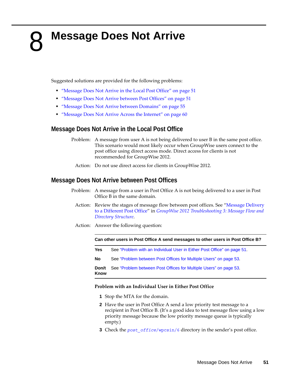# <span id="page-50-1"></span>**Message Does Not Arrive**

Suggested solutions are provided for the following problems:

- ["Message Does Not Arrive in the Local Post Office" on page 51](#page-50-2)
- ["Message Does Not Arrive between Post Offices" on page 51](#page-50-3)
- ["Message Does Not Arrive between Domains" on page 55](#page-54-0)
- ["Message Does Not Arrive Across the Internet" on page 60](#page-59-0)

# <span id="page-50-2"></span>**Message Does Not Arrive in the Local Post Office**

- Problem: A message from user A is not being delivered to user B in the same post office. This scenario would most likely occur when GroupWise users connect to the post office using direct access mode. Direct access for clients is not recommended for GroupWise 2012.
	- Action: Do not use direct access for clients in GroupWise 2012.

# <span id="page-50-3"></span>**Message Does Not Arrive between Post Offices**

- Problem: A message from a user in Post Office A is not being delivered to a user in Post Office B in the same domain.
	- Action: Review the stages of message flow between post offices. See ["Message Delivery](http://www.novell.com/documentation/groupwise2012/pdfdoc/gw2012_guide_tsh3/gw2012_guide_tsh3.pdf#h23xeinv)  [to a Different Post Office"](http://www.novell.com/documentation/groupwise2012/pdfdoc/gw2012_guide_tsh3/gw2012_guide_tsh3.pdf#h23xeinv) in *[GroupWise 2012 Troubleshooting 3: Message Flow and](http://www.novell.com/documentation/groupwise2012/pdfdoc/gw2012_guide_tsh3/gw2012_guide_tsh3.pdf#A4ehibh)  [Directory Structure](http://www.novell.com/documentation/groupwise2012/pdfdoc/gw2012_guide_tsh3/gw2012_guide_tsh3.pdf#A4ehibh)*.
	- Action: Answer the following question:

#### <span id="page-50-0"></span>**Can other users in Post Office A send messages to other users in Post Office B?**

- **Yes** See ["Problem with an Individual User in Either Post Office" on page 51.](#page-50-4)
- **No** See ["Problem between Post Offices for Multiple Users" on page 53.](#page-52-0)

**Don/t Know** See ["Problem between Post Offices for Multiple Users" on page 53.](#page-52-0)

#### <span id="page-50-4"></span>**Problem with an Individual User in Either Post Office**

- **1** Stop the MTA for the domain.
- **2** Have the user in Post Office A send a low priority test message to a recipient in Post Office B. (It's a good idea to test message flow using a low priority message because the low priority message queue is typically empty.)
- **3** Check the *post* of fice[/wpcsin/6](http://www.novell.com/documentation/groupwise2012/pdfdoc/gw2012_guide_tsh3/gw2012_guide_tsh3.pdf#a3ectbd) directory in the sender's post office.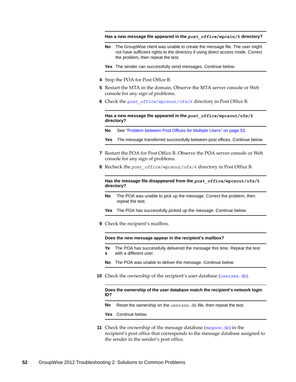**Has a new message file appeared in the** *post\_office***/wpcsin/6 directory?**

**No** The GroupWise client was unable to create the message file. The user might not have sufficient rights to the directory if using direct access mode. Correct the problem, then repeat the test.

**Yes** The sender can successfully send messages. Continue below.

- **4** Stop the POA for Post Office B.
- **5** Restart the MTA in the domain. Observe the MTA server console or Web console for any sign of problems.
- **6** Check the *post\_office*[/wpcsout/ofs/6](http://www.novell.com/documentation/groupwise2012/pdfdoc/gw2012_guide_tsh3/gw2012_guide_tsh3.pdf#a3edx6o) directory in Post Office B.

**Has a new message file appeared in the** *post\_office***/wpcsout/ofs/6 directory?**

- **No** See ["Problem between Post Offices for Multiple Users" on page 53](#page-52-0).
- **Yes** The message transferred successfully between post offices. Continue below.
- **7** Restart the POA for Post Office B. Observe the POA server console or Web console for any sign of problems.
- <span id="page-51-0"></span>**8** Recheck the *post\_office*/wpcsout/ofs/6 directory in Post Office B.

**Has the message file disappeared from the** *post\_office***/wpcsout/ofs/6 directory?**

- **No** The POA was unable to pick up the message. Correct the problem, then repeat the test.
- **Yes** The POA has successfully picked up the message. Continue below.
- <span id="page-51-1"></span>**9** Check the recipient's mailbox.

**Does the new message appear in the recipient's mailbox?**

- **Ye s** The POA has successfully delivered the message this time. Repeat the test with a different user.
- **No** The POA was unable to deliver the message. Continue below.
- **10** Check the ownership of the recipient's user database (user*xxx*[.db](http://www.novell.com/documentation/groupwise2012/pdfdoc/gw2012_guide_tsh3/gw2012_guide_tsh3.pdf#a3edsq6)[\).](http://www.novell.com/documentation/groupwise2012/pdfdoc/gw2012_guide_tsh3/gw2012_guide_tsh3.pdf#a3edsq6)

#### **Does the ownership of the user database match the recipient's network login ID?**

- **No** Reset the ownership on the user*xxx*.db file, then repeat the test.
- **Yes** Continue below.
- **11** Check the ownership of the message database (msg*nnn*[.db](http://www.novell.com/documentation/groupwise2012/pdfdoc/gw2012_guide_tsh3/gw2012_guide_tsh3.pdf#a3edsq2)[\)](http://www.novell.com/documentation/groupwise2012/pdfdoc/gw2012_guide_tsh3/gw2012_guide_tsh3.pdf#a3edsq2) in the recipient's post office that corresponds to the message database assigned to the sender in the sender's post office.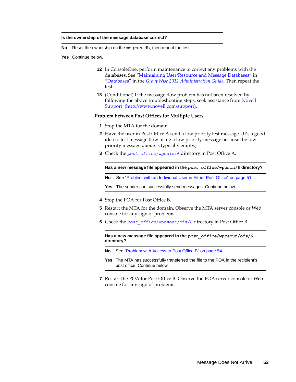#### **Is the ownership of the message database correct?**

- **No** Reset the ownership on the msg*nnn*.db, then repeat the test.
- <span id="page-52-1"></span>**Yes** Continue below.
	- **12** In ConsoleOne, perform maintenance to correct any problems with the databases. See ["Maintaining User/Resource and Message Databases"](http://www.novell.com/documentation/groupwise2012/pdfdoc/gw2012_guide_admin/gw2012_guide_admin.pdf#abbtgc3) in ["Databases"](http://www.novell.com/documentation/groupwise2012/pdfdoc/gw2012_guide_admin/gw2012_guide_admin.pdf#a8n802e) in the *[GroupWise 2012 Administration Guide](http://www.novell.com/documentation/groupwise2012/pdfdoc/gw2012_guide_admin/gw2012_guide_admin.pdf#A2zvyc4)*. Then repeat the test.
	- **13** (Conditional) If the message flow problem has not been resolved by following the above troubleshooting steps, seek assistance from [Novell](http://www.novell.com/support)  [Support](http://www.novell.com/support) (http://www.novell.com/support).

#### <span id="page-52-0"></span>**Problem between Post Offices for Multiple Users**

- **1** Stop the MTA for the domain.
- **2** Have the user in Post Office A send a low priority test message. (It's a good idea to test message flow using a low priority message because the low priority message queue is typically empty.)
- **3** Check the *post\_office*[/wpcsin/6](http://www.novell.com/documentation/groupwise2012/pdfdoc/gw2012_guide_tsh3/gw2012_guide_tsh3.pdf#a3ectbd) directory in Post Office A.

**Has a new message file appeared in the** *post\_office***/wpcsin/6 directory?**

**No** See ["Problem with an Individual User in Either Post Office" on page 51](#page-50-4).

**Yes** The sender can successfully send messages. Continue below.

- **4** Stop the POA for Post Office B.
- **5** Restart the MTA for the domain. Observe the MTA server console or Web console for any sign of problems.
- **6** Check the *post\_office*[/wpcsout/ofs/6](http://www.novell.com/documentation/groupwise2012/pdfdoc/gw2012_guide_tsh3/gw2012_guide_tsh3.pdf#a3edx6o) directory in Post Office B.

**Has a new message file appeared in the** *post\_office***/wpcsout/ofs/6 directory?** 

- **No** See ["Problem with Access to Post Office B" on page 54](#page-53-0).
- **Yes** The MTA has successfully transferred the file to the POA in the recipient's post office. Continue below.
- **7** Restart the POA for Post Office B. Observe the POA server console or Web console for any sign of problems.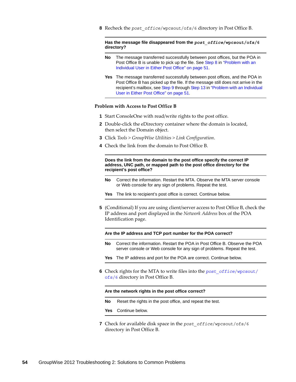**8** Recheck the *post\_office*/wpcsout/ofs/6 directory in Post Office B.

#### **Has the message file disappeared from the** *post\_office***/wpcsout/ofs/6 directory?**

- **No** The message transferred successfully between post offices, but the POA in Post Office B is unable to pick up the file. See [Step 8](#page-51-0) in "Problem with an [Individual User in Either Post Office" on page 51](#page-50-4).
- **Yes** The message transferred successfully between post offices, and the POA in Post Office B has picked up the file. If the message still does not arrive in the recipient's mailbox, see [Step 9](#page-51-1) through [Step 13](#page-52-1) in "Problem with an Individual [User in Either Post Office" on page 51.](#page-50-4)

#### <span id="page-53-0"></span>**Problem with Access to Post Office B**

- **1** Start ConsoleOne with read/write rights to the post office.
- **2** Double-click the eDirectory container where the domain is located, then select the Domain object.
- **3** Click *Tools > GroupWise Utilities > Link Configuration*.
- **4** Check the link from the domain to Post Office B.

**Does the link from the domain to the post office specify the correct IP address, UNC path, or mapped path to the post office directory for the recipient's post office?**

- **No** Correct the information. Restart the MTA. Observe the MTA server console or Web console for any sign of problems. Repeat the test.
- **Yes** The link to recipient's post office is correct. Continue below.
- **5** (Conditional) If you are using client/server access to Post Office B, check the IP address and port displayed in the *Network Address* box of the POA Identification page.

#### **Are the IP address and TCP port number for the POA correct?**

- **No** Correct the information. Restart the POA in Post Office B. Observe the POA server console or Web console for any sign of problems. Repeat the test.
- **Yes** The IP address and port for the POA are correct. Continue below.
- **6** Check rights for the MTA to write files into the *post\_office*[/wpcsout/](http://www.novell.com/documentation/groupwise2012/pdfdoc/gw2012_guide_tsh3/gw2012_guide_tsh3.pdf#a3edx6o) [ofs/6](http://www.novell.com/documentation/groupwise2012/pdfdoc/gw2012_guide_tsh3/gw2012_guide_tsh3.pdf#a3edx6o) directory in Post Office B.

#### **Are the network rights in the post office correct?**

- **No** Reset the rights in the post office, and repeat the test.
- **Yes** Continue below.
- **7** Check for available disk space in the *post\_office*/wpcsout/ofs/6 directory in Post Office B.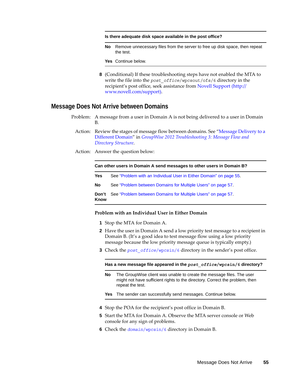#### **Is there adequate disk space available in the post office?**

**No** Remove unnecessary files from the server to free up disk space, then repeat the test.

**Yes** Continue below.

**8** (Conditional) If these troubleshooting steps have not enabled the MTA to write the file into the *post* of fice/wpcsout/ofs/6 directory in the recipient's post office, seek assistance from [Novell Support](http://www.novell.com/support) (http:// www.novell.com/support).

### <span id="page-54-0"></span>**Message Does Not Arrive between Domains**

- Problem: A message from a user in Domain A is not being delivered to a user in Domain B.
	- Action: Review the stages of message flow between domains. See "[Message Delivery to a](http://www.novell.com/documentation/groupwise2012/pdfdoc/gw2012_guide_tsh3/gw2012_guide_tsh3.pdf#haqnexwp)  [Different Domain](http://www.novell.com/documentation/groupwise2012/pdfdoc/gw2012_guide_tsh3/gw2012_guide_tsh3.pdf#haqnexwp)" in *[GroupWise 2012 Troubleshooting 3: Message Flow and](http://www.novell.com/documentation/groupwise2012/pdfdoc/gw2012_guide_tsh3/gw2012_guide_tsh3.pdf#A4ehibh)  [Directory Structure](http://www.novell.com/documentation/groupwise2012/pdfdoc/gw2012_guide_tsh3/gw2012_guide_tsh3.pdf#A4ehibh)*.
	- Action: Answer the question below:

**Can other users in Domain A send messages to other users in Domain B?**

- **Yes** See ["Problem with an Individual User in Either Domain" on page 55](#page-54-1).
- **No** See ["Problem between Domains for Multiple Users" on page 57](#page-56-0).

**Don't Know** See ["Problem between Domains for Multiple Users" on page 57](#page-56-0).

#### <span id="page-54-1"></span>**Problem with an Individual User in Either Domain**

- **1** Stop the MTA for Domain A.
- **2** Have the user in Domain A send a low priority test message to a recipient in Domain B. (It's a good idea to test message flow using a low priority message because the low priority message queue is typically empty.)
- **3** Check the *post* of fice[/wpcsin/6](http://www.novell.com/documentation/groupwise2012/pdfdoc/gw2012_guide_tsh3/gw2012_guide_tsh3.pdf#a3ectbd) directory in the sender's post office.

**Has a new message file appeared in the** *post\_office***/wpcsin/6 directory?**

**No** The GroupWise client was unable to create the message files. The user might not have sufficient rights to the directory. Correct the problem, then repeat the test.

**Yes** The sender can successfully send messages. Continue below.

- **4** Stop the POA for the recipient's post office in Domain B.
- **5** Start the MTA for Domain A. Observe the MTA server console or Web console for any sign of problems.
- **6** Check the *domain*[/wpcsin/6](http://www.novell.com/documentation/groupwise2012/pdfdoc/gw2012_guide_tsh3/gw2012_guide_tsh3.pdf#a3eatiw) directory in Domain B.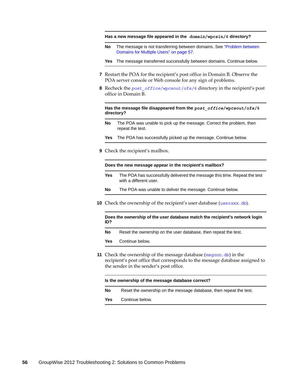**Has a new message file appeared in the** *domain***/wpcsin/6 directory?**

**No** The message is not transferring between domains. See ["Problem between](#page-56-0)  [Domains for Multiple Users" on page 57](#page-56-0).

**Yes** The message transferred successfully between domains. Continue below.

- **7** Restart the POA for the recipient's post office in Domain B. Observe the POA server console or Web console for any sign of problems.
- <span id="page-55-0"></span>**8** Recheck the *post\_office*[/wpcsout/ofs/6](http://www.novell.com/documentation/groupwise2012/pdfdoc/gw2012_guide_tsh3/gw2012_guide_tsh3.pdf#a3edx6o) directory in the recipient's post office in Domain B.

**Has the message file disappeared from the** *post\_office***/wpcsout/ofs/6 directory?**

- **No** The POA was unable to pick up the message. Correct the problem, then repeat the test.
- **Yes** The POA has successfully picked up the message. Continue below.
- **9** Check the recipient's mailbox.

**Does the new message appear in the recipient's mailbox?**

- **Yes** The POA has successfully delivered the message this time. Repeat the test with a different user.
- **No** The POA was unable to deliver the message. Continue below.
- **10** Check the ownership of the recipient's user database (user*xxx*[.db](http://www.novell.com/documentation/groupwise2012/pdfdoc/gw2012_guide_tsh3/gw2012_guide_tsh3.pdf#a3edsq6)).

**Does the ownership of the user database match the recipient's network login ID?**

**No** Reset the ownership on the user database, then repeat the test.

**Yes** Continue below.

**11** Check the ownership of the message database (msg*nnn*[.db](http://www.novell.com/documentation/groupwise2012/pdfdoc/gw2012_guide_tsh3/gw2012_guide_tsh3.pdf#a3edsq2)) in the recipient's post office that corresponds to the message database assigned to the sender in the sender's post office.

**Is the ownership of the message database correct?**

**No** Reset the ownership on the message database, then repeat the test.

**Yes** Continue below.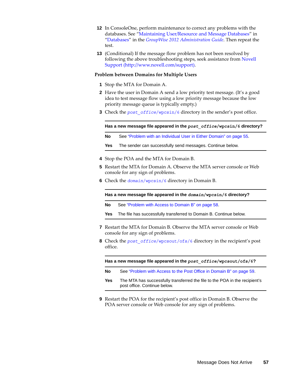- **12** In ConsoleOne, perform maintenance to correct any problems with the databases. See ["Maintaining User/Resource and Message Databases"](http://www.novell.com/documentation/groupwise2012/pdfdoc/gw2012_guide_admin/gw2012_guide_admin.pdf#abbtgc3) in ["Databases"](http://www.novell.com/documentation/groupwise2012/pdfdoc/gw2012_guide_admin/gw2012_guide_admin.pdf#a8n802e) in the *[GroupWise 2012 Administration Guide](http://www.novell.com/documentation/groupwise2012/pdfdoc/gw2012_guide_admin/gw2012_guide_admin.pdf#A2zvyc4)*. Then repeat the test.
- <span id="page-56-1"></span>**13** (Conditional) If the message flow problem has not been resolved by following the above troubleshooting steps, seek assistance from [Novell](http://www.novell.com/support)  [Support](http://www.novell.com/support) (http://www.novell.com/support).

#### <span id="page-56-0"></span>**Problem between Domains for Multiple Users**

- **1** Stop the MTA for Domain A.
- **2** Have the user in Domain A send a low priority test message. (It's a good idea to test message flow using a low priority message because the low priority message queue is typically empty.)
- **3** Check the *post* of fice[/wpcsin/6](http://www.novell.com/documentation/groupwise2012/pdfdoc/gw2012_guide_tsh3/gw2012_guide_tsh3.pdf#a3ectbd) directory in the sender's post office.

**Has a new message file appeared in the** *post\_office***/wpcsin/6 directory?**

**No** See ["Problem with an Individual User in Either Domain" on page 55](#page-54-1).

- **Yes** The sender can successfully send messages. Continue below.
- **4** Stop the POA and the MTA for Domain B.
- **5** Restart the MTA for Domain A. Observe the MTA server console or Web console for any sign of problems.
- **6** Check the *domain*[/wpcsin/6](http://www.novell.com/documentation/groupwise2012/pdfdoc/gw2012_guide_tsh3/gw2012_guide_tsh3.pdf#a3eatiw) directory in Domain B.

**Has a new message file appeared in the** *domain***/wpcsin/6 directory?**

**No** See ["Problem with Access to Domain B" on page 58](#page-57-0).

**Yes** The file has successfully transferred to Domain B. Continue below.

- **7** Restart the MTA for Domain B. Observe the MTA server console or Web console for any sign of problems.
- **8** Check the *post\_office*[/wpcsout/ofs/6](http://www.novell.com/documentation/groupwise2012/pdfdoc/gw2012_guide_tsh3/gw2012_guide_tsh3.pdf#a3edx6o) directory in the recipient's post office.

**Has a new message file appeared in the** *post\_office***/wpcsout/ofs/6?**

- **No** See ["Problem with Access to the Post Office in Domain B" on page 59](#page-58-0).
- **Yes** The MTA has successfully transferred the file to the POA in the recipient's post office. Continue below.
- **9** Restart the POA for the recipient's post office in Domain B. Observe the POA server console or Web console for any sign of problems.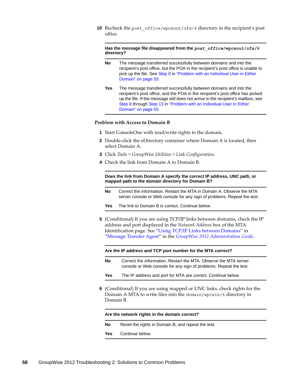**10** Recheck the *post\_office*/wpcsout/ofs/6 directory in the recipient's post office.

**Has the message file disappeared from the** *post\_office***/wpcsout/ofs/6 directory?**

- **No** The message transferred successfully between domains and into the recipient's post office, but the POA in the recipient's post office is unable to pick up the file. See [Step 8](#page-55-0) in "Problem with an Individual User in Either [Domain" on page 55](#page-54-1).
- **Yes** The message transferred successfully between domains and into the recipient's post office, and the POA in the recipient's post office has picked up the file. If the message still does not arrive in the recipient's mailbox, see [Step 8](#page-55-0) through [Step 13](#page-56-1) in ["Problem with an Individual User in Either](#page-54-1)  [Domain" on page 55](#page-54-1).

#### <span id="page-57-0"></span>**Problem with Access to Domain B**

- **1** Start ConsoleOne with read/write rights to the domain.
- **2** Double-click the eDirectory container where Domain A is located, then select Domain A.
- **3** Click *Tools > GroupWise Utilities > Link Configuration*.
- **4** Check the link from Domain A to Domain B.

**Does the link from Domain A specify the correct IP address, UNC path, or mapped path to the domain directory for Domain B?**

- **No** Correct the information. Restart the MTA in Domain A. Observe the MTA server console or Web console for any sign of problems. Repeat the test.
- **Yes** The link to Domain B is correct. Continue below.
- **5** (Conditional) If you are using TCP/IP links between domains, check the IP address and port displayed in the *Network Address* box of the MTA Identification page. See "[Using TCP/IP Links between Domains](http://www.novell.com/documentation/groupwise2012/pdfdoc/gw2012_guide_admin/gw2012_guide_admin.pdf#hi4xilif)" in "[Message Transfer Agent"](http://www.novell.com/documentation/groupwise2012/pdfdoc/gw2012_guide_admin/gw2012_guide_admin.pdf#a7q4zpk) in the *[GroupWise 2012 Administration Guide](http://www.novell.com/documentation/groupwise2012/pdfdoc/gw2012_guide_admin/gw2012_guide_admin.pdf#A2zvyc4)*.

**Are the IP address and TCP port number for the MTA correct?**

- **No** Correct the information. Restart the MTA. Observe the MTA server console or Web console for any sign of problems. Repeat the test.
- **Yes** The IP address and port for MTA are correct. Continue below.
- **6** (Conditional) If you are using mapped or UNC links, check rights for the Domain A MTA to write files into the *domain*/wpcsin/6 directory in Domain B.

#### **Are the network rights in the domain correct?**

- **No** Reset the rights in Domain B, and repeat the test.
- **Yes** Continue below.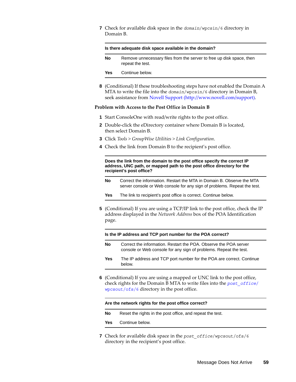**7** Check for available disk space in the *domain*/wpcsin/6 directory in Domain B.

| Is there adequate disk space available in the domain? |                                                                                          |  |
|-------------------------------------------------------|------------------------------------------------------------------------------------------|--|
| No                                                    | Remove unnecessary files from the server to free up disk space, then<br>repeat the test. |  |
| Yes                                                   | Continue below.                                                                          |  |
|                                                       |                                                                                          |  |

**8** (Conditional) If these troubleshooting steps have not enabled the Domain A MTA to write the file into the *domain*/wpcsin/6 directory in Domain B, seek assistance from [Novell Support](http://www.novell.com/support) (http://www.novell.com/support).

#### <span id="page-58-0"></span>**Problem with Access to the Post Office in Domain B**

- **1** Start ConsoleOne with read/write rights to the post office.
- **2** Double-click the eDirectory container where Domain B is located, then select Domain B.
- **3** Click *Tools > GroupWise Utilities > Link Configuration*.
- **4** Check the link from Domain B to the recipient's post office.

**Does the link from the domain to the post office specify the correct IP address, UNC path, or mapped path to the post office directory for the recipient's post office?**

- **No** Correct the information. Restart the MTA in Domain B. Observe the MTA server console or Web console for any sign of problems. Repeat the test.
- Yes The link to recipient's post office is correct. Continue below.
- **5** (Conditional) If you are using a TCP/IP link to the post office, check the IP address displayed in the *Network Address* box of the POA Identification page.

**Is the IP address and TCP port number for the POA correct?**

- **No** Correct the information. Restart the POA. Observe the POA server console or Web console for any sign of problems. Repeat the test.
- **Yes** The IP address and TCP port number for the POA are correct. Continue below.
- **6** (Conditional) If you are using a mapped or UNC link to the post office, check rights for the Domain B MTA to write files into the *post\_office*[/](http://www.novell.com/documentation/groupwise2012/pdfdoc/gw2012_guide_tsh3/gw2012_guide_tsh3.pdf#a3edx6o) [wpcsout/ofs/6](http://www.novell.com/documentation/groupwise2012/pdfdoc/gw2012_guide_tsh3/gw2012_guide_tsh3.pdf#a3edx6o) directory in the post office.

#### **Are the network rights for the post office correct?**

**No** Reset the rights in the post office, and repeat the test.

**Yes** Continue below.

**7** Check for available disk space in the *post\_office*/wpcsout/ofs/6 directory in the recipient's post office.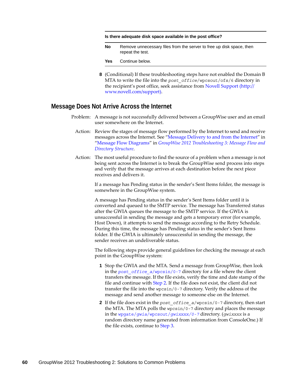#### **Is there adequate disk space available in the post office?**

**No** Remove unnecessary files from the server to free up disk space, then repeat the test.

**Yes** Continue below.

**8** (Conditional) If these troubleshooting steps have not enabled the Domain B MTA to write the file into the *post\_office*/wpcsout/ofs/6 directory in the recipient's post office, seek assistance from [Novell Support](http://www.novell.com/support) (http:// www.novell.com/support).

### <span id="page-59-0"></span>**Message Does Not Arrive Across the Internet**

- Problem: A message is not successfully delivered between a GroupWise user and an email user somewhere on the Internet.
	- Action: Review the stages of message flow performed by the Internet to send and receive messages across the Internet. See ["Message Delivery to and from the Internet"](http://www.novell.com/documentation/groupwise2012/pdfdoc/gw2012_guide_tsh3/gw2012_guide_tsh3.pdf#adn4r1v) in "[Message Flow Diagrams](http://www.novell.com/documentation/groupwise2012/pdfdoc/gw2012_guide_tsh3/gw2012_guide_tsh3.pdf#a3vx6ne)" in *[GroupWise 2012 Troubleshooting 3: Message Flow and](http://www.novell.com/documentation/groupwise2012/pdfdoc/gw2012_guide_tsh3/gw2012_guide_tsh3.pdf#A4ehibh)  [Directory Structure](http://www.novell.com/documentation/groupwise2012/pdfdoc/gw2012_guide_tsh3/gw2012_guide_tsh3.pdf#A4ehibh)*.
	- Action: The most useful procedure to find the source of a problem when a message is not being sent across the Internet is to break the GroupWise send process into steps and verify that the message arrives at each destination before the next piece receives and delivers it.

If a message has Pending status in the sender's Sent Items folder, the message is somewhere in the GroupWise system.

A message has Pending status in the sender's Sent Items folder until it is converted and queued to the SMTP service. The message has Transferred status after the GWIA queues the message to the SMTP service. If the GWIA is unsuccessful in sending the message and gets a temporary error (for example, Host Down), it attempts to send the message according to the Retry Schedule. During this time, the message has Pending status in the sender's Sent Items folder. If the GWIA is ultimately unsuccessful in sending the message, the sender receives an undeliverable status.

<span id="page-59-2"></span>The following steps provide general guidelines for checking the message at each point in the GroupWise system:

- **1** Stop the GWIA and the MTA. Send a message from GroupWise, then look in the *post\_office\_a*[/wpcsin/0-7](http://www.novell.com/documentation/groupwise2012/pdfdoc/gw2012_guide_tsh3/gw2012_guide_tsh3.pdf#a3ectbd) directory for a file where the client transfers the message. If the file exists, verify the time and date stamp of the file and continue with [Step 2.](#page-59-1) If the file does not exist, the client did not transfer the file into the wpcsin/0-7 directory. Verify the address of the message and send another message to someone else on the Internet.
- <span id="page-59-1"></span>**2** If the file does exist in the *post\_office\_a*/wpcsin/0-7 directory, then start the MTA. The MTA polls the wpcsin/0-7 directory and places the message in the wpgate/*[gwia](http://www.novell.com/documentation/groupwise2012/pdfdoc/gw2012_guide_tsh3/gw2012_guide_tsh3.pdf#a2iehf2)*/wpcsout/*gwixxxx/0-7* directory. (*gwixxxx* is a random directory name generated from information from ConsoleOne.) If the file exists, continue to [Step 3](#page-60-0).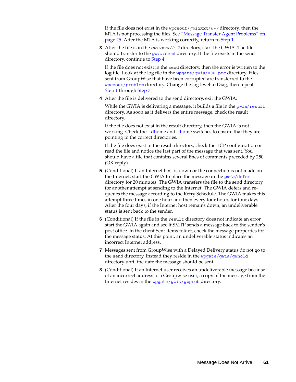If the file does not exist in the wpcsout/*gwixxxx*/*0-7* directory, then the MTA is not processing the files. See ["Message Transfer Agent Problems" on](#page-24-0)  [page 25.](#page-24-0) After the MTA is working correctly, return to [Step 1](#page-59-2).

<span id="page-60-0"></span>**3** After the file is in the *gwixxxx/0-7* directory, start the GWIA. The file should transfer to the *gwia*[/send](http://www.novell.com/documentation/groupwise2012/pdfdoc/gw2012_guide_tsh3/gw2012_guide_tsh3.pdf#bsfil9z) directory. If the file exists in the send directory, continue to [Step 4](#page-60-1).

If the file does not exist in the send directory, then the error is written to the log file. Look at the log file in the wpgate/*gwia*[/000.prc](http://www.novell.com/documentation/groupwise2012/pdfdoc/gw2012_guide_tsh3/gw2012_guide_tsh3.pdf#a2iehf6) directory. Files sent from GroupWise that have been corrupted are transferred to the [wpcsout/problem](http://www.novell.com/documentation/groupwise2012/pdfdoc/gw2012_guide_tsh3/gw2012_guide_tsh3.pdf#a2iehf2) directory. Change the log level to Diag, then repeat [Step 1](#page-59-2) through [Step 3](#page-60-0).

<span id="page-60-1"></span>**4** After the file is delivered to the send directory, exit the GWIA.

While the GWIA is delivering a message, it builds a file in the *gwia*[/result](http://www.novell.com/documentation/groupwise2012/pdfdoc/gw2012_guide_tsh3/gw2012_guide_tsh3.pdf#bsfil9z) directory. As soon as it delivers the entire message, check the result directory.

If the file does not exist in the result directory, then the GWIA is not working. Check the [--dhome](http://www.novell.com/documentation/groupwise2012/pdfdoc/gw2012_guide_admin/gw2012_guide_admin.pdf#a377a8d) and [--home](http://www.novell.com/documentation/groupwise2012/pdfdoc/gw2012_guide_admin/gw2012_guide_admin.pdf#a377e7u) switches to ensure that they are pointing to the correct directories.

If the file does exist in the result directory, check the TCP configuration or read the file and notice the last part of the message that was sent. You should have a file that contains several lines of comments preceded by 250 (OK reply).

- **5** (Conditional) If an Internet host is down or the connection is not made on the Internet, start the GWIA to place the message in the *gwia*[/defer](http://www.novell.com/documentation/groupwise2012/pdfdoc/gw2012_guide_tsh3/gw2012_guide_tsh3.pdf#bsfil9z) directory for 20 minutes. The GWIA transfers the file to the send directory for another attempt at sending to the Internet. The GWIA defers and requeues the message according to the Retry Schedule. The GWIA makes this attempt three times in one hour and then every four hours for four days. After the four days, if the Internet host remains down, an undeliverable status is sent back to the sender.
- **6** (Conditional) If the file in the result directory does not indicate an error, start the GWIA again and see if SMTP sends a message back to the sender's post office. In the client Sent Items folder, check the message properties for the message status. At this point, an undeliverable status indicates an incorrect Internet address.
- **7** Messages sent from GroupWise with a Delayed Delivery status do not go to the send directory. Instead they reside in the wpgate/*gwia*[/gwhold](http://www.novell.com/documentation/groupwise2012/pdfdoc/gw2012_guide_tsh3/gw2012_guide_tsh3.pdf#a2iehex) directory until the date the message should be sent.
- **8** (Conditional) If an Internet user receives an undeliverable message because of an incorrect address to a Groupwise user, a copy of the message from the Internet resides in the wpgate/*gwia*[/gwprob](http://www.novell.com/documentation/groupwise2012/pdfdoc/gw2012_guide_tsh3/gw2012_guide_tsh3.pdf#A3eahuw) directory.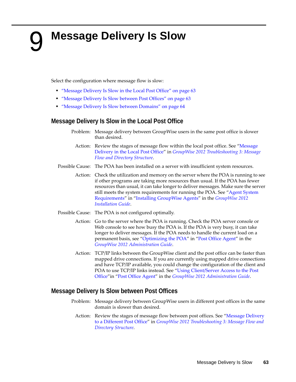# <span id="page-62-0"></span><sup>9</sup>**Message Delivery Is Slow**

Select the configuration where message flow is slow:

- ["Message Delivery Is Slow in the Local Post Office" on page 63](#page-62-1)
- ["Message Delivery Is Slow between Post Offices" on page 63](#page-62-2)
- ["Message Delivery Is Slow between Domains" on page 64](#page-63-0)

# <span id="page-62-1"></span>**Message Delivery Is Slow in the Local Post Office**

- Problem: Message delivery between GroupWise users in the same post office is slower than desired.
	- Action: Review the stages of message flow within the local post office. See ["Message](http://www.novell.com/documentation/groupwise2012/pdfdoc/gw2012_guide_tsh3/gw2012_guide_tsh3.pdf#h1faqptp)  [Delivery in the Local Post Office](http://www.novell.com/documentation/groupwise2012/pdfdoc/gw2012_guide_tsh3/gw2012_guide_tsh3.pdf#h1faqptp)" in *[GroupWise 2012 Troubleshooting 3: Message](http://www.novell.com/documentation/groupwise2012/pdfdoc/gw2012_guide_tsh3/gw2012_guide_tsh3.pdf#A4ehibh)  [Flow and Directory Structure](http://www.novell.com/documentation/groupwise2012/pdfdoc/gw2012_guide_tsh3/gw2012_guide_tsh3.pdf#A4ehibh)*.
- Possible Cause: The POA has been installed on a server with insufficient system resources.
	- Action: Check the utilization and memory on the server where the POA is running to see if other programs are taking more resources than usual. If the POA has fewer resources than usual, it can take longer to deliver messages. Make sure the server still meets the system requirements for running the POA. See ["Agent System](http://www.novell.com/documentation/groupwise2012/pdfdoc/gw2012_guide_install/gw2012_guide_install.pdf#bpcgnfq)  [Requirements"](http://www.novell.com/documentation/groupwise2012/pdfdoc/gw2012_guide_install/gw2012_guide_install.pdf#bpcgnfq) in ["Installing GroupWise Agents](http://www.novell.com/documentation/groupwise2012/pdfdoc/gw2012_guide_install/gw2012_guide_install.pdf#a8pam03)" in the *[GroupWise 2012](http://www.novell.com/documentation/groupwise2012/pdfdoc/gw2012_guide_install/gw2012_guide_install.pdf#gw2012guideinst)  [Installation Guide](http://www.novell.com/documentation/groupwise2012/pdfdoc/gw2012_guide_install/gw2012_guide_install.pdf#gw2012guideinst)*.
- Possible Cause: The POA is not configured optimally.
	- Action: Go to the server where the POA is running. Check the POA server console or Web console to see how busy the POA is. If the POA is very busy, it can take longer to deliver messages. If the POA needs to handle the current load on a permanent basis, see "[Optimizing the POA"](http://www.novell.com/documentation/groupwise2012/pdfdoc/gw2012_guide_admin/gw2012_guide_admin.pdf#hx0rwd73) in ["Post Office Agent"](http://www.novell.com/documentation/groupwise2012/pdfdoc/gw2012_guide_admin/gw2012_guide_admin.pdf#a84jmbe) in the *[GroupWise 2012 Administration Guide](http://www.novell.com/documentation/groupwise2012/pdfdoc/gw2012_guide_admin/gw2012_guide_admin.pdf#A2zvyc4)*.
	- Action: TCP/IP links between the GroupWise client and the post office can be faster than mapped drive connections. If you are currently using mapped drive connections and have TCP/IP available, you could change the configuration of the client and POA to use TCP/IP links instead. See "[Using Client/Server Access to the Post](http://www.novell.com/documentation/groupwise2012/pdfdoc/gw2012_guide_admin/gw2012_guide_admin.pdf#hwmqoxfk)  [Office"](http://www.novell.com/documentation/groupwise2012/pdfdoc/gw2012_guide_admin/gw2012_guide_admin.pdf#hwmqoxfk)in "[Post Office Agent](http://www.novell.com/documentation/groupwise2012/pdfdoc/gw2012_guide_admin/gw2012_guide_admin.pdf#a84jmbe)" in the *[GroupWise 2012 Administration Guide](http://www.novell.com/documentation/groupwise2012/pdfdoc/gw2012_guide_admin/gw2012_guide_admin.pdf#A2zvyc4)*.

### <span id="page-62-2"></span>**Message Delivery Is Slow between Post Offices**

- Problem: Message delivery between GroupWise users in different post offices in the same domain is slower than desired.
	- Action: Review the stages of message flow between post offices. See ["Message Delivery](http://www.novell.com/documentation/groupwise2012/pdfdoc/gw2012_guide_tsh3/gw2012_guide_tsh3.pdf#h23xeinv)  [to a Different Post Office"](http://www.novell.com/documentation/groupwise2012/pdfdoc/gw2012_guide_tsh3/gw2012_guide_tsh3.pdf#h23xeinv) in *[GroupWise 2012 Troubleshooting 3: Message Flow and](http://www.novell.com/documentation/groupwise2012/pdfdoc/gw2012_guide_tsh3/gw2012_guide_tsh3.pdf#A4ehibh)  [Directory Structure](http://www.novell.com/documentation/groupwise2012/pdfdoc/gw2012_guide_tsh3/gw2012_guide_tsh3.pdf#A4ehibh)*.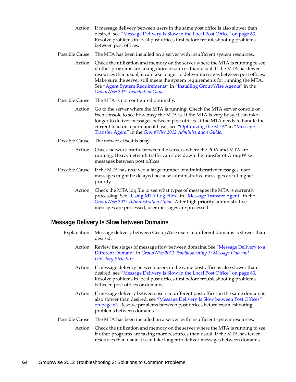- Action: If message delivery between users in the same post office is also slower than desired, see ["Message Delivery Is Slow in the Local Post Office" on page 63.](#page-62-1) Resolve problems in local post offices first before troubleshooting problems between post offices.
- Possible Cause: The MTA has been installed on a server with insufficient system resources.
	- Action: Check the utilization and memory on the server where the MTA is running to see if other programs are taking more resources than usual. If the MTA has fewer resources than usual, it can take longer to deliver messages between post offices. Make sure the server still meets the system requirements for running the MTA. See ["Agent System Requirements](http://www.novell.com/documentation/groupwise2012/pdfdoc/gw2012_guide_install/gw2012_guide_install.pdf#bpcgnfq)" in "[Installing GroupWise Agents"](http://www.novell.com/documentation/groupwise2012/pdfdoc/gw2012_guide_install/gw2012_guide_install.pdf#a8pam03) in the *[GroupWise 2012 Installation Guide](http://www.novell.com/documentation/groupwise2012/pdfdoc/gw2012_guide_install/gw2012_guide_install.pdf#gw2012guideinst)*.
- Possible Cause: The MTA is not configured optimally.
	- Action: Go to the server where the MTA is running. Check the MTA server console or Web console to see how busy the MTA is. If the MTA is very busy, it can take longer to deliver messages between post offices. If the MTA needs to handle the current load on a permanent basis, see "[Optimizing the MTA"](http://www.novell.com/documentation/groupwise2012/pdfdoc/gw2012_guide_admin/gw2012_guide_admin.pdf#a530sif) in "Message [Transfer Agent](http://www.novell.com/documentation/groupwise2012/pdfdoc/gw2012_guide_admin/gw2012_guide_admin.pdf#a7q4zpk)" in the *[GroupWise 2012 Administration Guide](http://www.novell.com/documentation/groupwise2012/pdfdoc/gw2012_guide_admin/gw2012_guide_admin.pdf#A2zvyc4)*.
- Possible Cause: The network itself is busy.
	- Action: Check network traffic between the servers where the POA and MTA are running. Heavy network traffic can slow down the transfer of GroupWise messages between post offices.
- Possible Cause: If the MTA has received a large number of administrative messages, user messages might be delayed because administrative messages are of higher priority.
	- Action: Check the MTA log file to see what types of messages the MTA is currently processing. See "[Using MTA Log Files"](http://www.novell.com/documentation/groupwise2012/pdfdoc/gw2012_guide_admin/gw2012_guide_admin.pdf#a7xzvus) in ["Message Transfer Agent](http://www.novell.com/documentation/groupwise2012/pdfdoc/gw2012_guide_admin/gw2012_guide_admin.pdf#a7q4zpk)" in the *[GroupWise 2012 Administration Guide](http://www.novell.com/documentation/groupwise2012/pdfdoc/gw2012_guide_admin/gw2012_guide_admin.pdf#A2zvyc4)*. After high priority administrative messages are processed, user messages are processed.

# <span id="page-63-0"></span>**Message Delivery Is Slow between Domains**

- Explanation: Message delivery between GroupWise users in different domains is slower than desired.
	- Action: Review the stages of message flow between domains. See "[Message Delivery to a](http://www.novell.com/documentation/groupwise2012/pdfdoc/gw2012_guide_tsh3/gw2012_guide_tsh3.pdf#haqnexwp)  [Different Domain](http://www.novell.com/documentation/groupwise2012/pdfdoc/gw2012_guide_tsh3/gw2012_guide_tsh3.pdf#haqnexwp)" in *[GroupWise 2012 Troubleshooting 3: Message Flow and](http://www.novell.com/documentation/groupwise2012/pdfdoc/gw2012_guide_tsh3/gw2012_guide_tsh3.pdf#A4ehibh)  [Directory Structure](http://www.novell.com/documentation/groupwise2012/pdfdoc/gw2012_guide_tsh3/gw2012_guide_tsh3.pdf#A4ehibh)*.
	- Action: If message delivery between users in the same post office is also slower than desired, see ["Message Delivery Is Slow in the Local Post Office" on page 63.](#page-62-1) Resolve problems in local post offices first before troubleshooting problems between post offices or domains.
	- Action: If message delivery between users in different post offices in the same domain is also slower than desired, see ["Message Delivery Is Slow between Post Offices"](#page-62-2)  [on page 63.](#page-62-2) Resolve problems between post offices before troubleshooting problems between domains.
- Possible Cause: The MTA has been installed on a server with insufficient system resources.
	- Action: Check the utilization and memory on the server where the MTA is running to see if other programs are taking more resources than usual. If the MTA has fewer resources than usual, it can take longer to deliver messages between domains.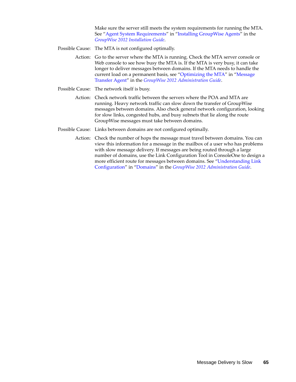Make sure the server still meets the system requirements for running the MTA. See ["Agent System Requirements](http://www.novell.com/documentation/groupwise2012/pdfdoc/gw2012_guide_install/gw2012_guide_install.pdf#bpcgnfq)" in "[Installing GroupWise Agents"](http://www.novell.com/documentation/groupwise2012/pdfdoc/gw2012_guide_install/gw2012_guide_install.pdf#a8pam03) in the *[GroupWise 2012 Installation Guide](http://www.novell.com/documentation/groupwise2012/pdfdoc/gw2012_guide_install/gw2012_guide_install.pdf#gw2012guideinst)*.

Possible Cause: The MTA is not configured optimally.

Action: Go to the server where the MTA is running. Check the MTA server console or Web console to see how busy the MTA is. If the MTA is very busy, it can take longer to deliver messages between domains. If the MTA needs to handle the current load on a permanent basis, see "[Optimizing the MTA"](http://www.novell.com/documentation/groupwise2012/pdfdoc/gw2012_guide_admin/gw2012_guide_admin.pdf#a530sif) in "Message [Transfer Agent](http://www.novell.com/documentation/groupwise2012/pdfdoc/gw2012_guide_admin/gw2012_guide_admin.pdf#a7q4zpk)" in the *[GroupWise 2012 Administration Guide](http://www.novell.com/documentation/groupwise2012/pdfdoc/gw2012_guide_admin/gw2012_guide_admin.pdf#A2zvyc4)*.

- Possible Cause: The network itself is busy.
	- Action: Check network traffic between the servers where the POA and MTA are running. Heavy network traffic can slow down the transfer of GroupWise messages between domains. Also check general network configuration, looking for slow links, congested hubs, and busy subnets that lie along the route GroupWise messages must take between domains.
- Possible Cause: Links between domains are not configured optimally.
	- Action: Check the number of hops the message must travel between domains. You can view this information for a message in the mailbox of a user who has problems with slow message delivery. If messages are being routed through a large number of domains, use the Link Configuration Tool in ConsoleOne to design a more efficient route for messages between domains. See ["Understanding Link](http://www.novell.com/documentation/groupwise2012/pdfdoc/gw2012_guide_admin/gw2012_guide_admin.pdf#a3a8aiv)  [Configuration"](http://www.novell.com/documentation/groupwise2012/pdfdoc/gw2012_guide_admin/gw2012_guide_admin.pdf#a3a8aiv) in ["Domains](http://www.novell.com/documentation/groupwise2012/pdfdoc/gw2012_guide_admin/gw2012_guide_admin.pdf#a7q4vpv)" in the *[GroupWise 2012 Administration Guide](http://www.novell.com/documentation/groupwise2012/pdfdoc/gw2012_guide_admin/gw2012_guide_admin.pdf#A2zvyc4)*.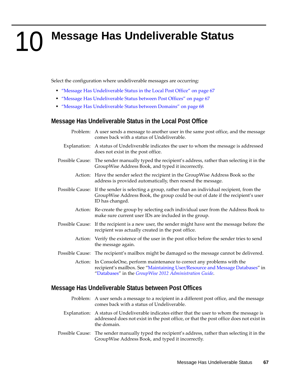# <span id="page-66-0"></span>10 <sup>10</sup>**Message Has Undeliverable Status**

Select the configuration where undeliverable messages are occurring:

- ["Message Has Undeliverable Status in the Local Post Office" on page 67](#page-66-1)
- ["Message Has Undeliverable Status between Post Offices" on page 67](#page-66-2)
- ["Message Has Undeliverable Status between Domains" on page 68](#page-67-0)

# <span id="page-66-1"></span>**Message Has Undeliverable Status in the Local Post Office**

| Problem: A user sends a message to another user in the same post office, and the message<br>comes back with a status of Undeliverable.                                                                 |
|--------------------------------------------------------------------------------------------------------------------------------------------------------------------------------------------------------|
| Explanation: A status of Undeliverable indicates the user to whom the message is addressed<br>does not exist in the post office.                                                                       |
| Possible Cause: The sender manually typed the recipient's address, rather than selecting it in the<br>GroupWise Address Book, and typed it incorrectly.                                                |
| Action: Have the sender select the recipient in the GroupWise Address Book so the<br>address is provided automatically, then resend the message.                                                       |
| Possible Cause: If the sender is selecting a group, rather than an individual recipient, from the<br>GroupWise Address Book, the group could be out of date if the recipient's user<br>ID has changed. |
| Action: Re-create the group by selecting each individual user from the Address Book to<br>make sure current user IDs are included in the group.                                                        |
| Possible Cause: If the recipient is a new user, the sender might have sent the message before the<br>recipient was actually created in the post office.                                                |
| Action: Verify the existence of the user in the post office before the sender tries to send<br>the message again.                                                                                      |
| Possible Cause: The recipient's mailbox might be damaged so the message cannot be delivered.                                                                                                           |
| Action: In ConsoleOne, perform maintenance to correct any problems with the<br>recipient's mailbox. See "Maintaining User/Resource and Message Databases" in                                           |

## <span id="page-66-2"></span>**Message Has Undeliverable Status between Post Offices**

Problem: A user sends a message to a recipient in a different post office, and the message comes back with a status of Undeliverable.

"[Databases"](http://www.novell.com/documentation/groupwise2012/pdfdoc/gw2012_guide_admin/gw2012_guide_admin.pdf#a8n802e) in the *[GroupWise 2012 Administration Guide](http://www.novell.com/documentation/groupwise2012/pdfdoc/gw2012_guide_admin/gw2012_guide_admin.pdf#A2zvyc4)*.

- Explanation: A status of Undeliverable indicates either that the user to whom the message is addressed does not exist in the post office, or that the post office does not exist in the domain.
- Possible Cause: The sender manually typed the recipient's address, rather than selecting it in the GroupWise Address Book, and typed it incorrectly.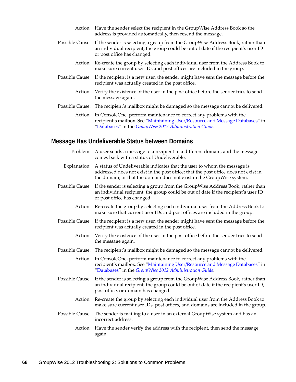- Action: Have the sender select the recipient in the GroupWise Address Book so the address is provided automatically, then resend the message.
- Possible Cause: If the sender is selecting a group from the GroupWise Address Book, rather than an individual recipient, the group could be out of date if the recipient's user ID or post office has changed.
	- Action: Re-create the group by selecting each individual user from the Address Book to make sure current user IDs and post offices are included in the group.
- Possible Cause: If the recipient is a new user, the sender might have sent the message before the recipient was actually created in the post office.
	- Action: Verify the existence of the user in the post office before the sender tries to send the message again.
- Possible Cause: The recipient's mailbox might be damaged so the message cannot be delivered.
	- Action: In ConsoleOne, perform maintenance to correct any problems with the recipient's mailbox. See ["Maintaining User/Resource and Message Databases](http://www.novell.com/documentation/groupwise2012/pdfdoc/gw2012_guide_admin/gw2012_guide_admin.pdf#abbtgc3)" in "[Databases"](http://www.novell.com/documentation/groupwise2012/pdfdoc/gw2012_guide_admin/gw2012_guide_admin.pdf#a8n802e) in the *[GroupWise 2012 Administration Guide](http://www.novell.com/documentation/groupwise2012/pdfdoc/gw2012_guide_admin/gw2012_guide_admin.pdf#A2zvyc4)*.

# <span id="page-67-0"></span>**Message Has Undeliverable Status between Domains**

Problem: A user sends a message to a recipient in a different domain, and the message comes back with a status of Undeliverable. Explanation: A status of Undeliverable indicates that the user to whom the message is addressed does not exist in the post office; that the post office does not exist in the domain; or that the domain does not exist in the GroupWise system. Possible Cause: If the sender is selecting a group from the GroupWise Address Book, rather than an individual recipient, the group could be out of date if the recipient's user ID or post office has changed. Action: Re-create the group by selecting each individual user from the Address Book to make sure that current user IDs and post offices are included in the group. Possible Cause: If the recipient is a new user, the sender might have sent the message before the recipient was actually created in the post office. Action: Verify the existence of the user in the post office before the sender tries to send the message again. Possible Cause: The recipient's mailbox might be damaged so the message cannot be delivered. Action: In ConsoleOne, perform maintenance to correct any problems with the recipient's mailbox. See ["Maintaining User/Resource and Message Databases](http://www.novell.com/documentation/groupwise2012/pdfdoc/gw2012_guide_admin/gw2012_guide_admin.pdf#abbtgc3)" in "[Databases"](http://www.novell.com/documentation/groupwise2012/pdfdoc/gw2012_guide_admin/gw2012_guide_admin.pdf#a8n802e) in the *[GroupWise 2012 Administration Guide](http://www.novell.com/documentation/groupwise2012/pdfdoc/gw2012_guide_admin/gw2012_guide_admin.pdf#A2zvyc4)*. Possible Cause: If the sender is selecting a group from the GroupWise Address Book, rather than an individual recipient, the group could be out of date if the recipient's user ID, post office, or domain has changed. Action: Re-create the group by selecting each individual user from the Address Book to make sure current user IDs, post offices, and domains are included in the group. Possible Cause: The sender is mailing to a user in an external GroupWise system and has an incorrect address. Action: Have the sender verify the address with the recipient, then send the message

again.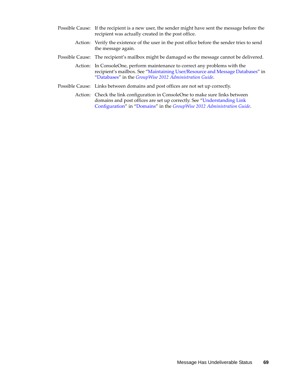- Possible Cause: If the recipient is a new user, the sender might have sent the message before the recipient was actually created in the post office.
	- Action: Verify the existence of the user in the post office before the sender tries to send the message again.
- Possible Cause: The recipient's mailbox might be damaged so the message cannot be delivered.
	- Action: In ConsoleOne, perform maintenance to correct any problems with the recipient's mailbox. See ["Maintaining User/Resource and Message Databases](http://www.novell.com/documentation/groupwise2012/pdfdoc/gw2012_guide_admin/gw2012_guide_admin.pdf#abbtgc3)" in "[Databases"](http://www.novell.com/documentation/groupwise2012/pdfdoc/gw2012_guide_admin/gw2012_guide_admin.pdf#a8n802e) in the *[GroupWise 2012 Administration Guide](http://www.novell.com/documentation/groupwise2012/pdfdoc/gw2012_guide_admin/gw2012_guide_admin.pdf#A2zvyc4)*.
- Possible Cause: Links between domains and post offices are not set up correctly.
	- Action: Check the link configuration in ConsoleOne to make sure links between domains and post offices are set up correctly. See ["Understanding Link](http://www.novell.com/documentation/groupwise2012/pdfdoc/gw2012_guide_admin/gw2012_guide_admin.pdf#a3a8aiv)  [Configuration"](http://www.novell.com/documentation/groupwise2012/pdfdoc/gw2012_guide_admin/gw2012_guide_admin.pdf#a3a8aiv) in ["Domains](http://www.novell.com/documentation/groupwise2012/pdfdoc/gw2012_guide_admin/gw2012_guide_admin.pdf#a7q4vpv)" in the *[GroupWise 2012 Administration Guide](http://www.novell.com/documentation/groupwise2012/pdfdoc/gw2012_guide_admin/gw2012_guide_admin.pdf#A2zvyc4)*.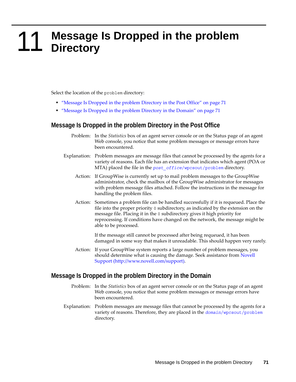# <span id="page-70-0"></span>**11** Message Is Dropped in the problem Directory **Directory**

Select the location of the problem directory:

- ["Message Is Dropped in the problem Directory in the Post Office" on page 71](#page-70-1)
- ["Message Is Dropped in the problem Directory in the Domain" on page 71](#page-70-2)

## <span id="page-70-1"></span>**Message Is Dropped in the problem Directory in the Post Office**

- Problem: In the *Statistics* box of an agent server console or on the Status page of an agent Web console, you notice that some problem messages or message errors have been encountered.
- Explanation: Problem messages are message files that cannot be processed by the agents for a variety of reasons. Each file has an extension that indicates which agent (POA or MTA) placed the file in the *post\_office*[/wpcsout/problem](http://www.novell.com/documentation/groupwise2012/pdfdoc/gw2012_guide_tsh3/gw2012_guide_tsh3.pdf#a3edzdj) directory.
	- Action: If GroupWise is currently set up to mail problem messages to the GroupWise administrator, check the mailbox of the GroupWise administrator for messages with problem message files attached. Follow the instructions in the message for handling the problem files.
	- Action: Sometimes a problem file can be handled successfully if it is requeued. Place the file into the proper priority 0 subdirectory, as indicated by the extension on the message file. Placing it in the 0 subdirectory gives it high priority for reprocessing. If conditions have changed on the network, the message might be able to be processed.

If the message still cannot be processed after being requeued, it has been damaged in some way that makes it unreadable. This should happen very rarely.

Action: If your GroupWise system reports a large number of problem messages, you should determine what is causing the damage. Seek assistance from [Novell](http://www.novell.com/support)  [Support](http://www.novell.com/support) (http://www.novell.com/support).

## <span id="page-70-2"></span>**Message Is Dropped in the problem Directory in the Domain**

- Problem: In the *Statistics* box of an agent server console or on the Status page of an agent Web console, you notice that some problem messages or message errors have been encountered.
- Explanation: Problem messages are message files that cannot be processed by the agents for a variety of reasons. Therefore, they are placed in the *domain*[/wpcsout/problem](http://www.novell.com/documentation/groupwise2012/pdfdoc/gw2012_guide_tsh3/gw2012_guide_tsh3.pdf#a3ec28j) directory.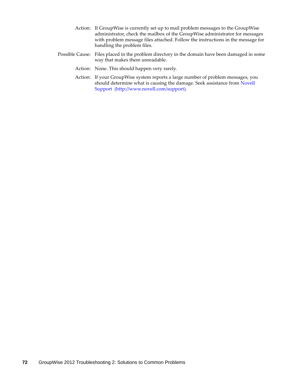- Action: If GroupWise is currently set up to mail problem messages to the GroupWise administrator, check the mailbox of the GroupWise administrator for messages with problem message files attached. Follow the instructions in the message for handling the problem files.
- Possible Cause: Files placed in the problem directory in the domain have been damaged in some way that makes them unreadable.
	- Action: None. This should happen very rarely.
	- Action: If your GroupWise system reports a large number of problem messages, you should determine what is causing the damage. Seek assistance from [Novell](http://www.novell.com/support)  [Support](http://www.novell.com/support) (http://www.novell.com/support).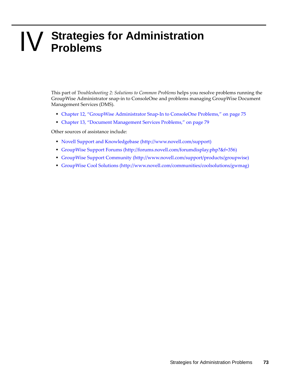# **IV** Strategies for Administration<br> **IV** Problems **Problems**

This part of *Troubleshooting 2: Solutions to Common Problems* helps you resolve problems running the GroupWise Administrator snap-in to ConsoleOne and problems managing GroupWise Document Management Services (DMS).

- [Chapter 12, "GroupWise Administrator Snap-In to ConsoleOne Problems," on page 75](#page-74-0)
- [Chapter 13, "Document Management Services Problems," on page 79](#page-78-0)

Other sources of assistance include:

- [Novell Support and Knowledgebase](http://www.novell.com/support) (http://www.novell.com/support)
- [GroupWise Support Forums](http://forums.novell.com/forumdisplay.php?&f=356) (http://forums.novell.com/forumdisplay.php?&f=356)
- [GroupWise Support Community](http://www.novell.com/support/products/groupwise) (http://www.novell.com/support/products/groupwise)
- [GroupWise Cool Solutions](http://www.novell.com/communities/coolsolutions/gwmag) (http://www.novell.com/communities/coolsolutions/gwmag)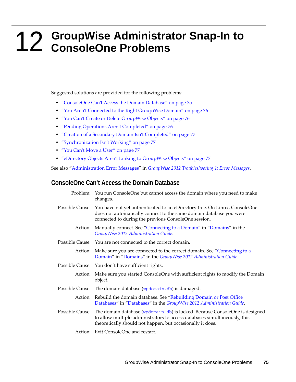# <span id="page-74-0"></span>12 <sup>12</sup>**GroupWise Administrator Snap-In to ConsoleOne Problems**

Suggested solutions are provided for the following problems:

- ["ConsoleOne Can't Access the Domain Database" on page 75](#page-74-1)
- ["You Aren't Connected to the Right GroupWise Domain" on page 76](#page-75-0)
- ["You Can't Create or Delete GroupWise Objects" on page 76](#page-75-1)
- ["Pending Operations Aren't Completed" on page 76](#page-75-2)
- ["Creation of a Secondary Domain Isn't Completed" on page 77](#page-76-0)
- ["Synchronization Isn't Working" on page 77](#page-76-1)
- ["You Can't Move a User" on page 77](#page-76-2)
- ["eDirectory Objects Aren't Linking to GroupWise Objects" on page 77](#page-76-3)

See also ["Administration Error Messages](http://www.novell.com/documentation/groupwise2012/pdfdoc/gw2012_guide_tsh1/gw2012_guide_tsh1.pdf#a4evqe1)" in *[GroupWise 2012 Troubleshooting 1: Error Messages](http://www.novell.com/documentation/groupwise2012/pdfdoc/gw2012_guide_tsh1/gw2012_guide_tsh1.pdf#A4ehiyt)*.

# <span id="page-74-1"></span>**ConsoleOne Can't Access the Domain Database**

- Problem: You run ConsoleOne but cannot access the domain where you need to make changes. Possible Cause: You have not yet authenticated to an eDirectory tree. On Linux, ConsoleOne does not automatically connect to the same domain database you were connected to during the previous ConsoleOne session. Action: Manually connect. See "[Connecting to a Domain](http://www.novell.com/documentation/groupwise2012/pdfdoc/gw2012_guide_admin/gw2012_guide_admin.pdf#ab8ccqe)" in ["Domains](http://www.novell.com/documentation/groupwise2012/pdfdoc/gw2012_guide_admin/gw2012_guide_admin.pdf#a7q4vpv)" in the *[GroupWise 2012 Administration Guide](http://www.novell.com/documentation/groupwise2012/pdfdoc/gw2012_guide_admin/gw2012_guide_admin.pdf#A2zvyc4)*. Possible Cause: You are not connected to the correct domain. Action: Make sure you are connected to the correct domain. See "[Connecting to a](http://www.novell.com/documentation/groupwise2012/pdfdoc/gw2012_guide_admin/gw2012_guide_admin.pdf#ab8ccqe)  [Domain"](http://www.novell.com/documentation/groupwise2012/pdfdoc/gw2012_guide_admin/gw2012_guide_admin.pdf#ab8ccqe) in ["Domains](http://www.novell.com/documentation/groupwise2012/pdfdoc/gw2012_guide_admin/gw2012_guide_admin.pdf#a7q4vpv)" in the *[GroupWise 2012 Administration Guide](http://www.novell.com/documentation/groupwise2012/pdfdoc/gw2012_guide_admin/gw2012_guide_admin.pdf#A2zvyc4)*.
- Possible Cause: You don't have sufficient rights.
	- Action: Make sure you started ConsoleOne with sufficient rights to modify the Domain object.
- Possible Cause: The domain database ([wpdomain.db](http://www.novell.com/documentation/groupwise2012/pdfdoc/gw2012_guide_tsh3/gw2012_guide_tsh3.pdf#a3ec28k)) is damaged.
	- Action: Rebuild the domain database. See "[Rebuilding Domain or Post Office](http://www.novell.com/documentation/groupwise2012/pdfdoc/gw2012_guide_admin/gw2012_guide_admin.pdf#a3n5dhl)  [Databases"](http://www.novell.com/documentation/groupwise2012/pdfdoc/gw2012_guide_admin/gw2012_guide_admin.pdf#a3n5dhl) in ["Databases](http://www.novell.com/documentation/groupwise2012/pdfdoc/gw2012_guide_admin/gw2012_guide_admin.pdf#a8n802e)" in the *[GroupWise 2012 Administration Guide](http://www.novell.com/documentation/groupwise2012/pdfdoc/gw2012_guide_admin/gw2012_guide_admin.pdf#A2zvyc4)*.
- Possible Cause: The domain database ([wpdomain.db](http://www.novell.com/documentation/groupwise2012/pdfdoc/gw2012_guide_tsh3/gw2012_guide_tsh3.pdf#a3ec28k)) is locked. Because ConsoleOne is designed to allow multiple administrators to access databases simultaneously, this theoretically should not happen, but occasionally it does.
	- Action: Exit ConsoleOne and restart.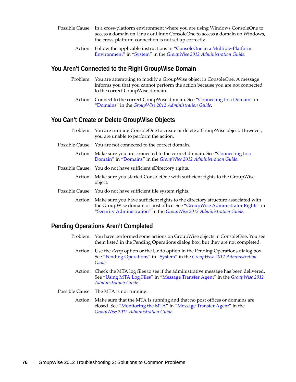- Possible Cause: In a cross-platform environment where you are using Windows ConsoleOne to access a domain on Linux or Linux ConsoleOne to access a domain on Windows, the cross-platform connection is not set up correctly.
	- Action: Follow the applicable instructions in ["ConsoleOne in a Multiple-Platform](http://www.novell.com/documentation/groupwise2012/pdfdoc/gw2012_guide_admin/gw2012_guide_admin.pdf#b4du0sh)  [Environment](http://www.novell.com/documentation/groupwise2012/pdfdoc/gw2012_guide_admin/gw2012_guide_admin.pdf#b4du0sh)" in ["System](http://www.novell.com/documentation/groupwise2012/pdfdoc/gw2012_guide_admin/gw2012_guide_admin.pdf#A7q4urx)" in the *[GroupWise 2012 Administration Guide](http://www.novell.com/documentation/groupwise2012/pdfdoc/gw2012_guide_admin/gw2012_guide_admin.pdf#A2zvyc4)*.

## <span id="page-75-0"></span>**You Aren't Connected to the Right GroupWise Domain**

- Problem: You are attempting to modify a GroupWise object in ConsoleOne. A message informs you that you cannot perform the action because you are not connected to the correct GroupWise domain.
	- Action: Connect to the correct GroupWise domain. See ["Connecting to a Domain](http://www.novell.com/documentation/groupwise2012/pdfdoc/gw2012_guide_admin/gw2012_guide_admin.pdf#ab8ccqe)" in ["Domains"](http://www.novell.com/documentation/groupwise2012/pdfdoc/gw2012_guide_admin/gw2012_guide_admin.pdf#a7q4vpv) in the *[GroupWise 2012 Administration Guide](http://www.novell.com/documentation/groupwise2012/pdfdoc/gw2012_guide_admin/gw2012_guide_admin.pdf#A2zvyc4)*.

## <span id="page-75-1"></span>**You Can't Create or Delete GroupWise Objects**

- Problem: You are running ConsoleOne to create or delete a GroupWise object. However, you are unable to perform the action.
- Possible Cause: You are not connected to the correct domain.
	- Action: Make sure you are connected to the correct domain. See "[Connecting to a](http://www.novell.com/documentation/groupwise2012/pdfdoc/gw2012_guide_admin/gw2012_guide_admin.pdf#ab8ccqe)  [Domain"](http://www.novell.com/documentation/groupwise2012/pdfdoc/gw2012_guide_admin/gw2012_guide_admin.pdf#ab8ccqe) in ["Domains](http://www.novell.com/documentation/groupwise2012/pdfdoc/gw2012_guide_admin/gw2012_guide_admin.pdf#a7q4vpv)" in the *[GroupWise 2012 Administration Guide](http://www.novell.com/documentation/groupwise2012/pdfdoc/gw2012_guide_admin/gw2012_guide_admin.pdf#A2zvyc4)*.
- Possible Cause: You do not have sufficient eDirectory rights.
	- Action: Make sure you started ConsoleOne with sufficient rights to the GroupWise object.
- Possible Cause: You do not have sufficient file system rights.
	- Action: Make sure you have sufficient rights to the directory structure associated with the GroupWise domain or post office. See "[GroupWise Administrator Rights"](http://www.novell.com/documentation/groupwise2012/pdfdoc/gw2012_guide_admin/gw2012_guide_admin.pdf#ak9e6f4) in "[Security Administration"](http://www.novell.com/documentation/groupwise2012/pdfdoc/gw2012_guide_admin/gw2012_guide_admin.pdf#altf8xr) in the *[GroupWise 2012 Administration Guide](http://www.novell.com/documentation/groupwise2012/pdfdoc/gw2012_guide_admin/gw2012_guide_admin.pdf#A2zvyc4)*.

# <span id="page-75-2"></span>**Pending Operations Aren't Completed**

- Problem: You have performed some actions on GroupWise objects in ConsoleOne. You see them listed in the Pending Operations dialog box, but they are not completed.
	- Action: Use the *Retry* option or the Undo option in the Pending Operations dialog box. See ["Pending Operations"](http://www.novell.com/documentation/groupwise2012/pdfdoc/gw2012_guide_admin/gw2012_guide_admin.pdf#a3n2hl9) in "[System](http://www.novell.com/documentation/groupwise2012/pdfdoc/gw2012_guide_admin/gw2012_guide_admin.pdf#a7q4urx)" in the *[GroupWise 2012 Administration](http://www.novell.com/documentation/groupwise2012/pdfdoc/gw2012_guide_admin/gw2012_guide_admin.pdf#A2zvyc4)  [Guide](http://www.novell.com/documentation/groupwise2012/pdfdoc/gw2012_guide_admin/gw2012_guide_admin.pdf#A2zvyc4)*.
	- Action: Check the MTA log files to see if the administrative message has been delivered. See ["Using MTA Log Files](http://www.novell.com/documentation/groupwise2012/pdfdoc/gw2012_guide_admin/gw2012_guide_admin.pdf#a7xzvus)" in ["Message Transfer Agent"](http://www.novell.com/documentation/groupwise2012/pdfdoc/gw2012_guide_admin/gw2012_guide_admin.pdf#a7q4zpk) in the *[GroupWise 2012](http://www.novell.com/documentation/groupwise2012/pdfdoc/gw2012_guide_admin/gw2012_guide_admin.pdf#A2zvyc4)  [Administration Guide](http://www.novell.com/documentation/groupwise2012/pdfdoc/gw2012_guide_admin/gw2012_guide_admin.pdf#A2zvyc4)*.
- Possible Cause: The MTA is not running.
	- Action: Make sure that the MTA is running and that no post offices or domains are closed. See ["Monitoring the MTA](http://www.novell.com/documentation/groupwise2012/pdfdoc/gw2012_guide_admin/gw2012_guide_admin.pdf#a530rmt)" in ["Message Transfer Agent"](http://www.novell.com/documentation/groupwise2012/pdfdoc/gw2012_guide_admin/gw2012_guide_admin.pdf#a7q4zpk) in the *[GroupWise 2012 Administration Guide](http://www.novell.com/documentation/groupwise2012/pdfdoc/gw2012_guide_admin/gw2012_guide_admin.pdf#A2zvyc4)*.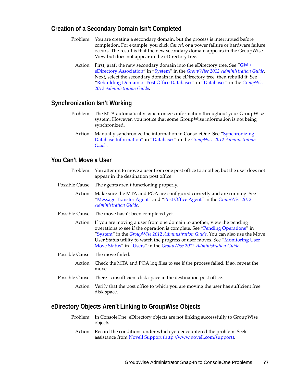# <span id="page-76-0"></span>**Creation of a Secondary Domain Isn't Completed**

- Problem: You are creating a secondary domain, but the process is interrupted before completion. For example, you click *Cancel*, or a power failure or hardware failure occurs. The result is that the new secondary domain appears in the GroupWise View but does not appear in the eDirectory tree.
	- Action: First, graft the new secondary domain into the eDirectory tree. See "GW / [eDirectory Association"](http://www.novell.com/documentation/groupwise2012/pdfdoc/gw2012_guide_admin/gw2012_guide_admin.pdf#a3n2jfk) in "[System"](http://www.novell.com/documentation/groupwise2012/pdfdoc/gw2012_guide_admin/gw2012_guide_admin.pdf#a7q4urx) in the *[GroupWise 2012 Administration Guide](http://www.novell.com/documentation/groupwise2012/pdfdoc/gw2012_guide_admin/gw2012_guide_admin.pdf#A2zvyc4)*. Next, select the secondary domain in the eDirectory tree, then rebuild it. See ["Rebuilding Domain or Post Office Databases"](http://www.novell.com/documentation/groupwise2012/pdfdoc/gw2012_guide_admin/gw2012_guide_admin.pdf#a3n5dhl) in "[Databases](http://www.novell.com/documentation/groupwise2012/pdfdoc/gw2012_guide_admin/gw2012_guide_admin.pdf#a8n802e)" in the *[GroupWise](http://www.novell.com/documentation/groupwise2012/pdfdoc/gw2012_guide_admin/gw2012_guide_admin.pdf#A2zvyc4)  [2012 Administration Guide](http://www.novell.com/documentation/groupwise2012/pdfdoc/gw2012_guide_admin/gw2012_guide_admin.pdf#A2zvyc4)*.

## <span id="page-76-1"></span>**Synchronization Isn't Working**

- Problem: The MTA automatically synchronizes information throughout your GroupWise system. However, you notice that some GroupWise information is not being synchronized.
	- Action: Manually synchronize the information in ConsoleOne. See "[Synchronizing](http://www.novell.com/documentation/groupwise2012/pdfdoc/gw2012_guide_admin/gw2012_guide_admin.pdf#abbtntx)  [Database Information](http://www.novell.com/documentation/groupwise2012/pdfdoc/gw2012_guide_admin/gw2012_guide_admin.pdf#abbtntx)" in "[Databases"](http://www.novell.com/documentation/groupwise2012/pdfdoc/gw2012_guide_admin/gw2012_guide_admin.pdf#a8n802e) in the *[GroupWise 2012 Administration](http://www.novell.com/documentation/groupwise2012/pdfdoc/gw2012_guide_admin/gw2012_guide_admin.pdf#A2zvyc4)  [Guide](http://www.novell.com/documentation/groupwise2012/pdfdoc/gw2012_guide_admin/gw2012_guide_admin.pdf#A2zvyc4)*.

# <span id="page-76-2"></span>**You Can't Move a User**

- Problem: You attempt to move a user from one post office to another, but the user does not appear in the destination post office.
- Possible Cause: The agents aren't functioning properly.
	- Action: Make sure the MTA and POA are configured correctly and are running. See "[Message Transfer Agent"](http://www.novell.com/documentation/groupwise2012/pdfdoc/gw2012_guide_admin/gw2012_guide_admin.pdf#a7q4zpk) and "[Post Office Agent](http://www.novell.com/documentation/groupwise2012/pdfdoc/gw2012_guide_admin/gw2012_guide_admin.pdf#a84jmbe)" in the *[GroupWise 2012](http://www.novell.com/documentation/groupwise2012/pdfdoc/gw2012_guide_admin/gw2012_guide_admin.pdf#A2zvyc4)  [Administration Guide](http://www.novell.com/documentation/groupwise2012/pdfdoc/gw2012_guide_admin/gw2012_guide_admin.pdf#A2zvyc4)*.
- Possible Cause: The move hasn't been completed yet.
	- Action: If you are moving a user from one domain to another, view the pending operations to see if the operation is complete. See "[Pending Operations](http://www.novell.com/documentation/groupwise2012/pdfdoc/gw2012_guide_admin/gw2012_guide_admin.pdf#a3n2hl9)" in "[System"](http://www.novell.com/documentation/groupwise2012/pdfdoc/gw2012_guide_admin/gw2012_guide_admin.pdf#a7q4urx) in the *[GroupWise 2012 Administration Guide](http://www.novell.com/documentation/groupwise2012/pdfdoc/gw2012_guide_admin/gw2012_guide_admin.pdf#A2zvyc4)*. You can also use the Move User Status utility to watch the progress of user moves. See ["Monitoring User](http://www.novell.com/documentation/groupwise2012/pdfdoc/gw2012_guide_admin/gw2012_guide_admin.pdf#aj6re00)  [Move Status"](http://www.novell.com/documentation/groupwise2012/pdfdoc/gw2012_guide_admin/gw2012_guide_admin.pdf#aj6re00) in ["Users](http://www.novell.com/documentation/groupwise2012/pdfdoc/gw2012_guide_admin/gw2012_guide_admin.pdf#a7q4x8x)" in the *[GroupWise 2012 Administration Guide](http://www.novell.com/documentation/groupwise2012/pdfdoc/gw2012_guide_admin/gw2012_guide_admin.pdf#A2zvyc4)*.
- Possible Cause: The move failed.
	- Action: Check the MTA and POA log files to see if the process failed. If so, repeat the move.
- Possible Cause: There is insufficient disk space in the destination post office.
	- Action: Verify that the post office to which you are moving the user has sufficient free disk space.

### <span id="page-76-3"></span>**eDirectory Objects Aren't Linking to GroupWise Objects**

- Problem: In ConsoleOne, eDirectory objects are not linking successfully to GroupWise objects.
	- Action: Record the conditions under which you encountered the problem. Seek assistance from [Novell Support](http://www.novell.com/support) (http://www.novell.com/support).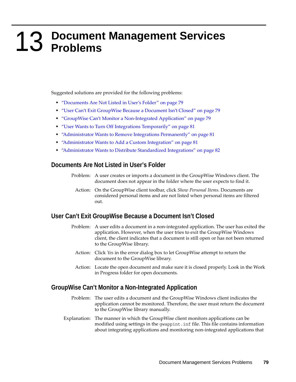# <span id="page-78-0"></span>13 <sup>13</sup>**Document Management Services Problems**

Suggested solutions are provided for the following problems:

- ["Documents Are Not Listed in User's Folder" on page 79](#page-78-1)
- ["User Can't Exit GroupWise Because a Document Isn't Closed" on page 79](#page-78-2)
- ["GroupWise Can't Monitor a Non-Integrated Application" on page 79](#page-78-3)
- ["User Wants to Turn Off Integrations Temporarily" on page 81](#page-80-0)
- ["Administrator Wants to Remove Integrations Permanently" on page 81](#page-80-1)
- ["Administrator Wants to Add a Custom Integration" on page 81](#page-80-2)
- ["Administrator Wants to Distribute Standardized Integrations" on page 82](#page-81-0)

## <span id="page-78-1"></span>**Documents Are Not Listed in User's Folder**

- Problem: A user creates or imports a document in the GroupWise Windows client. The document does not appear in the folder where the user expects to find it.
	- Action: On the GroupWise client toolbar, click *Show Personal Items*. Documents are considered personal items and are not listed when personal items are filtered out.

## <span id="page-78-2"></span>**User Can't Exit GroupWise Because a Document Isn't Closed**

- Problem: A user edits a document in a non-integrated application. The user has exited the application. However, when the user tries to exit the GroupWise Windows client, the client indicates that a document is still open or has not been returned to the GroupWise library.
	- Action: Click *Yes* in the error dialog box to let GroupWise attempt to return the document to the GroupWise library.
	- Action: Locate the open document and make sure it is closed properly. Look in the Work in Progress folder for open documents.

## <span id="page-78-3"></span>**GroupWise Can't Monitor a Non-Integrated Application**

- Problem: The user edits a document and the GroupWise Windows client indicates the application cannot be monitored. Therefore, the user must return the document to the GroupWise library manually.
- Explanation: The manner in which the GroupWise client monitors applications can be modified using settings in the gwappint.inf file. This file contains information about integrating applications and monitoring non-integrated applications that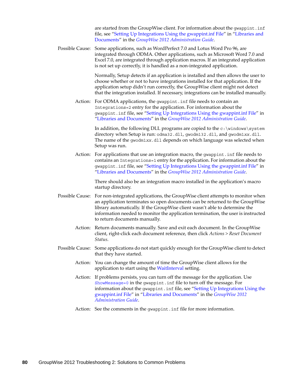are started from the GroupWise client. For information about the gwappint.inf file, see ["Setting Up Integrations Using the gwappint.inf File"](http://www.novell.com/documentation/groupwise2012/pdfdoc/gw2012_guide_admin/gw2012_guide_admin.pdf#Abvxgnr) in ["Libraries and](http://www.novell.com/documentation/groupwise2012/pdfdoc/gw2012_guide_admin/gw2012_guide_admin.pdf#A7q4z71)  [Documents"](http://www.novell.com/documentation/groupwise2012/pdfdoc/gw2012_guide_admin/gw2012_guide_admin.pdf#A7q4z71) in the *[GroupWise 2012 Administration Guide](http://www.novell.com/documentation/groupwise2012/pdfdoc/gw2012_guide_admin/gw2012_guide_admin.pdf#A2zvyc4)*.

Possible Cause: Some applications, such as WordPerfect 7.0 and Lotus Word Pro 96, are integrated through ODMA. Other applications, such as Microsoft Word 7.0 and Excel 7.0, are integrated through application macros. If an integrated application is not set up correctly, it is handled as a non-integrated application.

> Normally, Setup detects if an application is installed and then allows the user to choose whether or not to have integrations installed for that application. If the application setup didn't run correctly, the GroupWise client might not detect that the integration installed. If necessary, integrations can be installed manually.

Action: For ODMA applications, the gwappint.inf file needs to contain an Integrations=2 entry for the application. For information about the gwappint.inf file, see "[Setting Up Integrations Using the gwappint.inf File](http://www.novell.com/documentation/groupwise2012/pdfdoc/gw2012_guide_admin/gw2012_guide_admin.pdf#Abvxgnr)" in ["Libraries and Documents"](http://www.novell.com/documentation/groupwise2012/pdfdoc/gw2012_guide_admin/gw2012_guide_admin.pdf#A7q4z71) in the *[GroupWise 2012 Administration Guide](http://www.novell.com/documentation/groupwise2012/pdfdoc/gw2012_guide_admin/gw2012_guide_admin.pdf#A2zvyc4)*.

> In addition, the following DLL programs are copied to the  $c:\wedge\swarrow s$  stem directory when Setup is run: odma32.dll, gwodm132.dll, and gwodm1*xx*.dll. The name of the gwodm1*xx*.dll depends on which language was selected when Setup was run.

Action: For applications that use an integration macro, the gwappint.inf file needs to contains an Integrations=1 entry for the application. For information about the gwappint.inf file, see "[Setting Up Integrations Using the gwappint.inf File](http://www.novell.com/documentation/groupwise2012/pdfdoc/gw2012_guide_admin/gw2012_guide_admin.pdf#Abvxgnr)" in ["Libraries and Documents"](http://www.novell.com/documentation/groupwise2012/pdfdoc/gw2012_guide_admin/gw2012_guide_admin.pdf#A7q4z71) in the *[GroupWise 2012 Administration Guide](http://www.novell.com/documentation/groupwise2012/pdfdoc/gw2012_guide_admin/gw2012_guide_admin.pdf#A2zvyc4)*.

> There should also be an integration macro installed in the application's macro startup directory.

- Possible Cause: For non-integrated applications, the GroupWise client attempts to monitor when an application terminates so open documents can be returned to the GroupWise library automatically. If the GroupWise client wasn't able to determine the information needed to monitor the application termination, the user is instructed to return documents manually.
	- Action: Return documents manually. Save and exit each document. In the GroupWise client, right-click each document reference, then click *Actions > Reset Document Status*.
- Possible Cause: Some applications do not start quickly enough for the GroupWise client to detect that they have started.
	- Action: You can change the amount of time the GroupWise client allows for the application to start using the [WaitInterval](http://www.novell.com/documentation/groupwise2012/pdfdoc/gw2012_guide_admin/gw2012_guide_admin.pdf#Abvysk1) setting.
	- Action: If problems persists, you can turn off the message for the application. Use ShowMessage=0 [i](http://www.novell.com/documentation/groupwise2012/pdfdoc/gw2012_guide_admin/gw2012_guide_admin.pdf#Abvysnb)n the gwappint.inf file to turn off the message. For information about the gwappint.inf file, see "[Setting Up Integrations Using the](http://www.novell.com/documentation/groupwise2012/pdfdoc/gw2012_guide_admin/gw2012_guide_admin.pdf#Abvxgnr)  [gwappint.inf File"](http://www.novell.com/documentation/groupwise2012/pdfdoc/gw2012_guide_admin/gw2012_guide_admin.pdf#Abvxgnr) in "[Libraries and Documents](http://www.novell.com/documentation/groupwise2012/pdfdoc/gw2012_guide_admin/gw2012_guide_admin.pdf#A7q4z71)" in the *[GroupWise 2012](http://www.novell.com/documentation/groupwise2012/pdfdoc/gw2012_guide_admin/gw2012_guide_admin.pdf#A2zvyc4)  [Administration Guide](http://www.novell.com/documentation/groupwise2012/pdfdoc/gw2012_guide_admin/gw2012_guide_admin.pdf#A2zvyc4)*.
	- Action: See the comments in the gwappint.inf file for more information.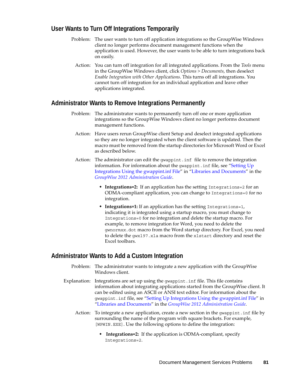# <span id="page-80-0"></span>**User Wants to Turn Off Integrations Temporarily**

- Problem: The user wants to turn off application integrations so the GroupWise Windows client no longer performs document management functions when the application is used. However, the user wants to be able to turn integrations back on easily.
	- Action: You can turn off integration for all integrated applications. From the *Tools* menu in the GroupWise Windows client, click *Options > Documents*, then deselect *Enable Integration with Other Applications*. This turns off all integrations. You cannot turn off integration for an individual application and leave other applications integrated.

# <span id="page-80-1"></span>**Administrator Wants to Remove Integrations Permanently**

- Problem: The administrator wants to permanently turn off one or more application integrations so the GroupWise Windows client no longer performs document management functions.
	- Action: Have users rerun GroupWise client Setup and deselect integrated applications so they are no longer integrated when the client software is updated. Then the macro must be removed from the startup directories for Microsoft Word or Excel as described below.
	- Action: The administrator can edit the gwappint.inf file to remove the integration information. For information about the qwappint . inf file, see "Setting  $Up$ [Integrations Using the gwappint.inf File"](http://www.novell.com/documentation/groupwise2012/pdfdoc/gw2012_guide_admin/gw2012_guide_admin.pdf#Abvxgnr) in "[Libraries and Documents](http://www.novell.com/documentation/groupwise2012/pdfdoc/gw2012_guide_admin/gw2012_guide_admin.pdf#A7q4z71)" in the *[GroupWise 2012 Administration Guide](http://www.novell.com/documentation/groupwise2012/pdfdoc/gw2012_guide_admin/gw2012_guide_admin.pdf#A2zvyc4)*.
		- **Integrations=2:** If an application has the setting Integrations=2 for an ODMA-compliant application, you can change to Integrations=0 for no integration.
		- **Integrations=1:** If an application has the setting Integrations=1, indicating it is integrated using a startup macro, you must change to Integrations=0 for no integration and delete the startup macro. For example, to remove integration for Word, you need to delete the gwnorm*xx*.dot macro from the Word startup directory. For Excel, you need to delete the gwxl97.xla macro from the xlstart directory and reset the Excel toolbars.

# <span id="page-80-2"></span>**Administrator Wants to Add a Custom Integration**

- Problem: The administrator wants to integrate a new application with the GroupWise Windows client.
- Explanation: Integrations are set up using the gwappint.inf file. This file contains information about integrating applications started from the GroupWise client. It can be edited using an ASCII or ANSI text editor. For information about the gwappint.inf file, see "[Setting Up Integrations Using the gwappint.inf File](http://www.novell.com/documentation/groupwise2012/pdfdoc/gw2012_guide_admin/gw2012_guide_admin.pdf#Abvxgnr)" in ["Libraries and Documents"](http://www.novell.com/documentation/groupwise2012/pdfdoc/gw2012_guide_admin/gw2012_guide_admin.pdf#A7q4z71) in the *[GroupWise 2012 Administration Guide](http://www.novell.com/documentation/groupwise2012/pdfdoc/gw2012_guide_admin/gw2012_guide_admin.pdf#A2zvyc4)*.
	- Action: To integrate a new application, create a new section in the gwappint.inf file by surrounding the name of the program with square brackets. For example, [WPWIN.EXE]. Use the following options to define the integration:
		- **Integrations=2:** If the application is ODMA-compliant, specify Integrations=2.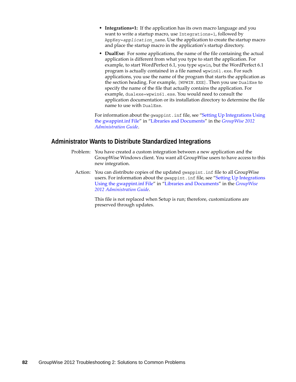- **Integrations=1:** If the application has its own macro language and you want to write a startup macro, use Integrations=1, followed by AppKey=*application\_name*. Use the application to create the startup macro and place the startup macro in the application's startup directory.
- **DualExe:** For some applications, the name of the file containing the actual application is different from what you type to start the application. For example, to start WordPerfect 6.1, you type wpwin, but the WordPerfect 6.1 program is actually contained in a file named wpwin61.exe. For such applications, you use the name of the program that starts the application as the section heading. For example, [WPWIN.EXE]. Then you use DualExe to specify the name of the file that actually contains the application. For example, dualexe=wpwin61.exe. You would need to consult the application documentation or its installation directory to determine the file name to use with DualExe.

For information about the gwappint.inf file, see ["Setting Up Integrations Using](http://www.novell.com/documentation/groupwise2012/pdfdoc/gw2012_guide_admin/gw2012_guide_admin.pdf#Abvxgnr)  [the gwappint.inf File](http://www.novell.com/documentation/groupwise2012/pdfdoc/gw2012_guide_admin/gw2012_guide_admin.pdf#Abvxgnr)" in "[Libraries and Documents"](http://www.novell.com/documentation/groupwise2012/pdfdoc/gw2012_guide_admin/gw2012_guide_admin.pdf#A7q4z71) in the *[GroupWise 2012](http://www.novell.com/documentation/groupwise2012/pdfdoc/gw2012_guide_admin/gw2012_guide_admin.pdf#A2zvyc4)  [Administration Guide](http://www.novell.com/documentation/groupwise2012/pdfdoc/gw2012_guide_admin/gw2012_guide_admin.pdf#A2zvyc4)*.

# <span id="page-81-0"></span>**Administrator Wants to Distribute Standardized Integrations**

- Problem: You have created a custom integration between a new application and the GroupWise Windows client. You want all GroupWise users to have access to this new integration.
	- Action: You can distribute copies of the updated gwappint.inf file to all GroupWise users. For information about the gwappint.inf file, see "Setting Up Integrations [Using the gwappint.inf File"](http://www.novell.com/documentation/groupwise2012/pdfdoc/gw2012_guide_admin/gw2012_guide_admin.pdf#Abvxgnr) in "[Libraries and Documents"](http://www.novell.com/documentation/groupwise2012/pdfdoc/gw2012_guide_admin/gw2012_guide_admin.pdf#A7q4z71) in the *[GroupWise](http://www.novell.com/documentation/groupwise2012/pdfdoc/gw2012_guide_admin/gw2012_guide_admin.pdf#A2zvyc4)  [2012 Administration Guide](http://www.novell.com/documentation/groupwise2012/pdfdoc/gw2012_guide_admin/gw2012_guide_admin.pdf#A2zvyc4)*.

This file is not replaced when Setup is run; therefore, customizations are preserved through updates.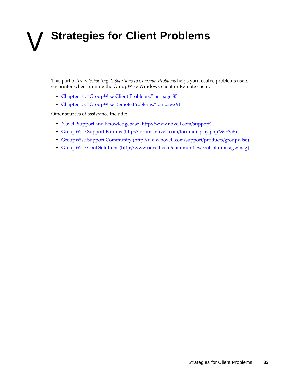# V **Strategies for Client Problems**

This part of *Troubleshooting 2: Solutions to Common Problems* helps you resolve problems users encounter when running the GroupWise Windows client or Remote client.

- [Chapter 14, "GroupWise Client Problems," on page 85](#page-84-0)
- [Chapter 15, "GroupWise Remote Problems," on page 91](#page-90-0)

Other sources of assistance include:

- [Novell Support and Knowledgebase](http://www.novell.com/support) (http://www.novell.com/support)
- [GroupWise Support Forums](http://forums.novell.com/forumdisplay.php?&f=356) (http://forums.novell.com/forumdisplay.php?&f=356)
- [GroupWise Support Community](http://www.novell.com/support/products/groupwise) (http://www.novell.com/support/products/groupwise)
- [GroupWise Cool Solutions](http://www.novell.com/communities/coolsolutions/gwmag) (http://www.novell.com/communities/coolsolutions/gwmag)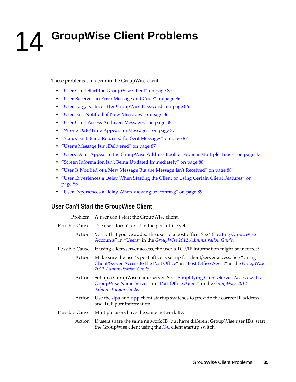# <span id="page-84-0"></span>14 <sup>14</sup>**GroupWise Client Problems**

These problems can occur in the GroupWise client.

- ["User Can't Start the GroupWise Client" on page 85](#page-84-1)
- ["User Receives an Error Message and Code" on page 86](#page-85-0)
- ["User Forgets His or Her GroupWise Password" on page 86](#page-85-1)
- ["User Isn't Notified of New Messages" on page 86](#page-85-2)
- ["User Can't Access Archived Messages" on page 86](#page-85-3)
- ["Wrong Date/Time Appears in Messages" on page 87](#page-86-0)
- ["Status Isn't Being Returned for Sent Messages" on page 87](#page-86-1)
- ["User's Message Isn't Delivered" on page 87](#page-86-2)
- ["Users Don't Appear in the GroupWise Address Book or Appear Multiple Times" on page 87](#page-86-3)
- ["Screen Information Isn't Being Updated Immediately" on page 88](#page-87-0)
- ["User Is Notified of a New Message But the Message Isn't Received" on page 88](#page-87-1)
- ["User Experiences a Delay When Starting the Client or Using Certain Client Features" on](#page-87-2)  [page 88](#page-87-2)
- ["User Experiences a Delay When Viewing or Printing" on page 89](#page-88-0)

# <span id="page-84-1"></span>**User Can't Start the GroupWise Client**

Problem: A user can't start the GroupWise client.

- Possible Cause: The user doesn't exist in the post office yet.
	- Action: Verify that you've added the user to a post office. See "[Creating GroupWise](http://www.novell.com/documentation/groupwise2012/pdfdoc/gw2012_guide_admin/gw2012_guide_admin.pdf#a3n30h9)  [Accounts](http://www.novell.com/documentation/groupwise2012/pdfdoc/gw2012_guide_admin/gw2012_guide_admin.pdf#a3n30h9)" in ["Users](http://www.novell.com/documentation/groupwise2012/pdfdoc/gw2012_guide_admin/gw2012_guide_admin.pdf#a7q4x8x)" in the *[GroupWise 2012 Administration Guide](http://www.novell.com/documentation/groupwise2012/pdfdoc/gw2012_guide_admin/gw2012_guide_admin.pdf#A2zvyc4)*.
- Possible Cause: If using client/server access, the user's TCP/IP information might be incorrect.
	- Action: Make sure the user's post office is set up for client/server access. See "Using [Client/Server Access to the Post Office](http://www.novell.com/documentation/groupwise2012/pdfdoc/gw2012_guide_admin/gw2012_guide_admin.pdf#hwmqoxfk)" in ["Post Office Agent"](http://www.novell.com/documentation/groupwise2012/pdfdoc/gw2012_guide_admin/gw2012_guide_admin.pdf#a84jmbe) in the *[GroupWise](http://www.novell.com/documentation/groupwise2012/pdfdoc/gw2012_guide_admin/gw2012_guide_admin.pdf#A2zvyc4)  [2012 Administration Guide](http://www.novell.com/documentation/groupwise2012/pdfdoc/gw2012_guide_admin/gw2012_guide_admin.pdf#A2zvyc4)*.
	- Action: Set up a GroupWise name server. See "[Simplifying Client/Server Access with a](http://www.novell.com/documentation/groupwise2012/pdfdoc/gw2012_guide_admin/gw2012_guide_admin.pdf#hmlkfq3d)  [GroupWise Name Server"](http://www.novell.com/documentation/groupwise2012/pdfdoc/gw2012_guide_admin/gw2012_guide_admin.pdf#hmlkfq3d) in "[Post Office Agent](http://www.novell.com/documentation/groupwise2012/pdfdoc/gw2012_guide_admin/gw2012_guide_admin.pdf#a84jmbe)" in the *[GroupWise 2012](http://www.novell.com/documentation/groupwise2012/pdfdoc/gw2012_guide_admin/gw2012_guide_admin.pdf#A2zvyc4)  [Administration Guide](http://www.novell.com/documentation/groupwise2012/pdfdoc/gw2012_guide_admin/gw2012_guide_admin.pdf#A2zvyc4)*.
	- Action: Use the */ipa* and */ipp* client startup switches to provide the correct IP address and TCP port information.
- Possible Cause: Multiple users have the same network ID.
	- Action: If users share the same network ID, but have different GroupWise user IDs, start the GroupWise client using the  $\sqrt{\omega}$ u client startup switch.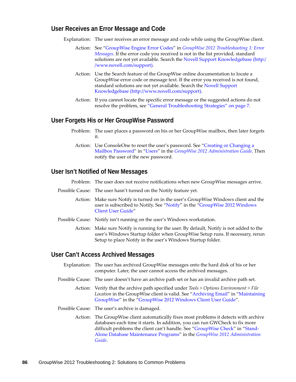## <span id="page-85-0"></span>**User Receives an Error Message and Code**

Explanation: The user receives an error message and code while using the GroupWise client.

- Action: See ["GroupWise Engine Error Codes"](http://www.novell.com/documentation/groupwise2012/pdfdoc/gw2012_guide_tsh1/gw2012_guide_tsh1.pdf#a3wxgq9) in *[GroupWise 2012 Troubleshooting 1: Error](http://www.novell.com/documentation/groupwise2012/pdfdoc/gw2012_guide_tsh1/gw2012_guide_tsh1.pdf#A4ehiyt)  [Messages](http://www.novell.com/documentation/groupwise2012/pdfdoc/gw2012_guide_tsh1/gw2012_guide_tsh1.pdf#A4ehiyt)*. If the error code you received is not in the list provided, standard solutions are not yet available. Search the [Novell Support Knowledgebase](http://www.novell.com/support) (http:/ /www.novell.com/support).
- Action: Use the Search feature of the GroupWise online documentation to locate a GroupWise error code or message text. If the error you received is not found, standard solutions are not yet available. Search the Novell Support [Knowledgebase](http://www.novell.com/support) (http://www.novell.com/support).
- Action: If you cannot locate the specific error message or the suggested actions do not resolve the problem, see ["General Troubleshooting Strategies" on page 7.](#page-6-0)

## <span id="page-85-1"></span>**User Forgets His or Her GroupWise Password**

- Problem: The user places a password on his or her GroupWise mailbox, then later forgets it.
	- Action: Use ConsoleOne to reset the user's password. See "Creating or Changing a [Mailbox Password"](http://www.novell.com/documentation/groupwise2012/pdfdoc/gw2012_guide_admin/gw2012_guide_admin.pdf#a3n3kh0) in ["Users](http://www.novell.com/documentation/groupwise2012/pdfdoc/gw2012_guide_admin/gw2012_guide_admin.pdf#a7q4x8x)" in the *[GroupWise 2012 Administration Guide](http://www.novell.com/documentation/groupwise2012/pdfdoc/gw2012_guide_admin/gw2012_guide_admin.pdf#A2zvyc4)*. Then notify the user of the new password.

### <span id="page-85-2"></span>**User Isn't Notified of New Messages**

Problem: The user does not receive notifications when new GroupWise messages arrive.

- Possible Cause: The user hasn't turned on the Notify feature yet.
	- Action: Make sure Notify is turned on in the user's GroupWise Windows client and the user is subscribed to Notify. See "[Notify](http://www.novell.com/documentation/groupwise2012/pdfdoc/gw2012_guide_userwin/gw2012_guide_userwin.pdf#b9yfdqr)" in the ["GroupWise 2012 Windows](http://www.novell.com/documentation/groupwise2012/pdfdoc/gw2012_guide_userwin/gw2012_guide_userwin.pdf#ab32nt1)  [Client User Guide"](http://www.novell.com/documentation/groupwise2012/pdfdoc/gw2012_guide_userwin/gw2012_guide_userwin.pdf#ab32nt1)
- Possible Cause: Notify isn't running on the user's Windows workstation.
	- Action: Make sure Notify is running for the user. By default, Notify is not added to the user's Windows Startup folder when GroupWise Setup runs. If necessary, rerun Setup to place Notify in the user's Windows Startup folder.

### <span id="page-85-3"></span>**User Can't Access Archived Messages**

- Explanation: The user has archived GroupWise messages onto the hard disk of his or her computer. Later, the user cannot access the archived messages.
- Possible Cause: The user doesn't have an archive path set or has an invalid archive path set.
	- Action: Verify that the archive path specified under *Tools > Options Environment > File Location* in the GroupWise client is valid. See ["Archiving Email](http://www.novell.com/documentation/groupwise2012/pdfdoc/gw2012_guide_userwin/gw2012_guide_userwin.pdf#aai3dkx)" in ["Maintaining](http://www.novell.com/documentation/groupwise2012/pdfdoc/gw2012_guide_userwin/gw2012_guide_userwin.pdf#baba8ro)  [GroupWise"](http://www.novell.com/documentation/groupwise2012/pdfdoc/gw2012_guide_userwin/gw2012_guide_userwin.pdf#baba8ro) in the "[GroupWise 2012 Windows Client User Guide"](http://www.novell.com/documentation/groupwise2012/pdfdoc/gw2012_guide_userwin/gw2012_guide_userwin.pdf#ab32nt1).
- Possible Cause: The user's archive is damaged.

Action: The GroupWise client automatically fixes most problems it detects with archive databases each time it starts. In addition, you can run GWCheck to fix more difficult problems the client can't handle. See ["GroupWise Check](http://www.novell.com/documentation/groupwise2012/pdfdoc/gw2012_guide_admin/gw2012_guide_admin.pdf#a3n60l6)" in ["Stand-](http://www.novell.com/documentation/groupwise2012/pdfdoc/gw2012_guide_admin/gw2012_guide_admin.pdf#abbx8e1)[Alone Database Maintenance Programs"](http://www.novell.com/documentation/groupwise2012/pdfdoc/gw2012_guide_admin/gw2012_guide_admin.pdf#abbx8e1) in the *[GroupWise 2012 Administration](http://www.novell.com/documentation/groupwise2012/pdfdoc/gw2012_guide_admin/gw2012_guide_admin.pdf#A2zvyc4)  [Guide](http://www.novell.com/documentation/groupwise2012/pdfdoc/gw2012_guide_admin/gw2012_guide_admin.pdf#A2zvyc4)*.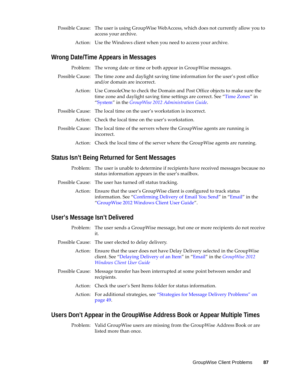- Possible Cause: The user is using GroupWise WebAccess, which does not currently allow you to access your archive.
	- Action: Use the Windows client when you need to access your archive.

# <span id="page-86-0"></span>**Wrong Date/Time Appears in Messages**

Problem: The wrong date or time or both appear in GroupWise messages.

- Possible Cause: The time zone and daylight saving time information for the user's post office and/or domain are incorrect.
	- Action: Use ConsoleOne to check the Domain and Post Office objects to make sure the time zone and daylight saving time settings are correct. See ["Time Zones](http://www.novell.com/documentation/groupwise2012/pdfdoc/gw2012_guide_admin/gw2012_guide_admin.pdf#a3n2hp8)" in "[System"](http://www.novell.com/documentation/groupwise2012/pdfdoc/gw2012_guide_admin/gw2012_guide_admin.pdf#a7q4urx) in the *[GroupWise 2012 Administration Guide](http://www.novell.com/documentation/groupwise2012/pdfdoc/gw2012_guide_admin/gw2012_guide_admin.pdf#A2zvyc4)*.
- Possible Cause: The local time on the user's workstation is incorrect.
	- Action: Check the local time on the user's workstation.
- Possible Cause: The local time of the servers where the GroupWise agents are running is incorrect.

Action: Check the local time of the server where the GroupWise agents are running.

# <span id="page-86-1"></span>**Status Isn't Being Returned for Sent Messages**

- Problem: The user is unable to determine if recipients have received messages because no status information appears in the user's mailbox.
- Possible Cause: The user has turned off status tracking.
	- Action: Ensure that the user's GroupWise client is configured to track status information. See ["Confirming Delivery of Email You Send](http://www.novell.com/documentation/groupwise2012/pdfdoc/gw2012_guide_userwin/gw2012_guide_userwin.pdf#bayj45h)" in "[Email"](http://www.novell.com/documentation/groupwise2012/pdfdoc/gw2012_guide_userwin/gw2012_guide_userwin.pdf#b9q6aqb) in the "[GroupWise 2012 Windows Client User Guide"](http://www.novell.com/documentation/groupwise2012/pdfdoc/gw2012_guide_userwin/gw2012_guide_userwin.pdf#ab32nt1).

## <span id="page-86-2"></span>**User's Message Isn't Delivered**

- Problem: The user sends a GroupWise message, but one or more recipients do not receive it.
- Possible Cause: The user elected to delay delivery.

Action: Ensure that the user does not have Delay Delivery selected in the GroupWise client. See ["Delaying Delivery of an Item"](http://www.novell.com/documentation/groupwise2012/pdfdoc/gw2012_guide_userwin/gw2012_guide_userwin.pdf#aaqsws0) in ["Email](http://www.novell.com/documentation/groupwise2012/pdfdoc/gw2012_guide_userwin/gw2012_guide_userwin.pdf#b9q6aqb)" in the *[GroupWise 2012](http://www.novell.com/documentation/groupwise2012/pdfdoc/gw2012_guide_userwin/gw2012_guide_userwin.pdf#ab32nt1)  [Windows Client User Guide](http://www.novell.com/documentation/groupwise2012/pdfdoc/gw2012_guide_userwin/gw2012_guide_userwin.pdf#ab32nt1)*

- Possible Cause: Message transfer has been interrupted at some point between sender and recipients.
	- Action: Check the user's Sent Items folder for status information.
	- Action: For additional strategies, see ["Strategies for Message Delivery Problems" on](#page-48-0)  [page 49.](#page-48-0)

## <span id="page-86-3"></span>**Users Don't Appear in the GroupWise Address Book or Appear Multiple Times**

Problem: Valid GroupWise users are missing from the GroupWise Address Book or are listed more than once.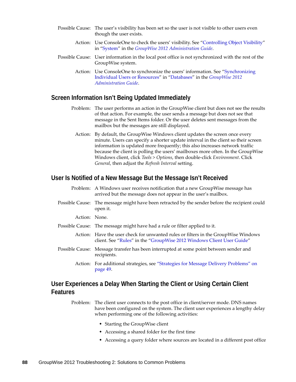- Possible Cause: The user's visibility has been set so the user is not visible to other users even though the user exists.
	- Action: Use ConsoleOne to check the users' visibility. See "[Controlling Object Visibility"](http://www.novell.com/documentation/groupwise2012/pdfdoc/gw2012_guide_admin/gw2012_guide_admin.pdf#a3n3sbb) in ["System](http://www.novell.com/documentation/groupwise2012/pdfdoc/gw2012_guide_admin/gw2012_guide_admin.pdf#a7q4urx)" in the *[GroupWise 2012 Administration Guide](http://www.novell.com/documentation/groupwise2012/pdfdoc/gw2012_guide_admin/gw2012_guide_admin.pdf#A2zvyc4)*.
- Possible Cause: User information in the local post office is not synchronized with the rest of the GroupWise system.
	- Action: Use ConsoleOne to synchronize the users' information. See "Synchronizing [Individual Users or Resources](http://www.novell.com/documentation/groupwise2012/pdfdoc/gw2012_guide_admin/gw2012_guide_admin.pdf#a3n3uw1)" in "[Databases"](http://www.novell.com/documentation/groupwise2012/pdfdoc/gw2012_guide_admin/gw2012_guide_admin.pdf#a8n802e) in the *[GroupWise 2012](http://www.novell.com/documentation/groupwise2012/pdfdoc/gw2012_guide_admin/gw2012_guide_admin.pdf#A2zvyc4)  [Administration Guide](http://www.novell.com/documentation/groupwise2012/pdfdoc/gw2012_guide_admin/gw2012_guide_admin.pdf#A2zvyc4)*.

# <span id="page-87-0"></span>**Screen Information Isn't Being Updated Immediately**

- Problem: The user performs an action in the GroupWise client but does not see the results of that action. For example, the user sends a message but does not see that message in the Sent Items folder. Or the user deletes sent messages from the mailbox but the messages are still displayed.
	- Action: By default, the GroupWise Windows client updates the screen once every minute. Users can specify a shorter update interval in the client so their screen information is updated more frequently; this also increases network traffic because the client is polling the users' mailboxes more often. In the GroupWise Windows client, click *Tools > Options*, then double-click *Environment*. Click *General*, then adjust the *Refresh Interval* setting.

# <span id="page-87-1"></span>**User Is Notified of a New Message But the Message Isn't Received**

|               | Problem: A Windows user receives notification that a new GroupWise message has<br>arrived but the message does not appear in the user's mailbox.            |
|---------------|-------------------------------------------------------------------------------------------------------------------------------------------------------------|
|               | Possible Cause: The message might have been retracted by the sender before the recipient could<br>open it.                                                  |
| Action: None. |                                                                                                                                                             |
|               | Possible Cause: The message might have had a rule or filter applied to it.                                                                                  |
|               | Action: Have the user check for unwanted rules or filters in the GroupWise Windows<br>client. See "Rules" in the "GroupWise 2012 Windows Client User Guide" |
|               | Possible Cause: Message transfer has been interrupted at some point between sender and<br>recipients.                                                       |
|               | Action: For additional strategies, see "Strategies for Message Delivery Problems" on                                                                        |

# <span id="page-87-2"></span>**User Experiences a Delay When Starting the Client or Using Certain Client Features**

Problem: The client user connects to the post office in client/server mode. DNS names have been configured on the system. The client user experiences a lengthy delay when performing one of the following activities:

- Starting the GroupWise client
- Accessing a shared folder for the first time
- Accessing a query folder where sources are located in a different post office

[page 49.](#page-48-0)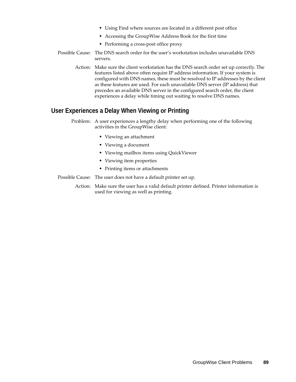- Using Find where sources are located in a different post office
- Accessing the GroupWise Address Book for the first time
- Performing a cross-post office proxy
- Possible Cause: The DNS search order for the user's workstation includes unavailable DNS servers.
	- Action: Make sure the client workstation has the DNS search order set up correctly. The features listed above often require IP address information. If your system is configured with DNS names, these must be resolved to IP addresses by the client as these features are used. For each unavailable DNS server (IP address) that precedes an available DNS server in the configured search order, the client experiences a delay while timing out waiting to resolve DNS names.

# <span id="page-88-0"></span>**User Experiences a Delay When Viewing or Printing**

- Problem: A user experiences a lengthy delay when performing one of the following activities in the GroupWise client:
	- Viewing an attachment
	- Viewing a document
	- Viewing mailbox items using QuickViewer
	- Viewing item properties
	- Printing items or attachments
- Possible Cause: The user does not have a default printer set up.

Action: Make sure the user has a valid default printer defined. Printer information is used for viewing as well as printing.